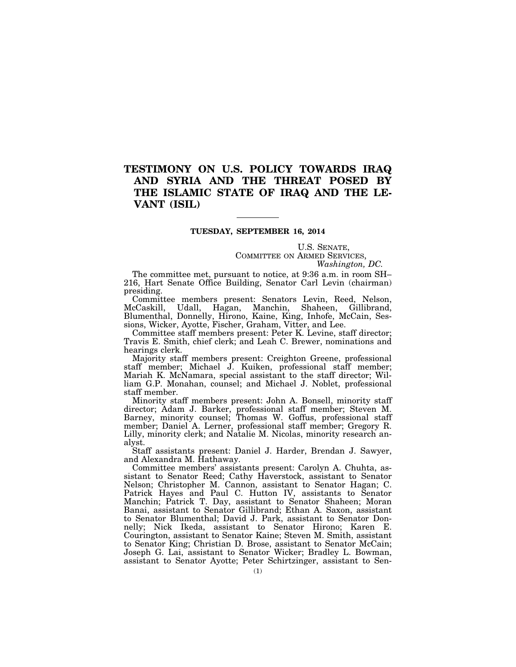# **TESTIMONY ON U.S. POLICY TOWARDS IRAQ AND SYRIA AND THE THREAT POSED BY THE ISLAMIC STATE OF IRAQ AND THE LE-VANT (ISIL)**

## **TUESDAY, SEPTEMBER 16, 2014**

U.S. SENATE, COMMITTEE ON ARMED SERVICES, *Washington, DC.* 

The committee met, pursuant to notice, at 9:36 a.m. in room SH– 216, Hart Senate Office Building, Senator Carl Levin (chairman) presiding.

Committee members present: Senators Levin, Reed, Nelson, McCaskill, Udall, Hagan, Manchin, Shaheen, Gillibrand, Blumenthal, Donnelly, Hirono, Kaine, King, Inhofe, McCain, Sessions, Wicker, Ayotte, Fischer, Graham, Vitter, and Lee.

Committee staff members present: Peter K. Levine, staff director; Travis E. Smith, chief clerk; and Leah C. Brewer, nominations and hearings clerk.

Majority staff members present: Creighton Greene, professional staff member; Michael J. Kuiken, professional staff member; Mariah K. McNamara, special assistant to the staff director; William G.P. Monahan, counsel; and Michael J. Noblet, professional staff member.

Minority staff members present: John A. Bonsell, minority staff director; Adam J. Barker, professional staff member; Steven M. Barney, minority counsel; Thomas W. Goffus, professional staff member; Daniel A. Lerner, professional staff member; Gregory R. Lilly, minority clerk; and Natalie M. Nicolas, minority research analyst.

Staff assistants present: Daniel J. Harder, Brendan J. Sawyer, and Alexandra M. Hathaway.

Committee members' assistants present: Carolyn A. Chuhta, assistant to Senator Reed; Cathy Haverstock, assistant to Senator Nelson; Christopher M. Cannon, assistant to Senator Hagan; C. Patrick Hayes and Paul C. Hutton IV, assistants to Senator Manchin; Patrick T. Day, assistant to Senator Shaheen; Moran Banai, assistant to Senator Gillibrand; Ethan A. Saxon, assistant to Senator Blumenthal; David J. Park, assistant to Senator Donnelly; Nick Ikeda, assistant to Senator Hirono; Karen E. Courington, assistant to Senator Kaine; Steven M. Smith, assistant to Senator King; Christian D. Brose, assistant to Senator McCain; Joseph G. Lai, assistant to Senator Wicker; Bradley L. Bowman, assistant to Senator Ayotte; Peter Schirtzinger, assistant to Sen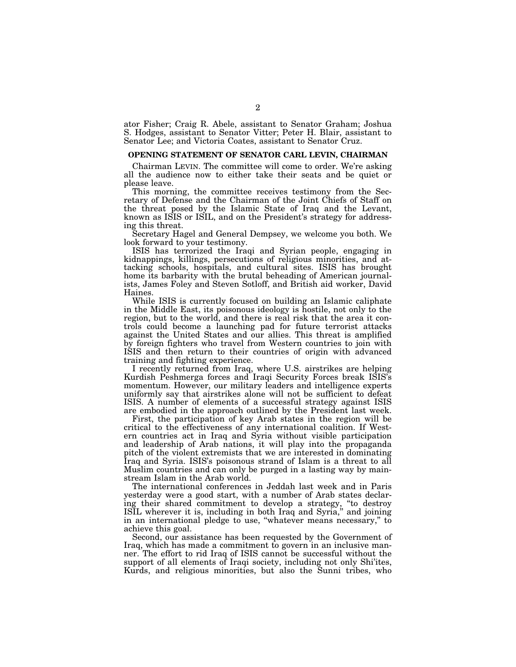ator Fisher; Craig R. Abele, assistant to Senator Graham; Joshua S. Hodges, assistant to Senator Vitter; Peter H. Blair, assistant to Senator Lee; and Victoria Coates, assistant to Senator Cruz.

#### **OPENING STATEMENT OF SENATOR CARL LEVIN, CHAIRMAN**

Chairman LEVIN. The committee will come to order. We're asking all the audience now to either take their seats and be quiet or please leave.

This morning, the committee receives testimony from the Secretary of Defense and the Chairman of the Joint Chiefs of Staff on the threat posed by the Islamic State of Iraq and the Levant, known as ISIS or ISIL, and on the President's strategy for addressing this threat.

Secretary Hagel and General Dempsey, we welcome you both. We look forward to your testimony.

ISIS has terrorized the Iraqi and Syrian people, engaging in kidnappings, killings, persecutions of religious minorities, and attacking schools, hospitals, and cultural sites. ISIS has brought home its barbarity with the brutal beheading of American journalists, James Foley and Steven Sotloff, and British aid worker, David Haines.

While ISIS is currently focused on building an Islamic caliphate in the Middle East, its poisonous ideology is hostile, not only to the region, but to the world, and there is real risk that the area it controls could become a launching pad for future terrorist attacks against the United States and our allies. This threat is amplified by foreign fighters who travel from Western countries to join with ISIS and then return to their countries of origin with advanced training and fighting experience.

I recently returned from Iraq, where U.S. airstrikes are helping Kurdish Peshmerga forces and Iraqi Security Forces break ISIS's momentum. However, our military leaders and intelligence experts uniformly say that airstrikes alone will not be sufficient to defeat ISIS. A number of elements of a successful strategy against ISIS are embodied in the approach outlined by the President last week.

First, the participation of key Arab states in the region will be critical to the effectiveness of any international coalition. If Western countries act in Iraq and Syria without visible participation and leadership of Arab nations, it will play into the propaganda pitch of the violent extremists that we are interested in dominating Iraq and Syria. ISIS's poisonous strand of Islam is a threat to all Muslim countries and can only be purged in a lasting way by mainstream Islam in the Arab world.

The international conferences in Jeddah last week and in Paris yesterday were a good start, with a number of Arab states declaring their shared commitment to develop a strategy, ''to destroy ISIL wherever it is, including in both Iraq and Syria,'' and joining in an international pledge to use, ''whatever means necessary,'' to achieve this goal.

Second, our assistance has been requested by the Government of Iraq, which has made a commitment to govern in an inclusive manner. The effort to rid Iraq of ISIS cannot be successful without the support of all elements of Iraqi society, including not only Shi'ites, Kurds, and religious minorities, but also the Sunni tribes, who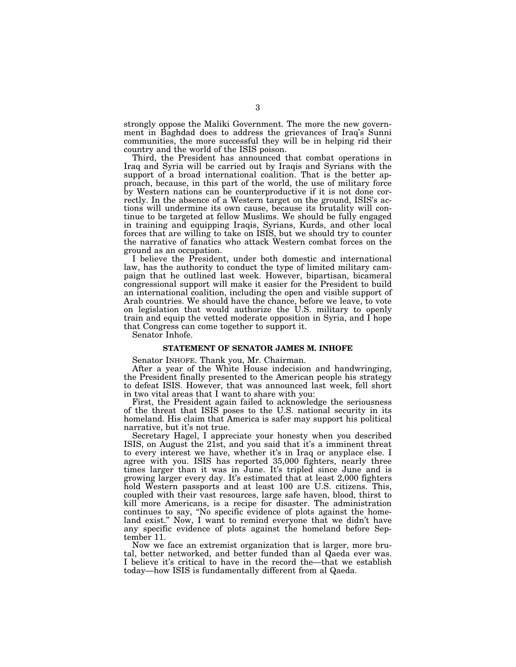strongly oppose the Maliki Government. The more the new government in Baghdad does to address the grievances of Iraq's Sunni communities, the more successful they will be in helping rid their country and the world of the ISIS poison.

Third, the President has announced that combat operations in Iraq and Syria will be carried out by Iraqis and Syrians with the support of a broad international coalition. That is the better approach, because, in this part of the world, the use of military force by Western nations can be counterproductive if it is not done correctly. In the absence of a Western target on the ground, ISIS's actions will undermine its own cause, because its brutality will continue to be targeted at fellow Muslims. We should be fully engaged in training and equipping Iraqis, Syrians, Kurds, and other local forces that are willing to take on ISIS, but we should try to counter the narrative of fanatics who attack Western combat forces on the ground as an occupation.

I believe the President, under both domestic and international law, has the authority to conduct the type of limited military campaign that he outlined last week. However, bipartisan, bicameral congressional support will make it easier for the President to build an international coalition, including the open and visible support of Arab countries. We should have the chance, before we leave, to vote on legislation that would authorize the U.S. military to openly train and equip the vetted moderate opposition in Syria, and I hope that Congress can come together to support it.

Senator Inhofe.

# **STATEMENT OF SENATOR JAMES M. INHOFE**

Senator INHOFE. Thank you, Mr. Chairman.

After a year of the White House indecision and handwringing, the President finally presented to the American people his strategy to defeat ISIS. However, that was announced last week, fell short in two vital areas that I want to share with you:

First, the President again failed to acknowledge the seriousness of the threat that ISIS poses to the U.S. national security in its homeland. His claim that America is safer may support his political narrative, but it's not true.

Secretary Hagel, I appreciate your honesty when you described ISIS, on August the 21st, and you said that it's a imminent threat to every interest we have, whether it's in Iraq or anyplace else. I agree with you. ISIS has reported 35,000 fighters, nearly three times larger than it was in June. It's tripled since June and is growing larger every day. It's estimated that at least 2,000 fighters hold Western passports and at least 100 are U.S. citizens. This, coupled with their vast resources, large safe haven, blood, thirst to kill more Americans, is a recipe for disaster. The administration continues to say, ''No specific evidence of plots against the homeland exist.'' Now, I want to remind everyone that we didn't have any specific evidence of plots against the homeland before September 11.

Now we face an extremist organization that is larger, more brutal, better networked, and better funded than al Qaeda ever was. I believe it's critical to have in the record the—that we establish today—how ISIS is fundamentally different from al Qaeda.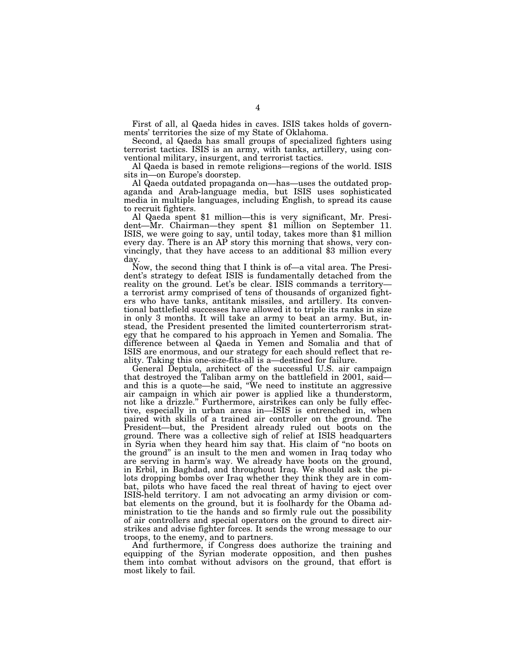First of all, al Qaeda hides in caves. ISIS takes holds of governments' territories the size of my State of Oklahoma.

Second, al Qaeda has small groups of specialized fighters using terrorist tactics. ISIS is an army, with tanks, artillery, using conventional military, insurgent, and terrorist tactics.

Al Qaeda is based in remote religions—regions of the world. ISIS sits in—on Europe's doorstep.

Al Qaeda outdated propaganda on—has—uses the outdated propaganda and Arab-language media, but ISIS uses sophisticated media in multiple languages, including English, to spread its cause

Al Qaeda spent \$1 million—this is very significant, Mr. President—Mr. Chairman—they spent \$1 million on September 11. ISIS, we were going to say, until today, takes more than \$1 million every day. There is an AP story this morning that shows, very convincingly, that they have access to an additional \$3 million every day.

Now, the second thing that I think is of—a vital area. The President's strategy to defeat ISIS is fundamentally detached from the reality on the ground. Let's be clear. ISIS commands a territory a terrorist army comprised of tens of thousands of organized fighters who have tanks, antitank missiles, and artillery. Its conventional battlefield successes have allowed it to triple its ranks in size in only 3 months. It will take an army to beat an army. But, instead, the President presented the limited counterterrorism strategy that he compared to his approach in Yemen and Somalia. The difference between al Qaeda in Yemen and Somalia and that of ISIS are enormous, and our strategy for each should reflect that reality. Taking this one-size-fits-all is a—destined for failure.

General Deptula, architect of the successful U.S. air campaign that destroyed the Taliban army on the battlefield in 2001, said and this is a quote—he said, "We need to institute an aggressive air campaign in which air power is applied like a thunderstorm, not like a drizzle.'' Furthermore, airstrikes can only be fully effective, especially in urban areas in—ISIS is entrenched in, when paired with skills of a trained air controller on the ground. The President—but, the President already ruled out boots on the ground. There was a collective sigh of relief at ISIS headquarters in Syria when they heard him say that. His claim of ''no boots on the ground'' is an insult to the men and women in Iraq today who are serving in harm's way. We already have boots on the ground, in Erbil, in Baghdad, and throughout Iraq. We should ask the pilots dropping bombs over Iraq whether they think they are in combat, pilots who have faced the real threat of having to eject over ISIS-held territory. I am not advocating an army division or combat elements on the ground, but it is foolhardy for the Obama administration to tie the hands and so firmly rule out the possibility of air controllers and special operators on the ground to direct airstrikes and advise fighter forces. It sends the wrong message to our troops, to the enemy, and to partners.

And furthermore, if Congress does authorize the training and equipping of the Syrian moderate opposition, and then pushes them into combat without advisors on the ground, that effort is most likely to fail.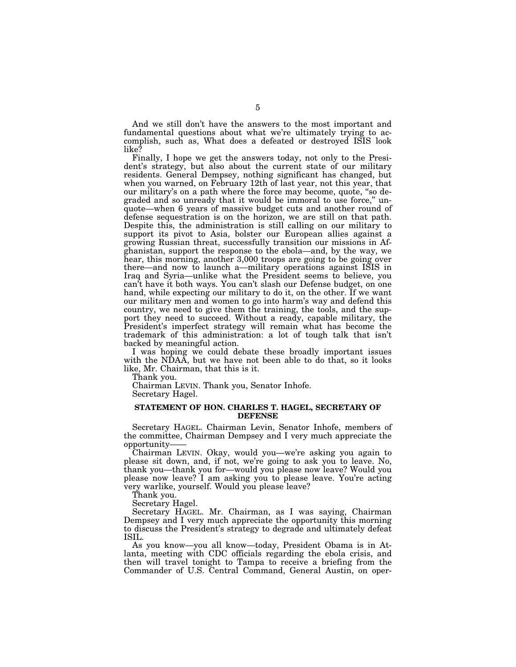And we still don't have the answers to the most important and fundamental questions about what we're ultimately trying to accomplish, such as, What does a defeated or destroyed ISIS look like?

Finally, I hope we get the answers today, not only to the President's strategy, but also about the current state of our military residents. General Dempsey, nothing significant has changed, but when you warned, on February 12th of last year, not this year, that our military's on a path where the force may become, quote, ''so degraded and so unready that it would be immoral to use force,'' unquote—when 6 years of massive budget cuts and another round of defense sequestration is on the horizon, we are still on that path. Despite this, the administration is still calling on our military to support its pivot to Asia, bolster our European allies against a growing Russian threat, successfully transition our missions in Afghanistan, support the response to the ebola—and, by the way, we hear, this morning, another 3,000 troops are going to be going over there—and now to launch a—military operations against ISIS in Iraq and Syria—unlike what the President seems to believe, you can't have it both ways. You can't slash our Defense budget, on one hand, while expecting our military to do it, on the other. If we want our military men and women to go into harm's way and defend this country, we need to give them the training, the tools, and the support they need to succeed. Without a ready, capable military, the President's imperfect strategy will remain what has become the trademark of this administration: a lot of tough talk that isn't backed by meaningful action.

I was hoping we could debate these broadly important issues with the NDAA, but we have not been able to do that, so it looks like, Mr. Chairman, that this is it.

Thank you.

Chairman LEVIN. Thank you, Senator Inhofe. Secretary Hagel.

# **STATEMENT OF HON. CHARLES T. HAGEL, SECRETARY OF DEFENSE**

Secretary HAGEL. Chairman Levin, Senator Inhofe, members of the committee, Chairman Dempsey and I very much appreciate the opportunity——

Chairman LEVIN. Okay, would you—we're asking you again to please sit down, and, if not, we're going to ask you to leave. No, thank you—thank you for—would you please now leave? Would you please now leave? I am asking you to please leave. You're acting very warlike, yourself. Would you please leave?

Thank you.

Secretary Hagel.

Secretary HAGEL. Mr. Chairman, as I was saying, Chairman Dempsey and I very much appreciate the opportunity this morning to discuss the President's strategy to degrade and ultimately defeat ISIL.

As you know—you all know—today, President Obama is in Atlanta, meeting with CDC officials regarding the ebola crisis, and then will travel tonight to Tampa to receive a briefing from the Commander of U.S. Central Command, General Austin, on oper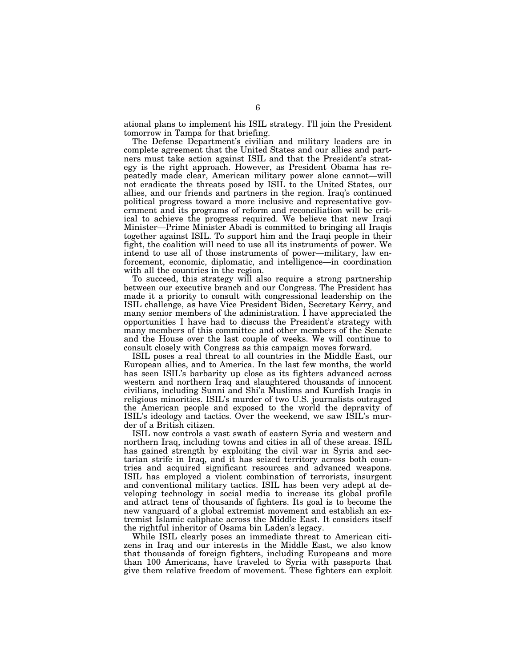ational plans to implement his ISIL strategy. I'll join the President tomorrow in Tampa for that briefing.

The Defense Department's civilian and military leaders are in complete agreement that the United States and our allies and partners must take action against ISIL and that the President's strategy is the right approach. However, as President Obama has repeatedly made clear, American military power alone cannot—will not eradicate the threats posed by ISIL to the United States, our allies, and our friends and partners in the region. Iraq's continued political progress toward a more inclusive and representative government and its programs of reform and reconciliation will be critical to achieve the progress required. We believe that new Iraqi Minister—Prime Minister Abadi is committed to bringing all Iraqis together against ISIL. To support him and the Iraqi people in their fight, the coalition will need to use all its instruments of power. We intend to use all of those instruments of power—military, law enforcement, economic, diplomatic, and intelligence—in coordination with all the countries in the region.

To succeed, this strategy will also require a strong partnership between our executive branch and our Congress. The President has made it a priority to consult with congressional leadership on the ISIL challenge, as have Vice President Biden, Secretary Kerry, and many senior members of the administration. I have appreciated the opportunities I have had to discuss the President's strategy with many members of this committee and other members of the Senate and the House over the last couple of weeks. We will continue to consult closely with Congress as this campaign moves forward.

ISIL poses a real threat to all countries in the Middle East, our European allies, and to America. In the last few months, the world has seen ISIL's barbarity up close as its fighters advanced across western and northern Iraq and slaughtered thousands of innocent civilians, including Sunni and Shi'a Muslims and Kurdish Iraqis in religious minorities. ISIL's murder of two U.S. journalists outraged the American people and exposed to the world the depravity of ISIL's ideology and tactics. Over the weekend, we saw ISIL's murder of a British citizen.

ISIL now controls a vast swath of eastern Syria and western and northern Iraq, including towns and cities in all of these areas. ISIL has gained strength by exploiting the civil war in Syria and sectarian strife in Iraq, and it has seized territory across both countries and acquired significant resources and advanced weapons. ISIL has employed a violent combination of terrorists, insurgent and conventional military tactics. ISIL has been very adept at developing technology in social media to increase its global profile and attract tens of thousands of fighters. Its goal is to become the new vanguard of a global extremist movement and establish an extremist Islamic caliphate across the Middle East. It considers itself the rightful inheritor of Osama bin Laden's legacy.

While ISIL clearly poses an immediate threat to American citizens in Iraq and our interests in the Middle East, we also know that thousands of foreign fighters, including Europeans and more than 100 Americans, have traveled to Syria with passports that give them relative freedom of movement. These fighters can exploit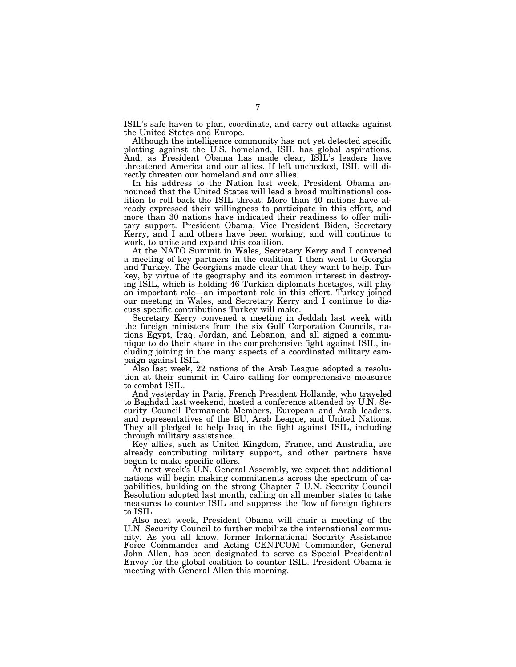ISIL's safe haven to plan, coordinate, and carry out attacks against the United States and Europe.

Although the intelligence community has not yet detected specific plotting against the U.S. homeland, ISIL has global aspirations. And, as President Obama has made clear, ISIL's leaders have threatened America and our allies. If left unchecked, ISIL will directly threaten our homeland and our allies.

In his address to the Nation last week, President Obama announced that the United States will lead a broad multinational coalition to roll back the ISIL threat. More than 40 nations have already expressed their willingness to participate in this effort, and more than 30 nations have indicated their readiness to offer military support. President Obama, Vice President Biden, Secretary Kerry, and I and others have been working, and will continue to work, to unite and expand this coalition.

At the NATO Summit in Wales, Secretary Kerry and I convened a meeting of key partners in the coalition. I then went to Georgia and Turkey. The Georgians made clear that they want to help. Turkey, by virtue of its geography and its common interest in destroying ISIL, which is holding 46 Turkish diplomats hostages, will play an important role—an important role in this effort. Turkey joined our meeting in Wales, and Secretary Kerry and I continue to discuss specific contributions Turkey will make.

Secretary Kerry convened a meeting in Jeddah last week with the foreign ministers from the six Gulf Corporation Councils, nations Egypt, Iraq, Jordan, and Lebanon, and all signed a communique to do their share in the comprehensive fight against ISIL, including joining in the many aspects of a coordinated military campaign against ISIL.

Also last week, 22 nations of the Arab League adopted a resolution at their summit in Cairo calling for comprehensive measures to combat ISIL.

And yesterday in Paris, French President Hollande, who traveled to Baghdad last weekend, hosted a conference attended by U.N. Security Council Permanent Members, European and Arab leaders, and representatives of the EU, Arab League, and United Nations. They all pledged to help Iraq in the fight against ISIL, including through military assistance.

Key allies, such as United Kingdom, France, and Australia, are already contributing military support, and other partners have begun to make specific offers.

At next week's U.N. General Assembly, we expect that additional nations will begin making commitments across the spectrum of capabilities, building on the strong Chapter 7 U.N. Security Council Resolution adopted last month, calling on all member states to take measures to counter ISIL and suppress the flow of foreign fighters to ISIL.

Also next week, President Obama will chair a meeting of the U.N. Security Council to further mobilize the international community. As you all know, former International Security Assistance Force Commander and Acting CENTCOM Commander, General John Allen, has been designated to serve as Special Presidential Envoy for the global coalition to counter ISIL. President Obama is meeting with General Allen this morning.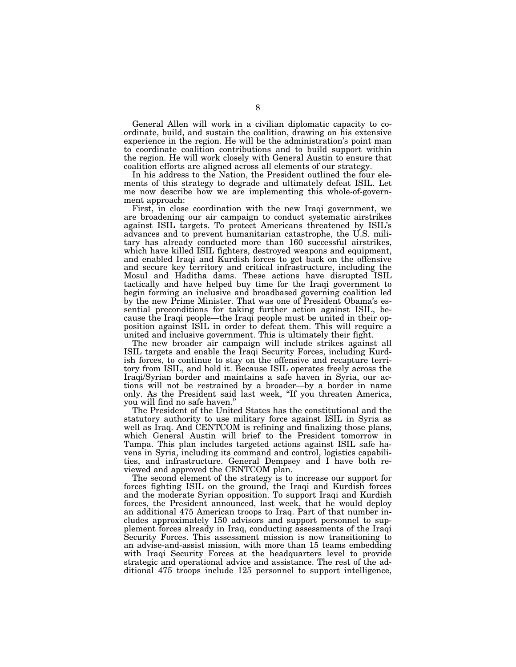General Allen will work in a civilian diplomatic capacity to coordinate, build, and sustain the coalition, drawing on his extensive experience in the region. He will be the administration's point man to coordinate coalition contributions and to build support within the region. He will work closely with General Austin to ensure that coalition efforts are aligned across all elements of our strategy.

In his address to the Nation, the President outlined the four elements of this strategy to degrade and ultimately defeat ISIL. Let me now describe how we are implementing this whole-of-government approach:

First, in close coordination with the new Iraqi government, we are broadening our air campaign to conduct systematic airstrikes against ISIL targets. To protect Americans threatened by ISIL's advances and to prevent humanitarian catastrophe, the U.S. military has already conducted more than 160 successful airstrikes, which have killed ISIL fighters, destroyed weapons and equipment, and enabled Iraqi and Kurdish forces to get back on the offensive and secure key territory and critical infrastructure, including the Mosul and Haditha dams. These actions have disrupted ISIL tactically and have helped buy time for the Iraqi government to begin forming an inclusive and broadbased governing coalition led by the new Prime Minister. That was one of President Obama's essential preconditions for taking further action against ISIL, because the Iraqi people—the Iraqi people must be united in their opposition against ISIL in order to defeat them. This will require a united and inclusive government. This is ultimately their fight.

The new broader air campaign will include strikes against all ISIL targets and enable the Iraqi Security Forces, including Kurdish forces, to continue to stay on the offensive and recapture territory from ISIL, and hold it. Because ISIL operates freely across the Iraqi/Syrian border and maintains a safe haven in Syria, our actions will not be restrained by a broader—by a border in name only. As the President said last week, ''If you threaten America, you will find no safe haven.''

The President of the United States has the constitutional and the statutory authority to use military force against ISIL in Syria as well as Iraq. And CENTCOM is refining and finalizing those plans, which General Austin will brief to the President tomorrow in Tampa. This plan includes targeted actions against ISIL safe havens in Syria, including its command and control, logistics capabilities, and infrastructure. General Dempsey and I have both reviewed and approved the CENTCOM plan.

The second element of the strategy is to increase our support for forces fighting ISIL on the ground, the Iraqi and Kurdish forces and the moderate Syrian opposition. To support Iraqi and Kurdish forces, the President announced, last week, that he would deploy an additional 475 American troops to Iraq. Part of that number includes approximately 150 advisors and support personnel to supplement forces already in Iraq, conducting assessments of the Iraqi Security Forces. This assessment mission is now transitioning to an advise-and-assist mission, with more than 15 teams embedding with Iraqi Security Forces at the headquarters level to provide strategic and operational advice and assistance. The rest of the additional 475 troops include 125 personnel to support intelligence,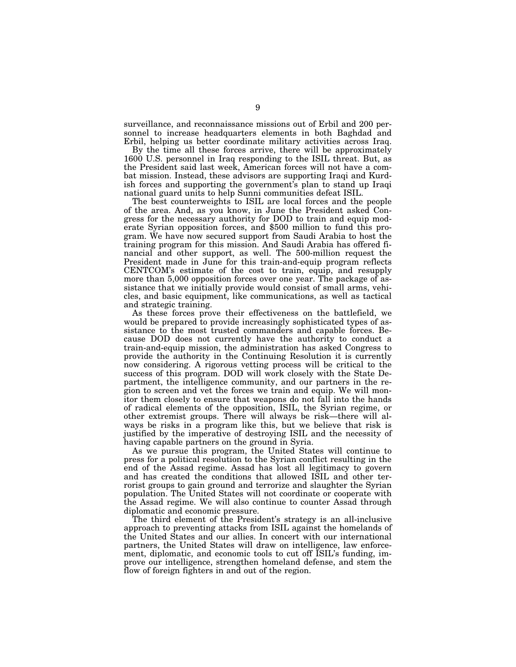surveillance, and reconnaissance missions out of Erbil and 200 personnel to increase headquarters elements in both Baghdad and Erbil, helping us better coordinate military activities across Iraq.

By the time all these forces arrive, there will be approximately 1600 U.S. personnel in Iraq responding to the ISIL threat. But, as the President said last week, American forces will not have a combat mission. Instead, these advisors are supporting Iraqi and Kurdish forces and supporting the government's plan to stand up Iraqi national guard units to help Sunni communities defeat ISIL.

The best counterweights to ISIL are local forces and the people of the area. And, as you know, in June the President asked Congress for the necessary authority for DOD to train and equip moderate Syrian opposition forces, and \$500 million to fund this program. We have now secured support from Saudi Arabia to host the training program for this mission. And Saudi Arabia has offered financial and other support, as well. The 500-million request the President made in June for this train-and-equip program reflects CENTCOM's estimate of the cost to train, equip, and resupply more than 5,000 opposition forces over one year. The package of assistance that we initially provide would consist of small arms, vehicles, and basic equipment, like communications, as well as tactical and strategic training.

As these forces prove their effectiveness on the battlefield, we would be prepared to provide increasingly sophisticated types of assistance to the most trusted commanders and capable forces. Because DOD does not currently have the authority to conduct a train-and-equip mission, the administration has asked Congress to provide the authority in the Continuing Resolution it is currently now considering. A rigorous vetting process will be critical to the success of this program. DOD will work closely with the State Department, the intelligence community, and our partners in the region to screen and vet the forces we train and equip. We will monitor them closely to ensure that weapons do not fall into the hands of radical elements of the opposition, ISIL, the Syrian regime, or other extremist groups. There will always be risk—there will always be risks in a program like this, but we believe that risk is justified by the imperative of destroying ISIL and the necessity of having capable partners on the ground in Syria.

As we pursue this program, the United States will continue to press for a political resolution to the Syrian conflict resulting in the end of the Assad regime. Assad has lost all legitimacy to govern and has created the conditions that allowed ISIL and other terrorist groups to gain ground and terrorize and slaughter the Syrian population. The United States will not coordinate or cooperate with the Assad regime. We will also continue to counter Assad through diplomatic and economic pressure.

The third element of the President's strategy is an all-inclusive approach to preventing attacks from ISIL against the homelands of the United States and our allies. In concert with our international partners, the United States will draw on intelligence, law enforcement, diplomatic, and economic tools to cut off ISIL's funding, improve our intelligence, strengthen homeland defense, and stem the flow of foreign fighters in and out of the region.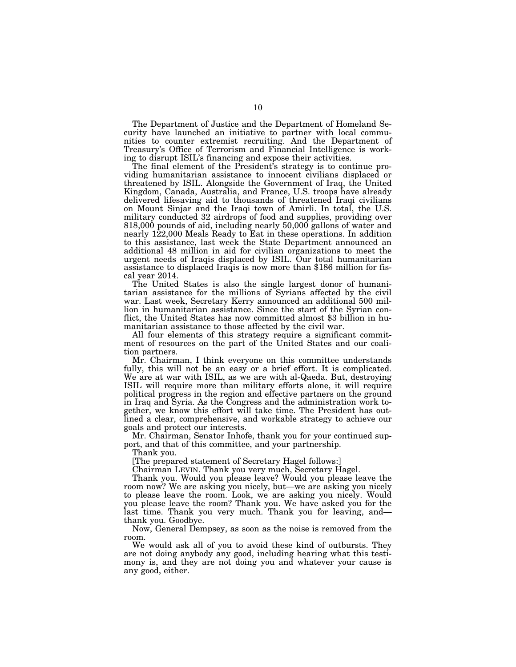The Department of Justice and the Department of Homeland Security have launched an initiative to partner with local communities to counter extremist recruiting. And the Department of Treasury's Office of Terrorism and Financial Intelligence is working to disrupt ISIL's financing and expose their activities.

The final element of the President's strategy is to continue providing humanitarian assistance to innocent civilians displaced or threatened by ISIL. Alongside the Government of Iraq, the United Kingdom, Canada, Australia, and France, U.S. troops have already delivered lifesaving aid to thousands of threatened Iraqi civilians on Mount Sinjar and the Iraqi town of Amirli. In total, the U.S. military conducted 32 airdrops of food and supplies, providing over 818,000 pounds of aid, including nearly 50,000 gallons of water and nearly 122,000 Meals Ready to Eat in these operations. In addition to this assistance, last week the State Department announced an additional 48 million in aid for civilian organizations to meet the urgent needs of Iraqis displaced by ISIL. Our total humanitarian assistance to displaced Iraqis is now more than \$186 million for fiscal year 2014.

The United States is also the single largest donor of humanitarian assistance for the millions of Syrians affected by the civil war. Last week, Secretary Kerry announced an additional 500 million in humanitarian assistance. Since the start of the Syrian conflict, the United States has now committed almost \$3 billion in humanitarian assistance to those affected by the civil war.

All four elements of this strategy require a significant commitment of resources on the part of the United States and our coalition partners.

Mr. Chairman, I think everyone on this committee understands fully, this will not be an easy or a brief effort. It is complicated. We are at war with ISIL, as we are with al-Qaeda. But, destroying ISIL will require more than military efforts alone, it will require political progress in the region and effective partners on the ground in Iraq and Syria. As the Congress and the administration work together, we know this effort will take time. The President has outlined a clear, comprehensive, and workable strategy to achieve our goals and protect our interests.

Mr. Chairman, Senator Inhofe, thank you for your continued support, and that of this committee, and your partnership.

Thank you.

[The prepared statement of Secretary Hagel follows:]

Chairman LEVIN. Thank you very much, Secretary Hagel.

Thank you. Would you please leave? Would you please leave the room now? We are asking you nicely, but—we are asking you nicely to please leave the room. Look, we are asking you nicely. Would you please leave the room? Thank you. We have asked you for the last time. Thank you very much. Thank you for leaving, and thank you. Goodbye.

Now, General Dempsey, as soon as the noise is removed from the room.

We would ask all of you to avoid these kind of outbursts. They are not doing anybody any good, including hearing what this testimony is, and they are not doing you and whatever your cause is any good, either.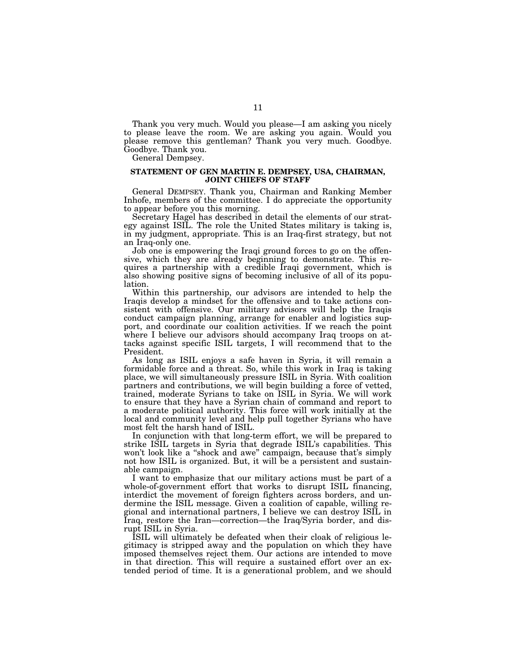Thank you very much. Would you please—I am asking you nicely to please leave the room. We are asking you again. Would you please remove this gentleman? Thank you very much. Goodbye. Goodbye. Thank you.

General Dempsey.

## **STATEMENT OF GEN MARTIN E. DEMPSEY, USA, CHAIRMAN, JOINT CHIEFS OF STAFF**

General DEMPSEY. Thank you, Chairman and Ranking Member Inhofe, members of the committee. I do appreciate the opportunity to appear before you this morning.

Secretary Hagel has described in detail the elements of our strategy against ISIL. The role the United States military is taking is, in my judgment, appropriate. This is an Iraq-first strategy, but not an Iraq-only one.

Job one is empowering the Iraqi ground forces to go on the offensive, which they are already beginning to demonstrate. This requires a partnership with a credible Iraqi government, which is also showing positive signs of becoming inclusive of all of its population.

Within this partnership, our advisors are intended to help the Iraqis develop a mindset for the offensive and to take actions consistent with offensive. Our military advisors will help the Iraqis conduct campaign planning, arrange for enabler and logistics support, and coordinate our coalition activities. If we reach the point where I believe our advisors should accompany Iraq troops on attacks against specific ISIL targets, I will recommend that to the President.

As long as ISIL enjoys a safe haven in Syria, it will remain a formidable force and a threat. So, while this work in Iraq is taking place, we will simultaneously pressure ISIL in Syria. With coalition partners and contributions, we will begin building a force of vetted, trained, moderate Syrians to take on ISIL in Syria. We will work to ensure that they have a Syrian chain of command and report to a moderate political authority. This force will work initially at the local and community level and help pull together Syrians who have most felt the harsh hand of ISIL.

In conjunction with that long-term effort, we will be prepared to strike ISIL targets in Syria that degrade ISIL's capabilities. This won't look like a "shock and awe" campaign, because that's simply not how ISIL is organized. But, it will be a persistent and sustainable campaign.

I want to emphasize that our military actions must be part of a whole-of-government effort that works to disrupt ISIL financing, interdict the movement of foreign fighters across borders, and undermine the ISIL message. Given a coalition of capable, willing regional and international partners, I believe we can destroy ISIL in Iraq, restore the Iran—correction—the Iraq/Syria border, and disrupt ISIL in Syria.

ISIL will ultimately be defeated when their cloak of religious legitimacy is stripped away and the population on which they have imposed themselves reject them. Our actions are intended to move in that direction. This will require a sustained effort over an extended period of time. It is a generational problem, and we should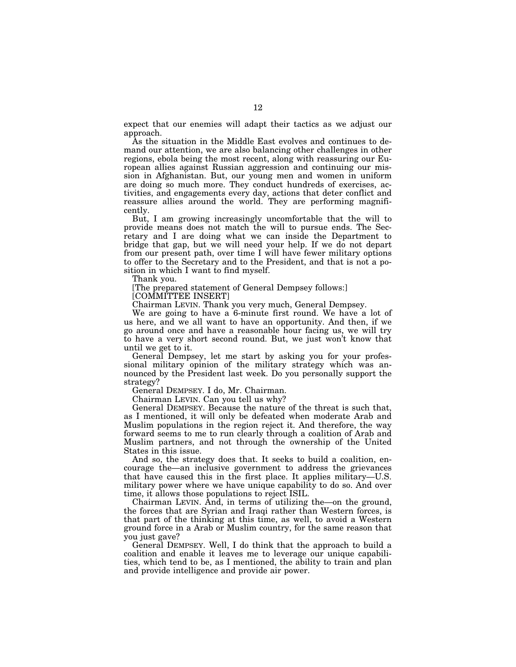expect that our enemies will adapt their tactics as we adjust our approach.

As the situation in the Middle East evolves and continues to demand our attention, we are also balancing other challenges in other regions, ebola being the most recent, along with reassuring our European allies against Russian aggression and continuing our mission in Afghanistan. But, our young men and women in uniform are doing so much more. They conduct hundreds of exercises, activities, and engagements every day, actions that deter conflict and reassure allies around the world. They are performing magnificently.

But, I am growing increasingly uncomfortable that the will to provide means does not match the will to pursue ends. The Secretary and I are doing what we can inside the Department to bridge that gap, but we will need your help. If we do not depart from our present path, over time I will have fewer military options to offer to the Secretary and to the President, and that is not a position in which I want to find myself.

Thank you.

[The prepared statement of General Dempsey follows:]

[COMMITTEE INSERT]

Chairman LEVIN. Thank you very much, General Dempsey.

We are going to have a 6-minute first round. We have a lot of us here, and we all want to have an opportunity. And then, if we go around once and have a reasonable hour facing us, we will try to have a very short second round. But, we just won't know that until we get to it.

General Dempsey, let me start by asking you for your professional military opinion of the military strategy which was announced by the President last week. Do you personally support the strategy?

General DEMPSEY. I do, Mr. Chairman.

Chairman LEVIN. Can you tell us why?

General DEMPSEY. Because the nature of the threat is such that, as I mentioned, it will only be defeated when moderate Arab and Muslim populations in the region reject it. And therefore, the way forward seems to me to run clearly through a coalition of Arab and Muslim partners, and not through the ownership of the United States in this issue.

And so, the strategy does that. It seeks to build a coalition, encourage the—an inclusive government to address the grievances that have caused this in the first place. It applies military—U.S. military power where we have unique capability to do so. And over time, it allows those populations to reject ISIL.

Chairman LEVIN. And, in terms of utilizing the—on the ground, the forces that are Syrian and Iraqi rather than Western forces, is that part of the thinking at this time, as well, to avoid a Western ground force in a Arab or Muslim country, for the same reason that you just gave?

General DEMPSEY. Well, I do think that the approach to build a coalition and enable it leaves me to leverage our unique capabilities, which tend to be, as I mentioned, the ability to train and plan and provide intelligence and provide air power.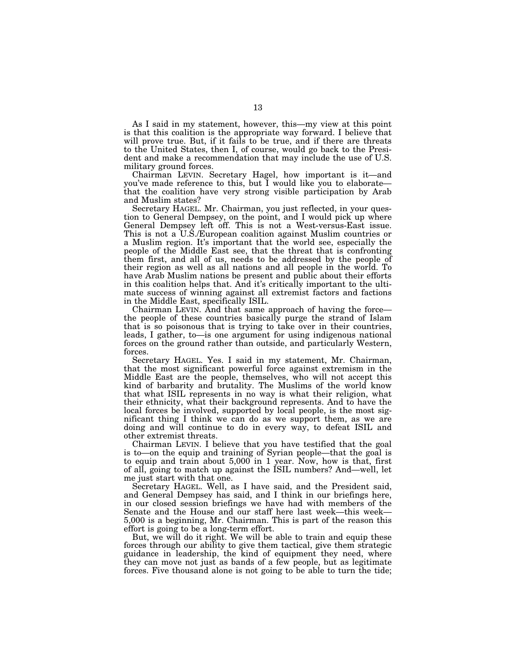As I said in my statement, however, this—my view at this point is that this coalition is the appropriate way forward. I believe that will prove true. But, if it fails to be true, and if there are threats to the United States, then I, of course, would go back to the President and make a recommendation that may include the use of U.S. military ground forces.

Chairman LEVIN. Secretary Hagel, how important is it—and you've made reference to this, but I would like you to elaborate that the coalition have very strong visible participation by Arab and Muslim states?

Secretary HAGEL. Mr. Chairman, you just reflected, in your question to General Dempsey, on the point, and I would pick up where General Dempsey left off. This is not a West-versus-East issue. This is not a U.S./European coalition against Muslim countries or a Muslim region. It's important that the world see, especially the people of the Middle East see, that the threat that is confronting them first, and all of us, needs to be addressed by the people of their region as well as all nations and all people in the world. To have Arab Muslim nations be present and public about their efforts in this coalition helps that. And it's critically important to the ultimate success of winning against all extremist factors and factions in the Middle East, specifically ISIL.

Chairman LEVIN. And that same approach of having the force the people of these countries basically purge the strand of Islam that is so poisonous that is trying to take over in their countries, leads, I gather, to—is one argument for using indigenous national forces on the ground rather than outside, and particularly Western, forces.

Secretary HAGEL. Yes. I said in my statement, Mr. Chairman, that the most significant powerful force against extremism in the Middle East are the people, themselves, who will not accept this kind of barbarity and brutality. The Muslims of the world know that what ISIL represents in no way is what their religion, what their ethnicity, what their background represents. And to have the local forces be involved, supported by local people, is the most significant thing I think we can do as we support them, as we are doing and will continue to do in every way, to defeat ISIL and other extremist threats.

Chairman LEVIN. I believe that you have testified that the goal is to—on the equip and training of Syrian people—that the goal is to equip and train about 5,000 in 1 year. Now, how is that, first of all, going to match up against the ISIL numbers? And—well, let me just start with that one.

Secretary HAGEL. Well, as I have said, and the President said, and General Dempsey has said, and I think in our briefings here, in our closed session briefings we have had with members of the Senate and the House and our staff here last week—this week— 5,000 is a beginning, Mr. Chairman. This is part of the reason this effort is going to be a long-term effort.

But, we will do it right. We will be able to train and equip these forces through our ability to give them tactical, give them strategic guidance in leadership, the kind of equipment they need, where they can move not just as bands of a few people, but as legitimate forces. Five thousand alone is not going to be able to turn the tide;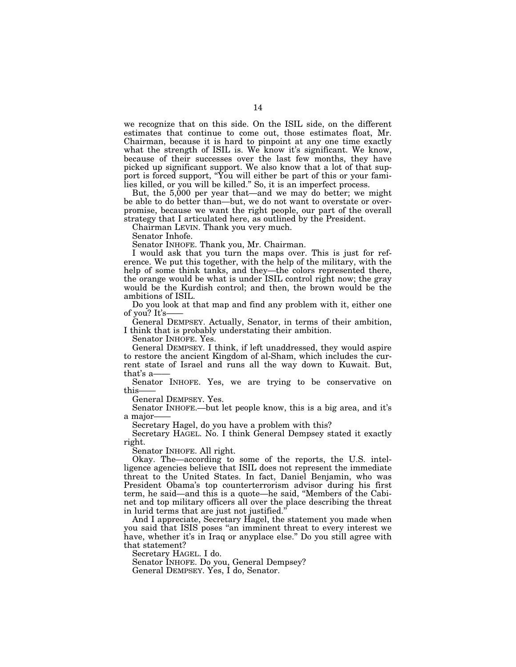we recognize that on this side. On the ISIL side, on the different estimates that continue to come out, those estimates float, Mr. Chairman, because it is hard to pinpoint at any one time exactly what the strength of ISIL is. We know it's significant. We know, because of their successes over the last few months, they have picked up significant support. We also know that a lot of that support is forced support, "You will either be part of this or your families killed, or you will be killed.'' So, it is an imperfect process.

But, the 5,000 per year that—and we may do better; we might be able to do better than—but, we do not want to overstate or overpromise, because we want the right people, our part of the overall strategy that I articulated here, as outlined by the President.

Chairman LEVIN. Thank you very much.

Senator Inhofe.

Senator INHOFE. Thank you, Mr. Chairman.

I would ask that you turn the maps over. This is just for reference. We put this together, with the help of the military, with the help of some think tanks, and they—the colors represented there, the orange would be what is under ISIL control right now; the gray would be the Kurdish control; and then, the brown would be the ambitions of ISIL.

Do you look at that map and find any problem with it, either one of you? It's-

General DEMPSEY. Actually, Senator, in terms of their ambition, I think that is probably understating their ambition.

Senator INHOFE. Yes.

General DEMPSEY. I think, if left unaddressed, they would aspire to restore the ancient Kingdom of al-Sham, which includes the current state of Israel and runs all the way down to Kuwait. But, that's a-

Senator INHOFE. Yes, we are trying to be conservative on this-

General DEMPSEY. Yes.

Senator INHOFE.—but let people know, this is a big area, and it's a major-

Secretary Hagel, do you have a problem with this?

Secretary HAGEL. No. I think General Dempsey stated it exactly right.

Senator INHOFE. All right.

Okay. The—according to some of the reports, the U.S. intelligence agencies believe that ISIL does not represent the immediate threat to the United States. In fact, Daniel Benjamin, who was President Obama's top counterterrorism advisor during his first term, he said—and this is a quote—he said, ''Members of the Cabinet and top military officers all over the place describing the threat in lurid terms that are just not justified.''

And I appreciate, Secretary Hagel, the statement you made when you said that ISIS poses "an imminent threat to every interest we have, whether it's in Iraq or anyplace else." Do you still agree with that statement?

Secretary HAGEL. I do.

Senator INHOFE. Do you, General Dempsey? General DEMPSEY. Yes, I do, Senator.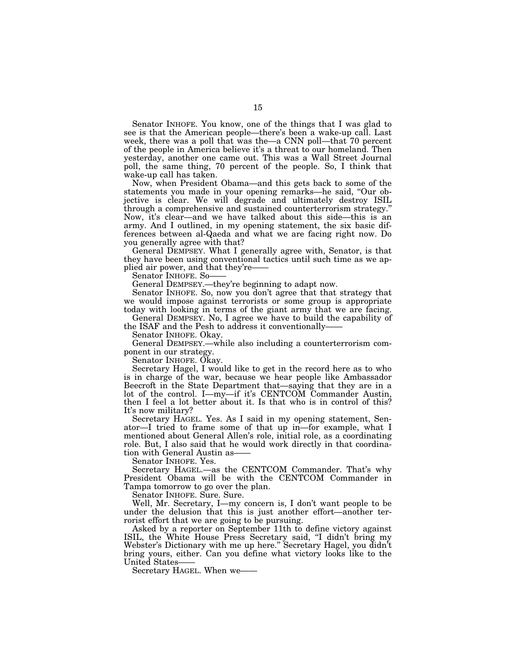Senator INHOFE. You know, one of the things that I was glad to see is that the American people—there's been a wake-up call. Last week, there was a poll that was the—a CNN poll—that 70 percent of the people in America believe it's a threat to our homeland. Then yesterday, another one came out. This was a Wall Street Journal poll, the same thing, 70 percent of the people. So, I think that wake-up call has taken.

Now, when President Obama—and this gets back to some of the statements you made in your opening remarks—he said, ''Our objective is clear. We will degrade and ultimately destroy ISIL through a comprehensive and sustained counterterrorism strategy.'' Now, it's clear—and we have talked about this side—this is an army. And I outlined, in my opening statement, the six basic differences between al-Qaeda and what we are facing right now. Do you generally agree with that?

General DEMPSEY. What I generally agree with, Senator, is that they have been using conventional tactics until such time as we applied air power, and that they're-

Senator INHOFE. So-

General DEMPSEY.—they're beginning to adapt now.

Senator INHOFE. So, now you don't agree that that strategy that we would impose against terrorists or some group is appropriate today with looking in terms of the giant army that we are facing.

General DEMPSEY. No, I agree we have to build the capability of the ISAF and the Pesh to address it conventionally——

Senator INHOFE. Okay.

General DEMPSEY.—while also including a counterterrorism component in our strategy.

Senator INHOFE. Okay.

Secretary Hagel, I would like to get in the record here as to who is in charge of the war, because we hear people like Ambassador Beecroft in the State Department that—saying that they are in a lot of the control. I—my—if it's CENTCOM Commander Austin, then I feel a lot better about it. Is that who is in control of this? It's now military?

Secretary HAGEL. Yes. As I said in my opening statement, Senator—I tried to frame some of that up in—for example, what I mentioned about General Allen's role, initial role, as a coordinating role. But, I also said that he would work directly in that coordination with General Austin as-

Senator INHOFE. Yes.

Secretary HAGEL.—as the CENTCOM Commander. That's why President Obama will be with the CENTCOM Commander in Tampa tomorrow to go over the plan.

Senator INHOFE. Sure. Sure.

Well, Mr. Secretary, I—my concern is, I don't want people to be under the delusion that this is just another effort—another terrorist effort that we are going to be pursuing.

Asked by a reporter on September 11th to define victory against ISIL, the White House Press Secretary said, ''I didn't bring my Webster's Dictionary with me up here.'' Secretary Hagel, you didn't bring yours, either. Can you define what victory looks like to the United States——

Secretary HAGEL. When we——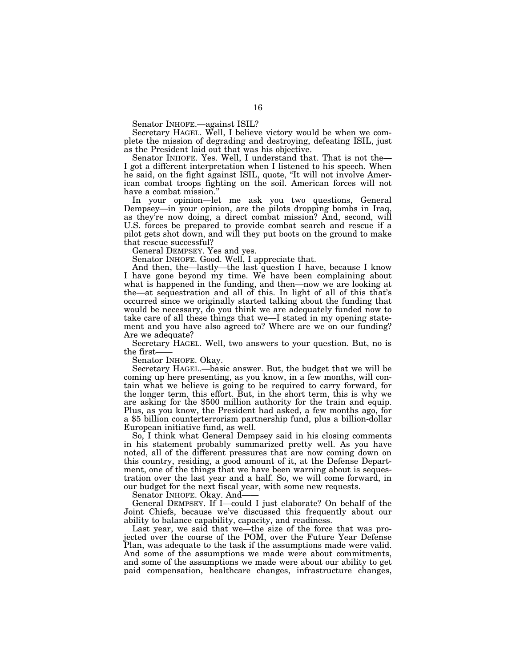Senator INHOFE.—against ISIL?

Secretary HAGEL. Well, I believe victory would be when we complete the mission of degrading and destroying, defeating ISIL, just as the President laid out that was his objective.

Senator INHOFE. Yes. Well, I understand that. That is not the— I got a different interpretation when I listened to his speech. When he said, on the fight against ISIL, quote, ''It will not involve American combat troops fighting on the soil. American forces will not have a combat mission.''

In your opinion—let me ask you two questions, General Dempsey—in your opinion, are the pilots dropping bombs in Iraq, as they're now doing, a direct combat mission? And, second, will U.S. forces be prepared to provide combat search and rescue if a pilot gets shot down, and will they put boots on the ground to make that rescue successful?

General DEMPSEY. Yes and yes.

Senator INHOFE. Good. Well, I appreciate that.

And then, the—lastly—the last question I have, because I know I have gone beyond my time. We have been complaining about what is happened in the funding, and then—now we are looking at the—at sequestration and all of this. In light of all of this that's occurred since we originally started talking about the funding that would be necessary, do you think we are adequately funded now to take care of all these things that we—I stated in my opening statement and you have also agreed to? Where are we on our funding? Are we adequate?

Secretary HAGEL. Well, two answers to your question. But, no is the first-

Senator INHOFE. Okay.

Secretary HAGEL.—basic answer. But, the budget that we will be coming up here presenting, as you know, in a few months, will contain what we believe is going to be required to carry forward, for the longer term, this effort. But, in the short term, this is why we are asking for the \$500 million authority for the train and equip. Plus, as you know, the President had asked, a few months ago, for a \$5 billion counterterrorism partnership fund, plus a billion-dollar European initiative fund, as well.

So, I think what General Dempsey said in his closing comments in his statement probably summarized pretty well. As you have noted, all of the different pressures that are now coming down on this country, residing, a good amount of it, at the Defense Department, one of the things that we have been warning about is sequestration over the last year and a half. So, we will come forward, in our budget for the next fiscal year, with some new requests.

Senator INHOFE. Okay. And-

General DEMPSEY. If I—could I just elaborate? On behalf of the Joint Chiefs, because we've discussed this frequently about our ability to balance capability, capacity, and readiness.

Last year, we said that we—the size of the force that was projected over the course of the POM, over the Future Year Defense Plan, was adequate to the task if the assumptions made were valid. And some of the assumptions we made were about commitments, and some of the assumptions we made were about our ability to get paid compensation, healthcare changes, infrastructure changes,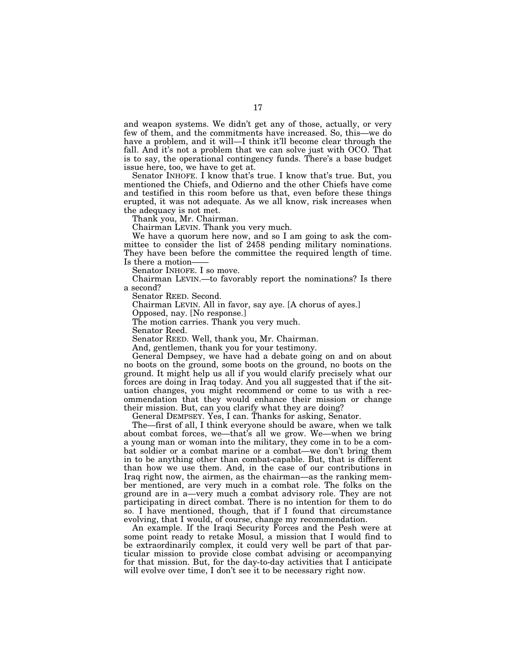and weapon systems. We didn't get any of those, actually, or very few of them, and the commitments have increased. So, this—we do have a problem, and it will—I think it'll become clear through the fall. And it's not a problem that we can solve just with OCO. That is to say, the operational contingency funds. There's a base budget issue here, too, we have to get at.

Senator INHOFE. I know that's true. I know that's true. But, you mentioned the Chiefs, and Odierno and the other Chiefs have come and testified in this room before us that, even before these things erupted, it was not adequate. As we all know, risk increases when the adequacy is not met.

Thank you, Mr. Chairman.

Chairman LEVIN. Thank you very much.

We have a quorum here now, and so I am going to ask the committee to consider the list of 2458 pending military nominations. They have been before the committee the required length of time. Is there a motion-

Senator INHOFE. I so move.

Chairman LEVIN.—to favorably report the nominations? Is there a second?

Senator REED. Second.

Chairman LEVIN. All in favor, say aye. [A chorus of ayes.]

Opposed, nay. [No response.]

The motion carries. Thank you very much.

Senator Reed.

Senator REED. Well, thank you, Mr. Chairman.

And, gentlemen, thank you for your testimony.

General Dempsey, we have had a debate going on and on about no boots on the ground, some boots on the ground, no boots on the ground. It might help us all if you would clarify precisely what our forces are doing in Iraq today. And you all suggested that if the situation changes, you might recommend or come to us with a recommendation that they would enhance their mission or change their mission. But, can you clarify what they are doing?

General DEMPSEY. Yes, I can. Thanks for asking, Senator.

The—first of all, I think everyone should be aware, when we talk about combat forces, we—that's all we grow. We—when we bring a young man or woman into the military, they come in to be a combat soldier or a combat marine or a combat—we don't bring them in to be anything other than combat-capable. But, that is different than how we use them. And, in the case of our contributions in Iraq right now, the airmen, as the chairman—as the ranking member mentioned, are very much in a combat role. The folks on the ground are in a—very much a combat advisory role. They are not participating in direct combat. There is no intention for them to do so. I have mentioned, though, that if I found that circumstance evolving, that I would, of course, change my recommendation.

An example. If the Iraqi Security Forces and the Pesh were at some point ready to retake Mosul, a mission that I would find to be extraordinarily complex, it could very well be part of that particular mission to provide close combat advising or accompanying for that mission. But, for the day-to-day activities that I anticipate will evolve over time, I don't see it to be necessary right now.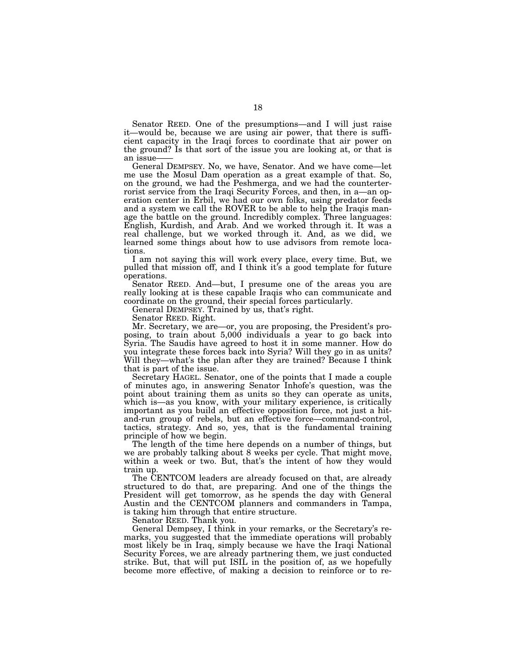Senator REED. One of the presumptions—and I will just raise it—would be, because we are using air power, that there is sufficient capacity in the Iraqi forces to coordinate that air power on the ground? Is that sort of the issue you are looking at, or that is an issue-

General DEMPSEY. No, we have, Senator. And we have come—let me use the Mosul Dam operation as a great example of that. So, on the ground, we had the Peshmerga, and we had the counterterrorist service from the Iraqi Security Forces, and then, in a—an operation center in Erbil, we had our own folks, using predator feeds and a system we call the ROVER to be able to help the Iraqis manage the battle on the ground. Incredibly complex. Three languages: English, Kurdish, and Arab. And we worked through it. It was a real challenge, but we worked through it. And, as we did, we learned some things about how to use advisors from remote locations.

I am not saying this will work every place, every time. But, we pulled that mission off, and I think it's a good template for future operations.

Senator REED. And—but, I presume one of the areas you are really looking at is these capable Iraqis who can communicate and coordinate on the ground, their special forces particularly.

General DEMPSEY. Trained by us, that's right.

Senator REED. Right.

Mr. Secretary, we are—or, you are proposing, the President's proposing, to train about 5,000 individuals a year to go back into Syria. The Saudis have agreed to host it in some manner. How do you integrate these forces back into Syria? Will they go in as units? Will they—what's the plan after they are trained? Because I think that is part of the issue.

Secretary HAGEL. Senator, one of the points that I made a couple of minutes ago, in answering Senator Inhofe's question, was the point about training them as units so they can operate as units, which is—as you know, with your military experience, is critically important as you build an effective opposition force, not just a hitand-run group of rebels, but an effective force—command-control, tactics, strategy. And so, yes, that is the fundamental training principle of how we begin.

The length of the time here depends on a number of things, but we are probably talking about 8 weeks per cycle. That might move, within a week or two. But, that's the intent of how they would train up.

The CENTCOM leaders are already focused on that, are already structured to do that, are preparing. And one of the things the President will get tomorrow, as he spends the day with General Austin and the CENTCOM planners and commanders in Tampa, is taking him through that entire structure.

Senator REED. Thank you.

General Dempsey, I think in your remarks, or the Secretary's remarks, you suggested that the immediate operations will probably most likely be in Iraq, simply because we have the Iraqi National Security Forces, we are already partnering them, we just conducted strike. But, that will put ISIL in the position of, as we hopefully become more effective, of making a decision to reinforce or to re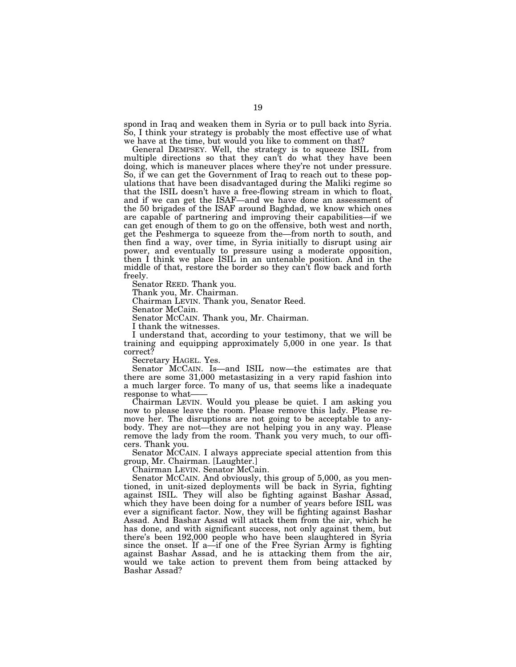spond in Iraq and weaken them in Syria or to pull back into Syria. So, I think your strategy is probably the most effective use of what we have at the time, but would you like to comment on that?

General DEMPSEY. Well, the strategy is to squeeze ISIL from multiple directions so that they can't do what they have been doing, which is maneuver places where they're not under pressure. So, if we can get the Government of Iraq to reach out to these populations that have been disadvantaged during the Maliki regime so that the ISIL doesn't have a free-flowing stream in which to float, and if we can get the ISAF—and we have done an assessment of the 50 brigades of the ISAF around Baghdad, we know which ones are capable of partnering and improving their capabilities—if we can get enough of them to go on the offensive, both west and north, get the Peshmerga to squeeze from the—from north to south, and then find a way, over time, in Syria initially to disrupt using air power, and eventually to pressure using a moderate opposition, then I think we place ISIL in an untenable position. And in the middle of that, restore the border so they can't flow back and forth freely.

Senator REED. Thank you.

Thank you, Mr. Chairman.

Chairman LEVIN. Thank you, Senator Reed.

Senator McCain.

Senator MCCAIN. Thank you, Mr. Chairman.

I thank the witnesses.

I understand that, according to your testimony, that we will be training and equipping approximately 5,000 in one year. Is that correct?

Secretary HAGEL. Yes.

Senator MCCAIN. Is—and ISIL now—the estimates are that there are some 31,000 metastasizing in a very rapid fashion into a much larger force. To many of us, that seems like a inadequate response to what-

Chairman LEVIN. Would you please be quiet. I am asking you now to please leave the room. Please remove this lady. Please remove her. The disruptions are not going to be acceptable to anybody. They are not—they are not helping you in any way. Please remove the lady from the room. Thank you very much, to our officers. Thank you.

Senator MCCAIN. I always appreciate special attention from this group, Mr. Chairman. [Laughter.]

Chairman LEVIN. Senator McCain.

Senator MCCAIN. And obviously, this group of 5,000, as you mentioned, in unit-sized deployments will be back in Syria, fighting against ISIL. They will also be fighting against Bashar Assad, which they have been doing for a number of years before ISIL was ever a significant factor. Now, they will be fighting against Bashar Assad. And Bashar Assad will attack them from the air, which he has done, and with significant success, not only against them, but there's been 192,000 people who have been slaughtered in Syria since the onset. If a—if one of the Free Syrian Army is fighting against Bashar Assad, and he is attacking them from the air, would we take action to prevent them from being attacked by Bashar Assad?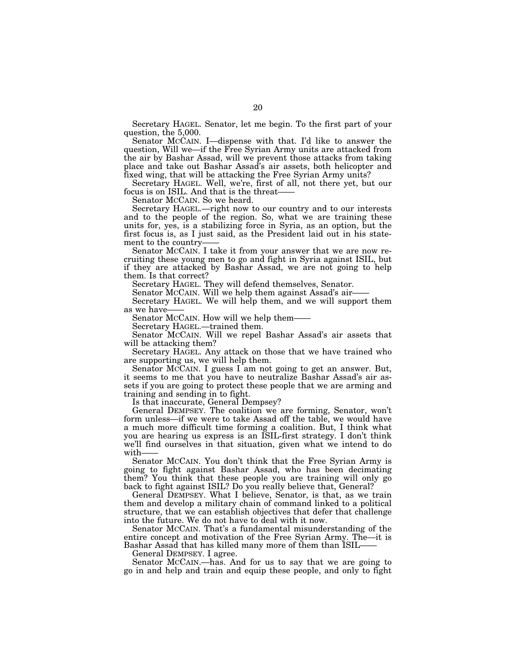Secretary HAGEL. Senator, let me begin. To the first part of your question, the 5,000.

Senator MCCAIN. I—dispense with that. I'd like to answer the question, Will we—if the Free Syrian Army units are attacked from the air by Bashar Assad, will we prevent those attacks from taking place and take out Bashar Assad's air assets, both helicopter and fixed wing, that will be attacking the Free Syrian Army units?

Secretary HAGEL. Well, we're, first of all, not there yet, but our focus is on ISIL. And that is the threat-

Senator MCCAIN. So we heard.

Secretary HAGEL.—right now to our country and to our interests and to the people of the region. So, what we are training these units for, yes, is a stabilizing force in Syria, as an option, but the first focus is, as I just said, as the President laid out in his statement to the country

Senator MCCAIN. I take it from your answer that we are now recruiting these young men to go and fight in Syria against ISIL, but if they are attacked by Bashar Assad, we are not going to help them. Is that correct?

Secretary HAGEL. They will defend themselves, Senator.

Senator MCCAIN. Will we help them against Assad's air——

Secretary HAGEL. We will help them, and we will support them as we have-

Senator MCCAIN. How will we help them-

Secretary HAGEL.—trained them.

Senator MCCAIN. Will we repel Bashar Assad's air assets that will be attacking them?

Secretary HAGEL. Any attack on those that we have trained who are supporting us, we will help them.

Senator MCCAIN. I guess I am not going to get an answer. But, it seems to me that you have to neutralize Bashar Assad's air assets if you are going to protect these people that we are arming and training and sending in to fight.

Is that inaccurate, General Dempsey?

General DEMPSEY. The coalition we are forming, Senator, won't form unless—if we were to take Assad off the table, we would have a much more difficult time forming a coalition. But, I think what you are hearing us express is an ISIL-first strategy. I don't think we'll find ourselves in that situation, given what we intend to do with——

Senator MCCAIN. You don't think that the Free Syrian Army is going to fight against Bashar Assad, who has been decimating them? You think that these people you are training will only go back to fight against ISIL? Do you really believe that, General?

General DEMPSEY. What I believe, Senator, is that, as we train them and develop a military chain of command linked to a political structure, that we can establish objectives that defer that challenge into the future. We do not have to deal with it now.

Senator MCCAIN. That's a fundamental misunderstanding of the entire concept and motivation of the Free Syrian Army. The—it is Bashar Assad that has killed many more of them than ISIL——

General DEMPSEY. I agree.

Senator MCCAIN.—has. And for us to say that we are going to go in and help and train and equip these people, and only to fight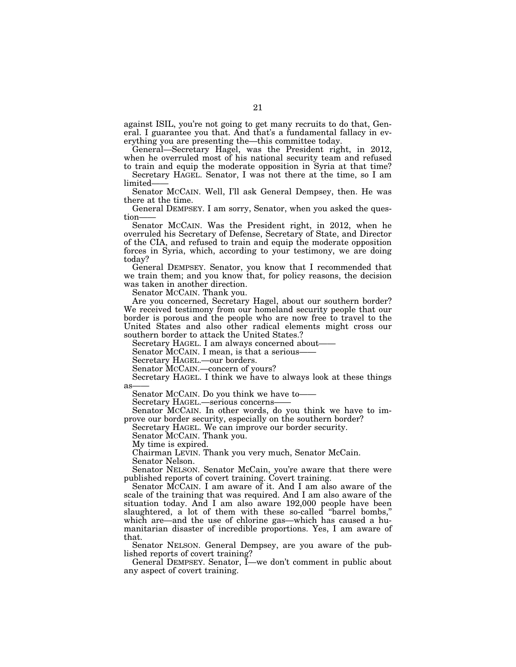against ISIL, you're not going to get many recruits to do that, General. I guarantee you that. And that's a fundamental fallacy in everything you are presenting the—this committee today.

General—Secretary Hagel, was the President right, in 2012, when he overruled most of his national security team and refused to train and equip the moderate opposition in Syria at that time?

Secretary HAGEL. Senator, I was not there at the time, so I am limited——

Senator MCCAIN. Well, I'll ask General Dempsey, then. He was there at the time.

General DEMPSEY. I am sorry, Senator, when you asked the question-

Senator MCCAIN. Was the President right, in 2012, when he overruled his Secretary of Defense, Secretary of State, and Director of the CIA, and refused to train and equip the moderate opposition forces in Syria, which, according to your testimony, we are doing today?

General DEMPSEY. Senator, you know that I recommended that we train them; and you know that, for policy reasons, the decision was taken in another direction.

Senator MCCAIN. Thank you.

Are you concerned, Secretary Hagel, about our southern border? We received testimony from our homeland security people that our border is porous and the people who are now free to travel to the United States and also other radical elements might cross our southern border to attack the United States.?

Secretary HAGEL. I am always concerned about-

Senator MCCAIN. I mean, is that a serious-

Secretary HAGEL.—our borders.

Senator MCCAIN.—concern of yours?

Secretary HAGEL. I think we have to always look at these things as

Senator MCCAIN. Do you think we have to——

Secretary HAGEL.—serious concerns-

Senator MCCAIN. In other words, do you think we have to improve our border security, especially on the southern border?

Secretary HAGEL. We can improve our border security.

Senator MCCAIN. Thank you.

My time is expired.

Chairman LEVIN. Thank you very much, Senator McCain.

Senator Nelson.

Senator NELSON. Senator McCain, you're aware that there were published reports of covert training. Covert training.

Senator MCCAIN. I am aware of it. And I am also aware of the scale of the training that was required. And I am also aware of the situation today. And I am also aware 192,000 people have been slaughtered, a lot of them with these so-called ''barrel bombs,'' which are—and the use of chlorine gas—which has caused a humanitarian disaster of incredible proportions. Yes, I am aware of that.

Senator NELSON. General Dempsey, are you aware of the published reports of covert training?

General DEMPSEY. Senator, I—we don't comment in public about any aspect of covert training.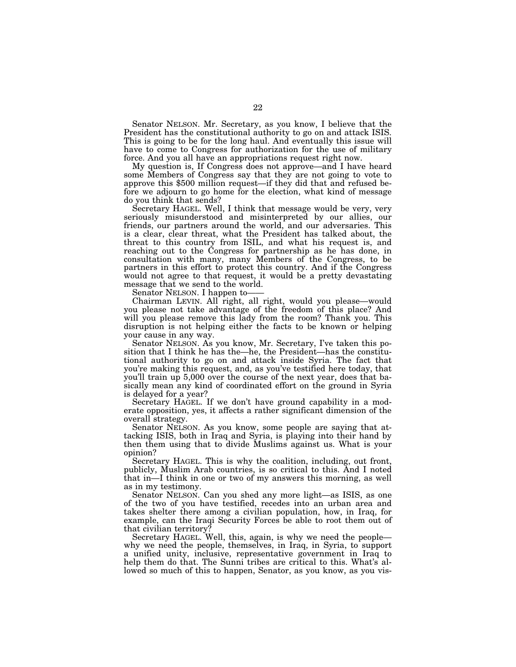Senator NELSON. Mr. Secretary, as you know, I believe that the President has the constitutional authority to go on and attack ISIS. This is going to be for the long haul. And eventually this issue will have to come to Congress for authorization for the use of military force. And you all have an appropriations request right now.

My question is, If Congress does not approve—and I have heard some Members of Congress say that they are not going to vote to approve this \$500 million request—if they did that and refused before we adjourn to go home for the election, what kind of message do you think that sends?

Secretary HAGEL. Well, I think that message would be very, very seriously misunderstood and misinterpreted by our allies, our friends, our partners around the world, and our adversaries. This is a clear, clear threat, what the President has talked about, the threat to this country from ISIL, and what his request is, and reaching out to the Congress for partnership as he has done, in consultation with many, many Members of the Congress, to be partners in this effort to protect this country. And if the Congress would not agree to that request, it would be a pretty devastating message that we send to the world.

Senator NELSON. I happen to-

Chairman LEVIN. All right, all right, would you please—would you please not take advantage of the freedom of this place? And will you please remove this lady from the room? Thank you. This disruption is not helping either the facts to be known or helping your cause in any way.

Senator NELSON. As you know, Mr. Secretary, I've taken this position that I think he has the—he, the President—has the constitutional authority to go on and attack inside Syria. The fact that you're making this request, and, as you've testified here today, that you'll train up 5,000 over the course of the next year, does that basically mean any kind of coordinated effort on the ground in Syria is delayed for a year?

Secretary HAGEL. If we don't have ground capability in a moderate opposition, yes, it affects a rather significant dimension of the overall strategy.

Senator NELSON. As you know, some people are saying that attacking ISIS, both in Iraq and Syria, is playing into their hand by then them using that to divide Muslims against us. What is your opinion?

Secretary HAGEL. This is why the coalition, including, out front, publicly, Muslim Arab countries, is so critical to this. And I noted that in—I think in one or two of my answers this morning, as well as in my testimony.

Senator NELSON. Can you shed any more light—as ISIS, as one of the two of you have testified, recedes into an urban area and takes shelter there among a civilian population, how, in Iraq, for example, can the Iraqi Security Forces be able to root them out of that civilian territory?

Secretary HAGEL. Well, this, again, is why we need the people why we need the people, themselves, in Iraq, in Syria, to support a unified unity, inclusive, representative government in Iraq to help them do that. The Sunni tribes are critical to this. What's allowed so much of this to happen, Senator, as you know, as you vis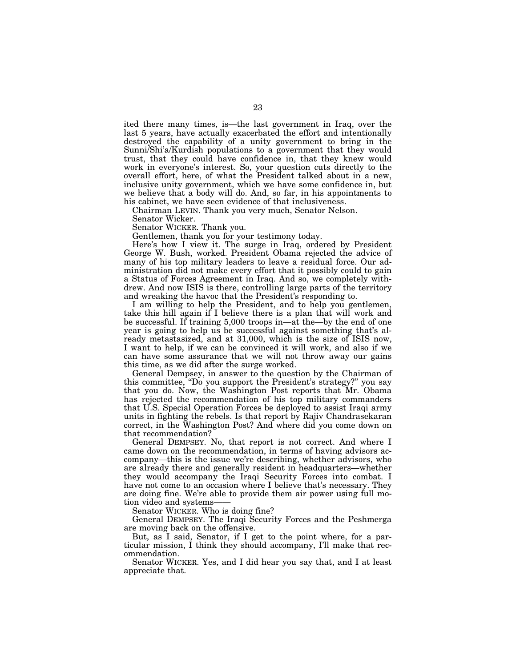ited there many times, is—the last government in Iraq, over the last 5 years, have actually exacerbated the effort and intentionally destroyed the capability of a unity government to bring in the Sunni/Shi'a/Kurdish populations to a government that they would trust, that they could have confidence in, that they knew would work in everyone's interest. So, your question cuts directly to the overall effort, here, of what the President talked about in a new, inclusive unity government, which we have some confidence in, but we believe that a body will do. And, so far, in his appointments to his cabinet, we have seen evidence of that inclusiveness.

Chairman LEVIN. Thank you very much, Senator Nelson.

Senator Wicker.

Senator WICKER. Thank you.

Gentlemen, thank you for your testimony today.

Here's how I view it. The surge in Iraq, ordered by President George W. Bush, worked. President Obama rejected the advice of many of his top military leaders to leave a residual force. Our administration did not make every effort that it possibly could to gain a Status of Forces Agreement in Iraq. And so, we completely withdrew. And now ISIS is there, controlling large parts of the territory and wreaking the havoc that the President's responding to.

I am willing to help the President, and to help you gentlemen, take this hill again if I believe there is a plan that will work and be successful. If training 5,000 troops in—at the—by the end of one year is going to help us be successful against something that's already metastasized, and at 31,000, which is the size of ISIS now, I want to help, if we can be convinced it will work, and also if we can have some assurance that we will not throw away our gains this time, as we did after the surge worked.

General Dempsey, in answer to the question by the Chairman of this committee, ''Do you support the President's strategy?'' you say that you do. Now, the Washington Post reports that Mr. Obama has rejected the recommendation of his top military commanders that U.S. Special Operation Forces be deployed to assist Iraqi army units in fighting the rebels. Is that report by Rajiv Chandrasekaran correct, in the Washington Post? And where did you come down on that recommendation?

General DEMPSEY. No, that report is not correct. And where I came down on the recommendation, in terms of having advisors accompany—this is the issue we're describing, whether advisors, who are already there and generally resident in headquarters—whether they would accompany the Iraqi Security Forces into combat. I have not come to an occasion where I believe that's necessary. They are doing fine. We're able to provide them air power using full motion video and systems-

Senator WICKER. Who is doing fine?

General DEMPSEY. The Iraqi Security Forces and the Peshmerga are moving back on the offensive.

But, as I said, Senator, if I get to the point where, for a particular mission, I think they should accompany, I'll make that recommendation.

Senator WICKER. Yes, and I did hear you say that, and I at least appreciate that.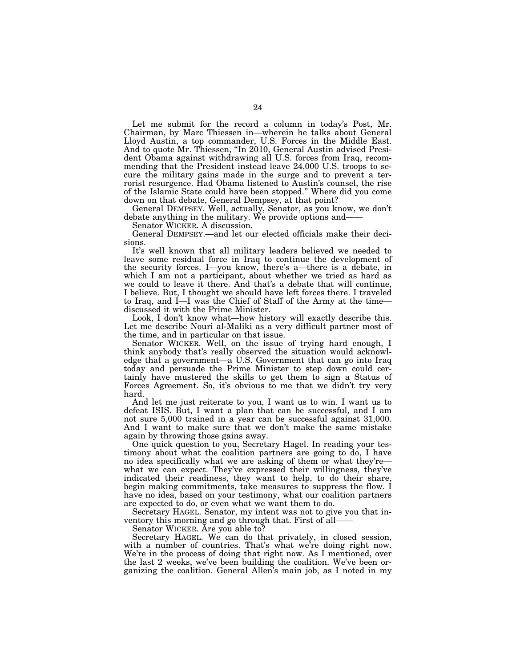Let me submit for the record a column in today's Post, Mr. Chairman, by Marc Thiessen in—wherein he talks about General Lloyd Austin, a top commander, U.S. Forces in the Middle East. And to quote Mr. Thiessen, "In 2010, General Austin advised President Obama against withdrawing all U.S. forces from Iraq, recommending that the President instead leave 24,000 U.S. troops to secure the military gains made in the surge and to prevent a terrorist resurgence. Had Obama listened to Austin's counsel, the rise of the Islamic State could have been stopped.'' Where did you come down on that debate, General Dempsey, at that point?

General DEMPSEY. Well, actually, Senator, as you know, we don't debate anything in the military. We provide options and——

Senator WICKER. A discussion.

General DEMPSEY.—and let our elected officials make their decisions.

It's well known that all military leaders believed we needed to leave some residual force in Iraq to continue the development of the security forces. I—you know, there's a—there is a debate, in which I am not a participant, about whether we tried as hard as we could to leave it there. And that's a debate that will continue, I believe. But, I thought we should have left forces there. I traveled to Iraq, and I—I was the Chief of Staff of the Army at the time discussed it with the Prime Minister.

Look, I don't know what—how history will exactly describe this. Let me describe Nouri al-Maliki as a very difficult partner most of the time, and in particular on that issue.

Senator WICKER. Well, on the issue of trying hard enough, I think anybody that's really observed the situation would acknowledge that a government—a U.S. Government that can go into Iraq today and persuade the Prime Minister to step down could certainly have mustered the skills to get them to sign a Status of Forces Agreement. So, it's obvious to me that we didn't try very hard.

And let me just reiterate to you, I want us to win. I want us to defeat ISIS. But, I want a plan that can be successful, and I am not sure 5,000 trained in a year can be successful against 31,000. And I want to make sure that we don't make the same mistake again by throwing those gains away.

One quick question to you, Secretary Hagel. In reading your testimony about what the coalition partners are going to do, I have no idea specifically what we are asking of them or what they're what we can expect. They've expressed their willingness, they've indicated their readiness, they want to help, to do their share, begin making commitments, take measures to suppress the flow. I have no idea, based on your testimony, what our coalition partners are expected to do, or even what we want them to do.

Secretary HAGEL. Senator, my intent was not to give you that inventory this morning and go through that. First of all——

Senator WICKER. Are you able to?

Secretary HAGEL. We can do that privately, in closed session, with a number of countries. That's what we're doing right now. We're in the process of doing that right now. As I mentioned, over the last 2 weeks, we've been building the coalition. We've been organizing the coalition. General Allen's main job, as I noted in my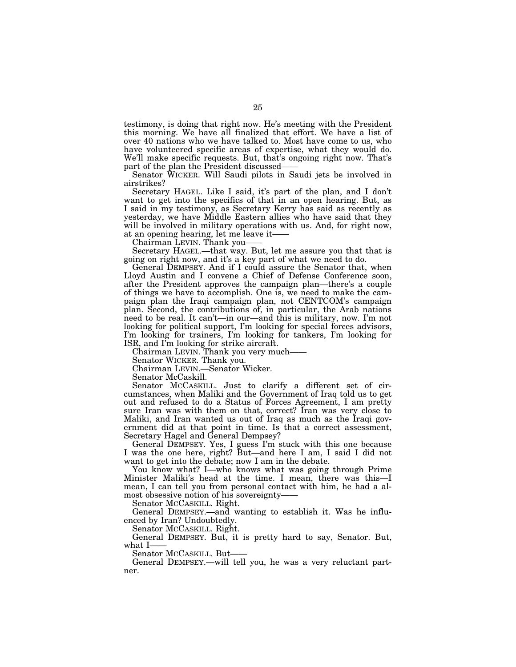testimony, is doing that right now. He's meeting with the President this morning. We have all finalized that effort. We have a list of over 40 nations who we have talked to. Most have come to us, who have volunteered specific areas of expertise, what they would do. We'll make specific requests. But, that's ongoing right now. That's part of the plan the President discussed-

Senator WICKER. Will Saudi pilots in Saudi jets be involved in airstrikes?

Secretary HAGEL. Like I said, it's part of the plan, and I don't want to get into the specifics of that in an open hearing. But, as I said in my testimony, as Secretary Kerry has said as recently as yesterday, we have Middle Eastern allies who have said that they will be involved in military operations with us. And, for right now, at an opening hearing, let me leave it-

Chairman LEVIN. Thank you——

Secretary HAGEL.—that way. But, let me assure you that that is going on right now, and it's a key part of what we need to do.

General DEMPSEY. And if I could assure the Senator that, when Lloyd Austin and I convene a Chief of Defense Conference soon, after the President approves the campaign plan—there's a couple of things we have to accomplish. One is, we need to make the campaign plan the Iraqi campaign plan, not CENTCOM's campaign plan. Second, the contributions of, in particular, the Arab nations need to be real. It can't—in our—and this is military, now. I'm not looking for political support, I'm looking for special forces advisors, I'm looking for trainers, I'm looking for tankers, I'm looking for ISR, and I'm looking for strike aircraft.

Chairman LEVIN. Thank you very much——

Senator WICKER. Thank you.

Chairman LEVIN.—Senator Wicker.

Senator McCaskill.

Senator MCCASKILL. Just to clarify a different set of circumstances, when Maliki and the Government of Iraq told us to get out and refused to do a Status of Forces Agreement, I am pretty sure Iran was with them on that, correct? Iran was very close to Maliki, and Iran wanted us out of Iraq as much as the Iraqi government did at that point in time. Is that a correct assessment, Secretary Hagel and General Dempsey?

General DEMPSEY. Yes, I guess I'm stuck with this one because I was the one here, right? But—and here I am, I said I did not want to get into the debate; now I am in the debate.

You know what? I—who knows what was going through Prime Minister Maliki's head at the time. I mean, there was this—I mean, I can tell you from personal contact with him, he had a almost obsessive notion of his sovereignty-

Senator MCCASKILL. Right.

General DEMPSEY.—and wanting to establish it. Was he influenced by Iran? Undoubtedly.

Senator MCCASKILL. Right.

General DEMPSEY. But, it is pretty hard to say, Senator. But, what I-

Senator MCCASKILL. But-

General DEMPSEY.—will tell you, he was a very reluctant partner.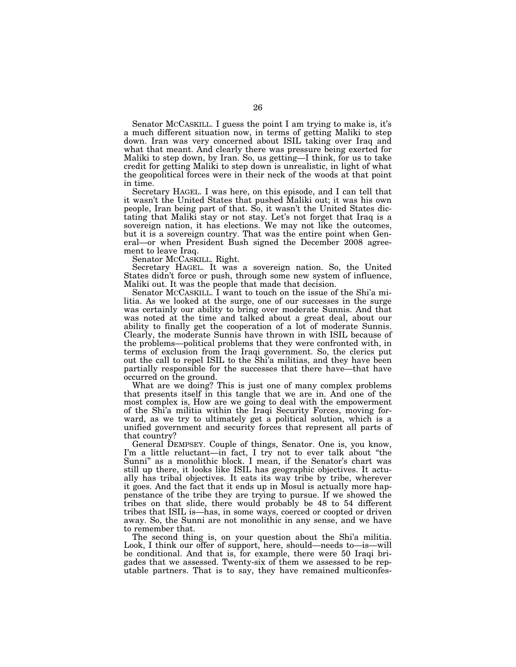Senator MCCASKILL. I guess the point I am trying to make is, it's a much different situation now, in terms of getting Maliki to step down. Iran was very concerned about ISIL taking over Iraq and what that meant. And clearly there was pressure being exerted for Maliki to step down, by Iran. So, us getting—I think, for us to take credit for getting Maliki to step down is unrealistic, in light of what the geopolitical forces were in their neck of the woods at that point in time.

Secretary HAGEL. I was here, on this episode, and I can tell that it wasn't the United States that pushed Maliki out; it was his own people, Iran being part of that. So, it wasn't the United States dictating that Maliki stay or not stay. Let's not forget that Iraq is a sovereign nation, it has elections. We may not like the outcomes, but it is a sovereign country. That was the entire point when General—or when President Bush signed the December 2008 agreement to leave Iraq.

Senator MCCASKILL. Right.

Secretary HAGEL. It was a sovereign nation. So, the United States didn't force or push, through some new system of influence, Maliki out. It was the people that made that decision.

Senator MCCASKILL. I want to touch on the issue of the Shi'a militia. As we looked at the surge, one of our successes in the surge was certainly our ability to bring over moderate Sunnis. And that was noted at the time and talked about a great deal, about our ability to finally get the cooperation of a lot of moderate Sunnis. Clearly, the moderate Sunnis have thrown in with ISIL because of the problems—political problems that they were confronted with, in terms of exclusion from the Iraqi government. So, the clerics put out the call to repel ISIL to the Shi'a militias, and they have been partially responsible for the successes that there have—that have occurred on the ground.

What are we doing? This is just one of many complex problems that presents itself in this tangle that we are in. And one of the most complex is, How are we going to deal with the empowerment of the Shi'a militia within the Iraqi Security Forces, moving forward, as we try to ultimately get a political solution, which is a unified government and security forces that represent all parts of that country?

General DEMPSEY. Couple of things, Senator. One is, you know, I'm a little reluctant—in fact, I try not to ever talk about ''the Sunni'' as a monolithic block. I mean, if the Senator's chart was still up there, it looks like ISIL has geographic objectives. It actually has tribal objectives. It eats its way tribe by tribe, wherever it goes. And the fact that it ends up in Mosul is actually more happenstance of the tribe they are trying to pursue. If we showed the tribes on that slide, there would probably be 48 to 54 different tribes that ISIL is—has, in some ways, coerced or coopted or driven away. So, the Sunni are not monolithic in any sense, and we have to remember that.

The second thing is, on your question about the Shi'a militia. Look, I think our offer of support, here, should—needs to—is—will be conditional. And that is, for example, there were 50 Iraqi brigades that we assessed. Twenty-six of them we assessed to be reputable partners. That is to say, they have remained multiconfes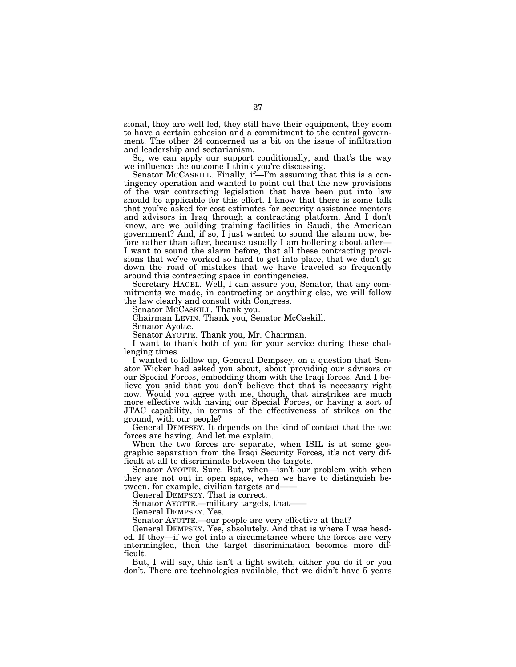sional, they are well led, they still have their equipment, they seem to have a certain cohesion and a commitment to the central government. The other 24 concerned us a bit on the issue of infiltration and leadership and sectarianism.

So, we can apply our support conditionally, and that's the way we influence the outcome I think you're discussing.

Senator MCCASKILL. Finally, if—I'm assuming that this is a contingency operation and wanted to point out that the new provisions of the war contracting legislation that have been put into law should be applicable for this effort. I know that there is some talk that you've asked for cost estimates for security assistance mentors and advisors in Iraq through a contracting platform. And I don't know, are we building training facilities in Saudi, the American government? And, if so, I just wanted to sound the alarm now, before rather than after, because usually I am hollering about after— I want to sound the alarm before, that all these contracting provisions that we've worked so hard to get into place, that we don't go down the road of mistakes that we have traveled so frequently around this contracting space in contingencies.

Secretary HAGEL. Well, I can assure you, Senator, that any commitments we made, in contracting or anything else, we will follow the law clearly and consult with Congress.

Senator MCCASKILL. Thank you.

Chairman LEVIN. Thank you, Senator McCaskill.

Senator Ayotte.

Senator AYOTTE. Thank you, Mr. Chairman.

I want to thank both of you for your service during these challenging times.

I wanted to follow up, General Dempsey, on a question that Senator Wicker had asked you about, about providing our advisors or our Special Forces, embedding them with the Iraqi forces. And I believe you said that you don't believe that that is necessary right now. Would you agree with me, though, that airstrikes are much more effective with having our Special Forces, or having a sort of JTAC capability, in terms of the effectiveness of strikes on the ground, with our people?

General DEMPSEY. It depends on the kind of contact that the two forces are having. And let me explain.

When the two forces are separate, when ISIL is at some geographic separation from the Iraqi Security Forces, it's not very difficult at all to discriminate between the targets.

Senator AYOTTE. Sure. But, when—isn't our problem with when they are not out in open space, when we have to distinguish between, for example, civilian targets and-

General DEMPSEY. That is correct.

Senator AYOTTE.—military targets, that—

General DEMPSEY. Yes.

Senator AYOTTE.—our people are very effective at that?

General DEMPSEY. Yes, absolutely. And that is where I was headed. If they—if we get into a circumstance where the forces are very intermingled, then the target discrimination becomes more difficult.

But, I will say, this isn't a light switch, either you do it or you don't. There are technologies available, that we didn't have 5 years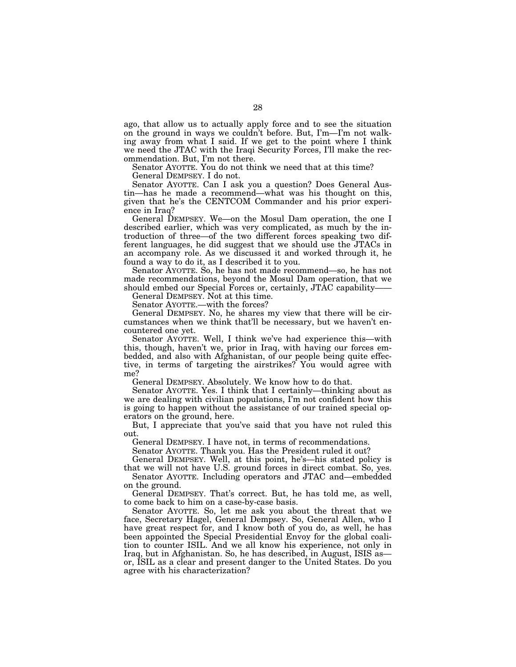ago, that allow us to actually apply force and to see the situation on the ground in ways we couldn't before. But, I'm—I'm not walking away from what I said. If we get to the point where I think we need the JTAC with the Iraqi Security Forces, I'll make the recommendation. But, I'm not there.

Senator AYOTTE. You do not think we need that at this time?

General DEMPSEY. I do not.

Senator AYOTTE. Can I ask you a question? Does General Austin—has he made a recommend—what was his thought on this, given that he's the CENTCOM Commander and his prior experience in Iraq?

General DEMPSEY. We—on the Mosul Dam operation, the one I described earlier, which was very complicated, as much by the introduction of three—of the two different forces speaking two different languages, he did suggest that we should use the JTACs in an accompany role. As we discussed it and worked through it, he found a way to do it, as I described it to you.

Senator AYOTTE. So, he has not made recommend—so, he has not made recommendations, beyond the Mosul Dam operation, that we should embed our Special Forces or, certainly, JTAC capability-

General DEMPSEY. Not at this time.

Senator AYOTTE.—with the forces?

General DEMPSEY. No, he shares my view that there will be circumstances when we think that'll be necessary, but we haven't encountered one yet.

Senator AYOTTE. Well, I think we've had experience this—with this, though, haven't we, prior in Iraq, with having our forces embedded, and also with Afghanistan, of our people being quite effective, in terms of targeting the airstrikes? You would agree with me?

General DEMPSEY. Absolutely. We know how to do that.

Senator AYOTTE. Yes. I think that I certainly—thinking about as we are dealing with civilian populations, I'm not confident how this is going to happen without the assistance of our trained special operators on the ground, here.

But, I appreciate that you've said that you have not ruled this out.

General DEMPSEY. I have not, in terms of recommendations.

Senator AYOTTE. Thank you. Has the President ruled it out?

General DEMPSEY. Well, at this point, he's—his stated policy is that we will not have U.S. ground forces in direct combat. So, yes.

Senator AYOTTE. Including operators and JTAC and—embedded on the ground.

General DEMPSEY. That's correct. But, he has told me, as well, to come back to him on a case-by-case basis.

Senator AYOTTE. So, let me ask you about the threat that we face, Secretary Hagel, General Dempsey. So, General Allen, who I have great respect for, and I know both of you do, as well, he has been appointed the Special Presidential Envoy for the global coalition to counter ISIL. And we all know his experience, not only in Iraq, but in Afghanistan. So, he has described, in August, ISIS as or, ISIL as a clear and present danger to the United States. Do you agree with his characterization?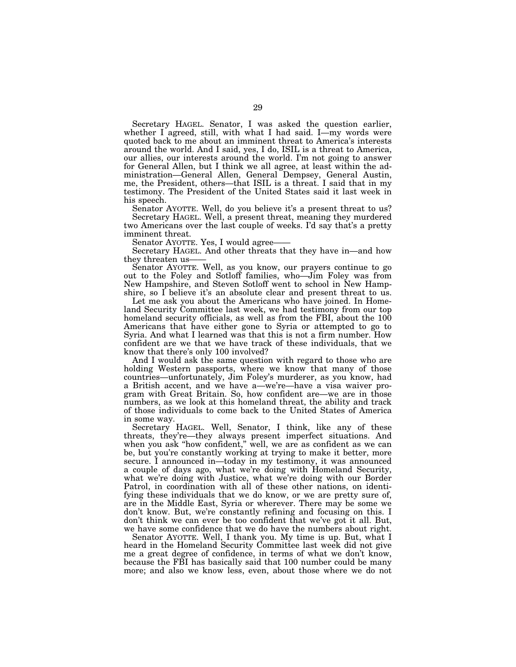Secretary HAGEL. Senator, I was asked the question earlier, whether I agreed, still, with what I had said. I—my words were quoted back to me about an imminent threat to America's interests around the world. And I said, yes, I do, ISIL is a threat to America, our allies, our interests around the world. I'm not going to answer for General Allen, but I think we all agree, at least within the administration—General Allen, General Dempsey, General Austin, me, the President, others—that ISIL is a threat. I said that in my testimony. The President of the United States said it last week in his speech.

Senator AYOTTE. Well, do you believe it's a present threat to us? Secretary HAGEL. Well, a present threat, meaning they murdered two Americans over the last couple of weeks. I'd say that's a pretty imminent threat.

Senator AYOTTE. Yes, I would agree-

Secretary HAGEL. And other threats that they have in—and how they threaten us-

Senator AYOTTE. Well, as you know, our prayers continue to go out to the Foley and Sotloff families, who—Jim Foley was from New Hampshire, and Steven Sotloff went to school in New Hampshire, so I believe it's an absolute clear and present threat to us.

Let me ask you about the Americans who have joined. In Homeland Security Committee last week, we had testimony from our top homeland security officials, as well as from the FBI, about the 100 Americans that have either gone to Syria or attempted to go to Syria. And what I learned was that this is not a firm number. How confident are we that we have track of these individuals, that we know that there's only 100 involved?

And I would ask the same question with regard to those who are holding Western passports, where we know that many of those countries—unfortunately, Jim Foley's murderer, as you know, had a British accent, and we have a—we're—have a visa waiver program with Great Britain. So, how confident are—we are in those numbers, as we look at this homeland threat, the ability and track of those individuals to come back to the United States of America in some way.

Secretary HAGEL. Well, Senator, I think, like any of these threats, they're—they always present imperfect situations. And when you ask ''how confident,'' well, we are as confident as we can be, but you're constantly working at trying to make it better, more secure. I announced in—today in my testimony, it was announced a couple of days ago, what we're doing with Homeland Security, what we're doing with Justice, what we're doing with our Border Patrol, in coordination with all of these other nations, on identifying these individuals that we do know, or we are pretty sure of, are in the Middle East, Syria or wherever. There may be some we don't know. But, we're constantly refining and focusing on this. I don't think we can ever be too confident that we've got it all. But, we have some confidence that we do have the numbers about right.

Senator AYOTTE. Well, I thank you. My time is up. But, what I heard in the Homeland Security Committee last week did not give me a great degree of confidence, in terms of what we don't know, because the FBI has basically said that 100 number could be many more; and also we know less, even, about those where we do not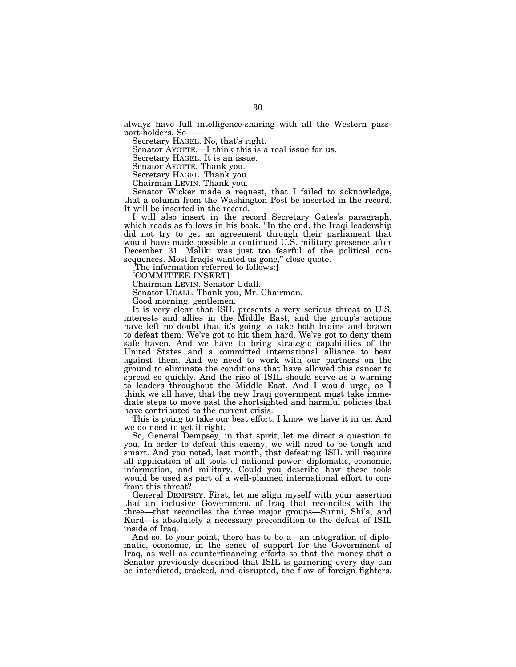always have full intelligence-sharing with all the Western passport-holders. So——

Secretary HAGEL. No, that's right.

Senator AYOTTE.—I think this is a real issue for us.

Secretary HAGEL. It is an issue.

Senator AYOTTE. Thank you.

Secretary HAGEL. Thank you.

Chairman LEVIN. Thank you.

Senator Wicker made a request, that I failed to acknowledge, that a column from the Washington Post be inserted in the record. It will be inserted in the record.

I will also insert in the record Secretary Gates's paragraph, which reads as follows in his book, "In the end, the Iraqi leadership did not try to get an agreement through their parliament that would have made possible a continued U.S. military presence after December 31. Maliki was just too fearful of the political consequences. Most Iraqis wanted us gone," close quote.

[The information referred to follows:]

[COMMITTEE INSERT]

Chairman LEVIN. Senator Udall.

Senator UDALL. Thank you, Mr. Chairman.

Good morning, gentlemen.

It is very clear that ISIL presents a very serious threat to U.S. interests and allies in the Middle East, and the group's actions have left no doubt that it's going to take both brains and brawn to defeat them. We've got to hit them hard. We've got to deny them safe haven. And we have to bring strategic capabilities of the United States and a committed international alliance to bear against them. And we need to work with our partners on the ground to eliminate the conditions that have allowed this cancer to spread so quickly. And the rise of ISIL should serve as a warning to leaders throughout the Middle East. And I would urge, as I think we all have, that the new Iraqi government must take immediate steps to move past the shortsighted and harmful policies that have contributed to the current crisis.

This is going to take our best effort. I know we have it in us. And we do need to get it right.

So, General Dempsey, in that spirit, let me direct a question to you. In order to defeat this enemy, we will need to be tough and smart. And you noted, last month, that defeating ISIL will require all application of all tools of national power: diplomatic, economic, information, and military. Could you describe how these tools would be used as part of a well-planned international effort to confront this threat?

General DEMPSEY. First, let me align myself with your assertion that an inclusive Government of Iraq that reconciles with the three—that reconciles the three major groups—Sunni, Shi'a, and Kurd—is absolutely a necessary precondition to the defeat of ISIL inside of Iraq.

And so, to your point, there has to be a—an integration of diplomatic, economic, in the sense of support for the Government of Iraq, as well as counterfinancing efforts so that the money that a Senator previously described that ISIL is garnering every day can be interdicted, tracked, and disrupted, the flow of foreign fighters.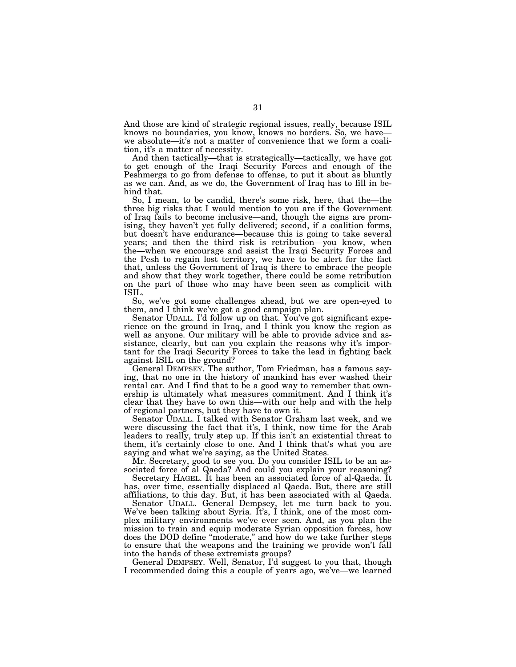And those are kind of strategic regional issues, really, because ISIL knows no boundaries, you know, knows no borders. So, we have we absolute—it's not a matter of convenience that we form a coalition, it's a matter of necessity.

And then tactically—that is strategically—tactically, we have got to get enough of the Iraqi Security Forces and enough of the Peshmerga to go from defense to offense, to put it about as bluntly as we can. And, as we do, the Government of Iraq has to fill in behind that.

So, I mean, to be candid, there's some risk, here, that the—the three big risks that I would mention to you are if the Government of Iraq fails to become inclusive—and, though the signs are promising, they haven't yet fully delivered; second, if a coalition forms, but doesn't have endurance—because this is going to take several years; and then the third risk is retribution—you know, when the—when we encourage and assist the Iraqi Security Forces and the Pesh to regain lost territory, we have to be alert for the fact that, unless the Government of Iraq is there to embrace the people and show that they work together, there could be some retribution on the part of those who may have been seen as complicit with ISIL.

So, we've got some challenges ahead, but we are open-eyed to them, and I think we've got a good campaign plan.

Senator UDALL. I'd follow up on that. You've got significant experience on the ground in Iraq, and I think you know the region as well as anyone. Our military will be able to provide advice and assistance, clearly, but can you explain the reasons why it's important for the Iraqi Security Forces to take the lead in fighting back against ISIL on the ground?

General DEMPSEY. The author, Tom Friedman, has a famous saying, that no one in the history of mankind has ever washed their rental car. And I find that to be a good way to remember that ownership is ultimately what measures commitment. And I think it's clear that they have to own this—with our help and with the help of regional partners, but they have to own it.

Senator UDALL. I talked with Senator Graham last week, and we were discussing the fact that it's, I think, now time for the Arab leaders to really, truly step up. If this isn't an existential threat to them, it's certainly close to one. And I think that's what you are saying and what we're saying, as the United States.

Mr. Secretary, good to see you. Do you consider ISIL to be an associated force of al Qaeda? And could you explain your reasoning?

Secretary HAGEL. It has been an associated force of al-Qaeda. It has, over time, essentially displaced al Qaeda. But, there are still affiliations, to this day. But, it has been associated with al Qaeda.

Senator UDALL. General Dempsey, let me turn back to you. We've been talking about Syria. It's, I think, one of the most complex military environments we've ever seen. And, as you plan the mission to train and equip moderate Syrian opposition forces, how does the DOD define ''moderate,'' and how do we take further steps to ensure that the weapons and the training we provide won't fall into the hands of these extremists groups?

General DEMPSEY. Well, Senator, I'd suggest to you that, though I recommended doing this a couple of years ago, we've—we learned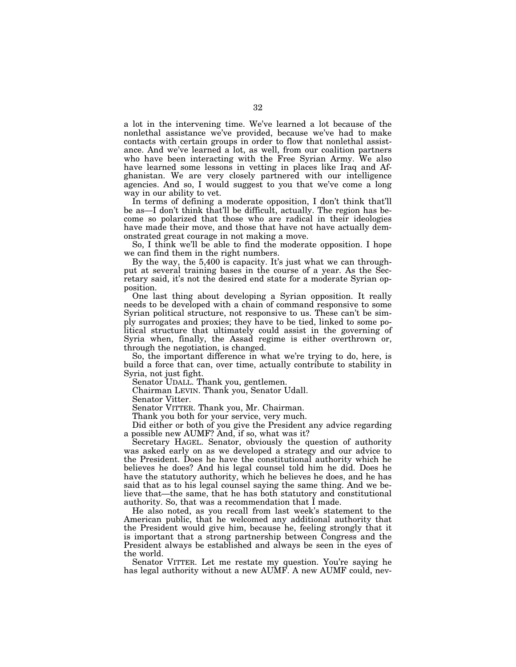a lot in the intervening time. We've learned a lot because of the nonlethal assistance we've provided, because we've had to make contacts with certain groups in order to flow that nonlethal assistance. And we've learned a lot, as well, from our coalition partners who have been interacting with the Free Syrian Army. We also have learned some lessons in vetting in places like Iraq and Afghanistan. We are very closely partnered with our intelligence agencies. And so, I would suggest to you that we've come a long way in our ability to vet.

In terms of defining a moderate opposition, I don't think that'll be as—I don't think that'll be difficult, actually. The region has become so polarized that those who are radical in their ideologies have made their move, and those that have not have actually demonstrated great courage in not making a move.

So, I think we'll be able to find the moderate opposition. I hope we can find them in the right numbers.

By the way, the 5,400 is capacity. It's just what we can throughput at several training bases in the course of a year. As the Secretary said, it's not the desired end state for a moderate Syrian opposition.

One last thing about developing a Syrian opposition. It really needs to be developed with a chain of command responsive to some Syrian political structure, not responsive to us. These can't be simply surrogates and proxies; they have to be tied, linked to some political structure that ultimately could assist in the governing of Syria when, finally, the Assad regime is either overthrown or, through the negotiation, is changed.

So, the important difference in what we're trying to do, here, is build a force that can, over time, actually contribute to stability in Syria, not just fight.

Senator UDALL. Thank you, gentlemen.

Chairman LEVIN. Thank you, Senator Udall.

Senator Vitter.

Senator VITTER. Thank you, Mr. Chairman.

Thank you both for your service, very much.

Did either or both of you give the President any advice regarding a possible new AUMF? And, if so, what was it?

Secretary HAGEL. Senator, obviously the question of authority was asked early on as we developed a strategy and our advice to the President. Does he have the constitutional authority which he believes he does? And his legal counsel told him he did. Does he have the statutory authority, which he believes he does, and he has said that as to his legal counsel saying the same thing. And we believe that—the same, that he has both statutory and constitutional authority. So, that was a recommendation that I made.

He also noted, as you recall from last week's statement to the American public, that he welcomed any additional authority that the President would give him, because he, feeling strongly that it is important that a strong partnership between Congress and the President always be established and always be seen in the eyes of the world.

Senator VITTER. Let me restate my question. You're saying he has legal authority without a new AUMF. A new AUMF could, nev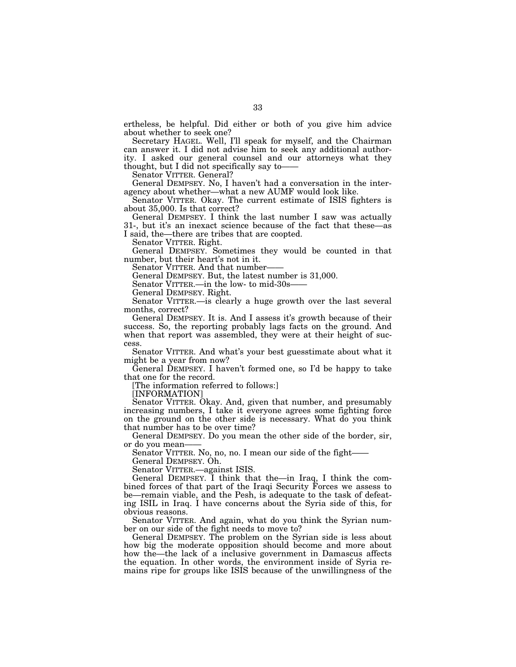ertheless, be helpful. Did either or both of you give him advice about whether to seek one?

Secretary HAGEL. Well, I'll speak for myself, and the Chairman can answer it. I did not advise him to seek any additional authority. I asked our general counsel and our attorneys what they thought, but I did not specifically say to——

Senator VITTER. General?

General DEMPSEY. No, I haven't had a conversation in the interagency about whether—what a new AUMF would look like.

Senator VITTER. Okay. The current estimate of ISIS fighters is about 35,000. Is that correct?

General DEMPSEY. I think the last number I saw was actually 31-, but it's an inexact science because of the fact that these—as I said, the—there are tribes that are coopted.

Senator VITTER. Right.

General DEMPSEY. Sometimes they would be counted in that number, but their heart's not in it.

Senator VITTER. And that number-

General DEMPSEY. But, the latest number is 31,000.

Senator VITTER.—in the low- to mid-30s-

General DEMPSEY. Right.

Senator VITTER.—is clearly a huge growth over the last several months, correct?

General DEMPSEY. It is. And I assess it's growth because of their success. So, the reporting probably lags facts on the ground. And when that report was assembled, they were at their height of success.

Senator VITTER. And what's your best guesstimate about what it might be a year from now?

General DEMPSEY. I haven't formed one, so I'd be happy to take that one for the record.

[The information referred to follows:]

[INFORMATION]

Senator VITTER. Okay. And, given that number, and presumably increasing numbers, I take it everyone agrees some fighting force on the ground on the other side is necessary. What do you think that number has to be over time?

General DEMPSEY. Do you mean the other side of the border, sir, or do you mean——

Senator VITTER. No, no, no. I mean our side of the fight——

General DEMPSEY. Oh.

Senator VITTER.—against ISIS.

General DEMPSEY. I think that the—in Iraq, I think the combined forces of that part of the Iraqi Security Forces we assess to be—remain viable, and the Pesh, is adequate to the task of defeating ISIL in Iraq. I have concerns about the Syria side of this, for obvious reasons.

Senator VITTER. And again, what do you think the Syrian number on our side of the fight needs to move to?

General DEMPSEY. The problem on the Syrian side is less about how big the moderate opposition should become and more about how the—the lack of a inclusive government in Damascus affects the equation. In other words, the environment inside of Syria remains ripe for groups like ISIS because of the unwillingness of the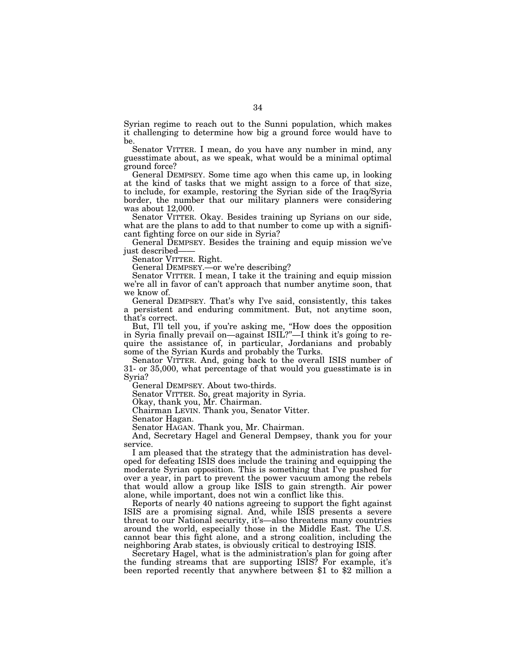Syrian regime to reach out to the Sunni population, which makes it challenging to determine how big a ground force would have to be.

Senator VITTER. I mean, do you have any number in mind, any guesstimate about, as we speak, what would be a minimal optimal ground force?

General DEMPSEY. Some time ago when this came up, in looking at the kind of tasks that we might assign to a force of that size, to include, for example, restoring the Syrian side of the Iraq/Syria border, the number that our military planners were considering was about 12,000.

Senator VITTER. Okay. Besides training up Syrians on our side, what are the plans to add to that number to come up with a significant fighting force on our side in Syria?

General DEMPSEY. Besides the training and equip mission we've just described——

Senator VITTER. Right.

General DEMPSEY.—or we're describing?

Senator VITTER. I mean, I take it the training and equip mission we're all in favor of can't approach that number anytime soon, that we know of.

General DEMPSEY. That's why I've said, consistently, this takes a persistent and enduring commitment. But, not anytime soon, that's correct.

But, I'll tell you, if you're asking me, ''How does the opposition in Syria finally prevail on—against ISIL?''—I think it's going to require the assistance of, in particular, Jordanians and probably some of the Syrian Kurds and probably the Turks.

Senator VITTER. And, going back to the overall ISIS number of 31- or 35,000, what percentage of that would you guesstimate is in Syria?

General DEMPSEY. About two-thirds.

Senator VITTER. So, great majority in Syria.

Okay, thank you, Mr. Chairman.

Chairman LEVIN. Thank you, Senator Vitter.

Senator Hagan.

Senator HAGAN. Thank you, Mr. Chairman.

And, Secretary Hagel and General Dempsey, thank you for your service.

I am pleased that the strategy that the administration has developed for defeating ISIS does include the training and equipping the moderate Syrian opposition. This is something that I've pushed for over a year, in part to prevent the power vacuum among the rebels that would allow a group like ISIS to gain strength. Air power alone, while important, does not win a conflict like this.

Reports of nearly 40 nations agreeing to support the fight against ISIS are a promising signal. And, while ISIS presents a severe threat to our National security, it's—also threatens many countries around the world, especially those in the Middle East. The U.S. cannot bear this fight alone, and a strong coalition, including the neighboring Arab states, is obviously critical to destroying ISIS.

Secretary Hagel, what is the administration's plan for going after the funding streams that are supporting ISIS? For example, it's been reported recently that anywhere between \$1 to \$2 million a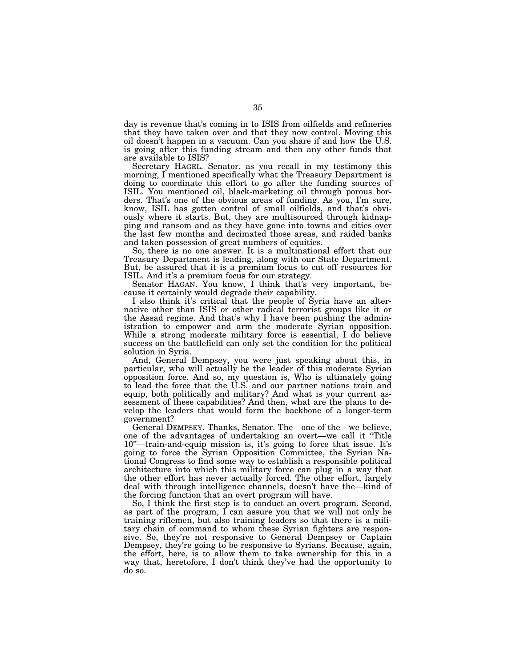day is revenue that's coming in to ISIS from oilfields and refineries that they have taken over and that they now control. Moving this oil doesn't happen in a vacuum. Can you share if and how the U.S. is going after this funding stream and then any other funds that are available to ISIS?

Secretary HAGEL. Senator, as you recall in my testimony this morning, I mentioned specifically what the Treasury Department is doing to coordinate this effort to go after the funding sources of ISIL. You mentioned oil, black-marketing oil through porous borders. That's one of the obvious areas of funding. As you, I'm sure, know, ISIL has gotten control of small oilfields, and that's obviously where it starts. But, they are multisourced through kidnapping and ransom and as they have gone into towns and cities over the last few months and decimated those areas, and raided banks and taken possession of great numbers of equities.

So, there is no one answer. It is a multinational effort that our Treasury Department is leading, along with our State Department. But, be assured that it is a premium focus to cut off resources for ISIL. And it's a premium focus for our strategy.

Senator HAGAN. You know, I think that's very important, because it certainly would degrade their capability.

I also think it's critical that the people of Syria have an alternative other than ISIS or other radical terrorist groups like it or the Assad regime. And that's why I have been pushing the administration to empower and arm the moderate Syrian opposition. While a strong moderate military force is essential, I do believe success on the battlefield can only set the condition for the political solution in Syria.

And, General Dempsey, you were just speaking about this, in particular, who will actually be the leader of this moderate Syrian opposition force. And so, my question is, Who is ultimately going to lead the force that the U.S. and our partner nations train and equip, both politically and military? And what is your current assessment of these capabilities? And then, what are the plans to develop the leaders that would form the backbone of a longer-term government?

General DEMPSEY. Thanks, Senator. The—one of the—we believe, one of the advantages of undertaking an overt—we call it ''Title 10''—train-and-equip mission is, it's going to force that issue. It's going to force the Syrian Opposition Committee, the Syrian National Congress to find some way to establish a responsible political architecture into which this military force can plug in a way that the other effort has never actually forced. The other effort, largely deal with through intelligence channels, doesn't have the—kind of the forcing function that an overt program will have.

So, I think the first step is to conduct an overt program. Second, as part of the program, I can assure you that we will not only be training riflemen, but also training leaders so that there is a military chain of command to whom these Syrian fighters are responsive. So, they're not responsive to General Dempsey or Captain Dempsey, they're going to be responsive to Syrians. Because, again, the effort, here, is to allow them to take ownership for this in a way that, heretofore, I don't think they've had the opportunity to do so.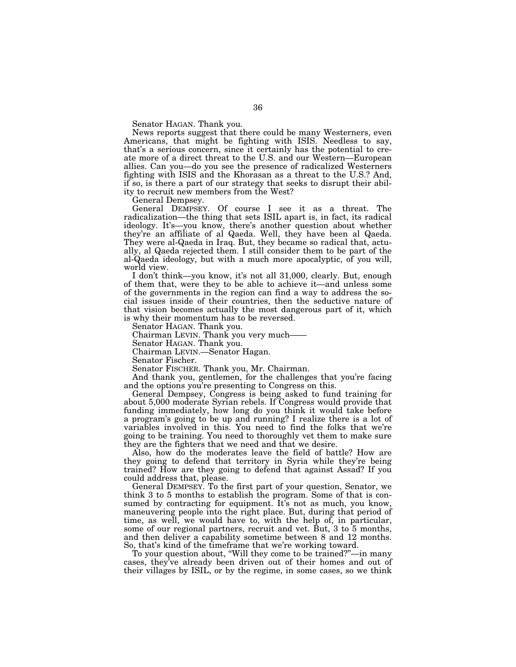Senator HAGAN. Thank you.

News reports suggest that there could be many Westerners, even Americans, that might be fighting with ISIS. Needless to say, that's a serious concern, since it certainly has the potential to create more of a direct threat to the U.S. and our Western—European allies. Can you—do you see the presence of radicalized Westerners fighting with ISIS and the Khorasan as a threat to the U.S.? And, if so, is there a part of our strategy that seeks to disrupt their ability to recruit new members from the West?

General Dempsey.

General DEMPSEY. Of course I see it as a threat. The radicalization—the thing that sets ISIL apart is, in fact, its radical ideology. It's—you know, there's another question about whether they're an affiliate of al Qaeda. Well, they have been al Qaeda. They were al-Qaeda in Iraq. But, they became so radical that, actually, al Qaeda rejected them. I still consider them to be part of the al-Qaeda ideology, but with a much more apocalyptic, of you will, world view.

I don't think—you know, it's not all 31,000, clearly. But, enough of them that, were they to be able to achieve it—and unless some of the governments in the region can find a way to address the social issues inside of their countries, then the seductive nature of that vision becomes actually the most dangerous part of it, which is why their momentum has to be reversed.

Senator HAGAN. Thank you.

Chairman LEVIN. Thank you very much——

Senator HAGAN. Thank you.

Chairman LEVIN.—Senator Hagan.

Senator Fischer.

Senator FISCHER. Thank you, Mr. Chairman.

And thank you, gentlemen, for the challenges that you're facing and the options you're presenting to Congress on this.

General Dempsey, Congress is being asked to fund training for about 5,000 moderate Syrian rebels. If Congress would provide that funding immediately, how long do you think it would take before a program's going to be up and running? I realize there is a lot of variables involved in this. You need to find the folks that we're going to be training. You need to thoroughly vet them to make sure they are the fighters that we need and that we desire.

Also, how do the moderates leave the field of battle? How are they going to defend that territory in Syria while they're being trained? How are they going to defend that against Assad? If you could address that, please.

General DEMPSEY. To the first part of your question, Senator, we think 3 to 5 months to establish the program. Some of that is consumed by contracting for equipment. It's not as much, you know, maneuvering people into the right place. But, during that period of time, as well, we would have to, with the help of, in particular, some of our regional partners, recruit and vet. But, 3 to 5 months, and then deliver a capability sometime between 8 and 12 months. So, that's kind of the timeframe that we're working toward.

To your question about, ''Will they come to be trained?''—in many cases, they've already been driven out of their homes and out of their villages by ISIL, or by the regime, in some cases, so we think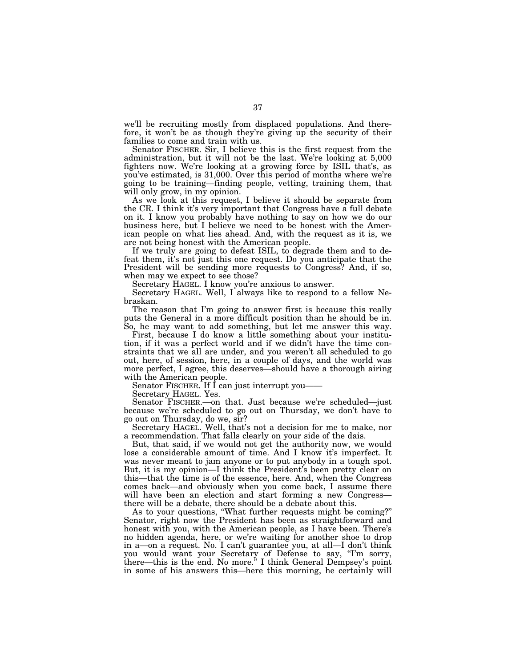we'll be recruiting mostly from displaced populations. And therefore, it won't be as though they're giving up the security of their families to come and train with us.

Senator FISCHER. Sir, I believe this is the first request from the administration, but it will not be the last. We're looking at 5,000 fighters now. We're looking at a growing force by ISIL that's, as you've estimated, is 31,000. Over this period of months where we're going to be training—finding people, vetting, training them, that will only grow, in my opinion.

As we look at this request, I believe it should be separate from the CR. I think it's very important that Congress have a full debate on it. I know you probably have nothing to say on how we do our business here, but I believe we need to be honest with the American people on what lies ahead. And, with the request as it is, we are not being honest with the American people.

If we truly are going to defeat ISIL, to degrade them and to defeat them, it's not just this one request. Do you anticipate that the President will be sending more requests to Congress? And, if so, when may we expect to see those?

Secretary HAGEL. I know you're anxious to answer.

Secretary HAGEL. Well, I always like to respond to a fellow Nebraskan.

The reason that I'm going to answer first is because this really puts the General in a more difficult position than he should be in. So, he may want to add something, but let me answer this way.

First, because I do know a little something about your institution, if it was a perfect world and if we didn<sup>7</sup>t have the time constraints that we all are under, and you weren't all scheduled to go out, here, of session, here, in a couple of days, and the world was more perfect, I agree, this deserves—should have a thorough airing with the American people.

Senator FISCHER. If I can just interrupt you——

Secretary HAGEL. Yes.

Senator FISCHER.—on that. Just because we're scheduled—just because we're scheduled to go out on Thursday, we don't have to go out on Thursday, do we, sir?

Secretary HAGEL. Well, that's not a decision for me to make, nor a recommendation. That falls clearly on your side of the dais.

But, that said, if we would not get the authority now, we would lose a considerable amount of time. And I know it's imperfect. It was never meant to jam anyone or to put anybody in a tough spot. But, it is my opinion—I think the President's been pretty clear on this—that the time is of the essence, here. And, when the Congress comes back—and obviously when you come back, I assume there will have been an election and start forming a new Congress there will be a debate, there should be a debate about this.

As to your questions, ''What further requests might be coming?'' Senator, right now the President has been as straightforward and honest with you, with the American people, as I have been. There's no hidden agenda, here, or we're waiting for another shoe to drop in a—on a request. No. I can't guarantee you, at all—I don't think you would want your Secretary of Defense to say, "I'm sorry, there—this is the end. No more.'' I think General Dempsey's point in some of his answers this—here this morning, he certainly will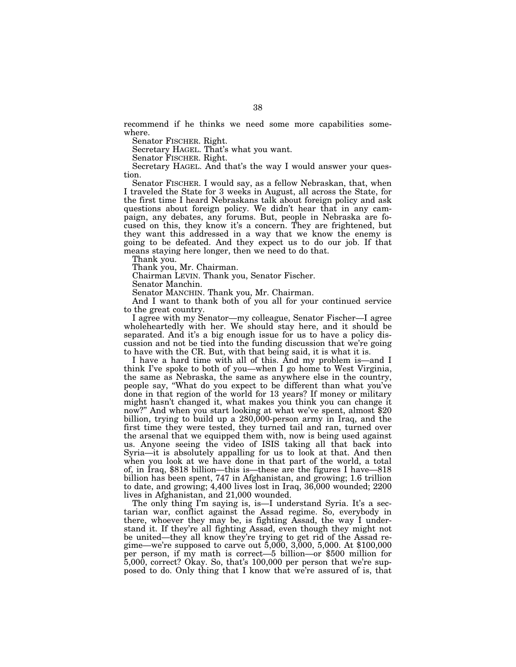recommend if he thinks we need some more capabilities somewhere.

Senator FISCHER. Right.

Secretary HAGEL. That's what you want.

Senator FISCHER. Right.

Secretary HAGEL. And that's the way I would answer your question.

Senator FISCHER. I would say, as a fellow Nebraskan, that, when I traveled the State for 3 weeks in August, all across the State, for the first time I heard Nebraskans talk about foreign policy and ask questions about foreign policy. We didn't hear that in any campaign, any debates, any forums. But, people in Nebraska are focused on this, they know it's a concern. They are frightened, but they want this addressed in a way that we know the enemy is going to be defeated. And they expect us to do our job. If that means staying here longer, then we need to do that.

Thank you.

Thank you, Mr. Chairman.

Chairman LEVIN. Thank you, Senator Fischer.

Senator Manchin.

Senator MANCHIN. Thank you, Mr. Chairman.

And I want to thank both of you all for your continued service to the great country.

I agree with my Senator—my colleague, Senator Fischer—I agree wholeheartedly with her. We should stay here, and it should be separated. And it's a big enough issue for us to have a policy discussion and not be tied into the funding discussion that we're going to have with the CR. But, with that being said, it is what it is.

I have a hard time with all of this. And my problem is—and I think I've spoke to both of you—when I go home to West Virginia, the same as Nebraska, the same as anywhere else in the country, people say, ''What do you expect to be different than what you've done in that region of the world for 13 years? If money or military might hasn't changed it, what makes you think you can change it now?'' And when you start looking at what we've spent, almost \$20 billion, trying to build up a 280,000-person army in Iraq, and the first time they were tested, they turned tail and ran, turned over the arsenal that we equipped them with, now is being used against us. Anyone seeing the video of ISIS taking all that back into Syria—it is absolutely appalling for us to look at that. And then when you look at we have done in that part of the world, a total of, in Iraq, \$818 billion—this is—these are the figures I have—818 billion has been spent, 747 in Afghanistan, and growing; 1.6 trillion to date, and growing; 4,400 lives lost in Iraq, 36,000 wounded; 2200 lives in Afghanistan, and 21,000 wounded.

The only thing I'm saying is, is—I understand Syria. It's a sectarian war, conflict against the Assad regime. So, everybody in there, whoever they may be, is fighting Assad, the way I understand it. If they're all fighting Assad, even though they might not be united—they all know they're trying to get rid of the Assad regime—we're supposed to carve out 5,000, 3,000, 5,000. At \$100,000 per person, if my math is correct—5 billion—or \$500 million for 5,000, correct? Okay. So, that's 100,000 per person that we're supposed to do. Only thing that I know that we're assured of is, that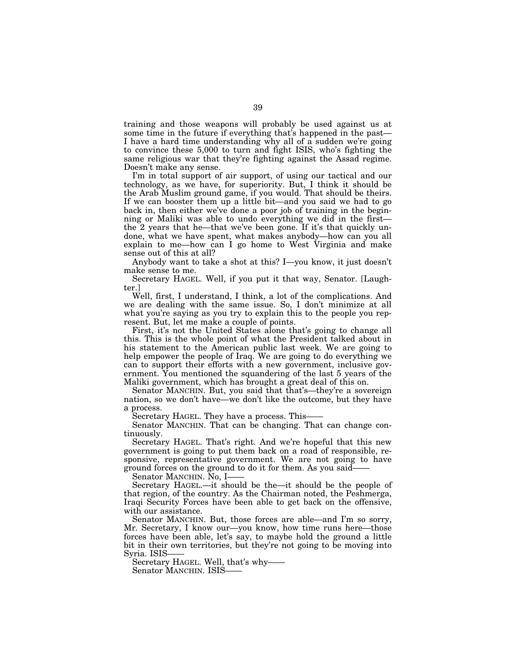training and those weapons will probably be used against us at some time in the future if everything that's happened in the past— I have a hard time understanding why all of a sudden we're going to convince these 5,000 to turn and fight ISIS, who's fighting the same religious war that they're fighting against the Assad regime. Doesn't make any sense.

I'm in total support of air support, of using our tactical and our technology, as we have, for superiority. But, I think it should be the Arab Muslim ground game, if you would. That should be theirs. If we can booster them up a little bit—and you said we had to go back in, then either we've done a poor job of training in the beginning or Maliki was able to undo everything we did in the first the 2 years that he—that we've been gone. If it's that quickly undone, what we have spent, what makes anybody—how can you all explain to me—how can I go home to West Virginia and make sense out of this at all?

Anybody want to take a shot at this? I—you know, it just doesn't make sense to me.

Secretary HAGEL. Well, if you put it that way, Senator. [Laughter.]

Well, first, I understand, I think, a lot of the complications. And we are dealing with the same issue. So, I don't minimize at all what you're saying as you try to explain this to the people you represent. But, let me make a couple of points.

First, it's not the United States alone that's going to change all this. This is the whole point of what the President talked about in his statement to the American public last week. We are going to help empower the people of Iraq. We are going to do everything we can to support their efforts with a new government, inclusive government. You mentioned the squandering of the last 5 years of the Maliki government, which has brought a great deal of this on.

Senator MANCHIN. But, you said that that's—they're a sovereign nation, so we don't have—we don't like the outcome, but they have a process.

Secretary HAGEL. They have a process. This——

Senator MANCHIN. That can be changing. That can change continuously.

Secretary HAGEL. That's right. And we're hopeful that this new government is going to put them back on a road of responsible, responsive, representative government. We are not going to have ground forces on the ground to do it for them. As you said——

Senator MANCHIN. No, I-

Secretary HAGEL.—it should be the—it should be the people of that region, of the country. As the Chairman noted, the Peshmerga, Iraqi Security Forces have been able to get back on the offensive, with our assistance.

Senator MANCHIN. But, those forces are able—and I'm so sorry, Mr. Secretary, I know our—you know, how time runs here—those forces have been able, let's say, to maybe hold the ground a little bit in their own territories, but they're not going to be moving into Syria. ISIS——

Secretary HAGEL. Well, that's why—— Senator MANCHIN. ISIS-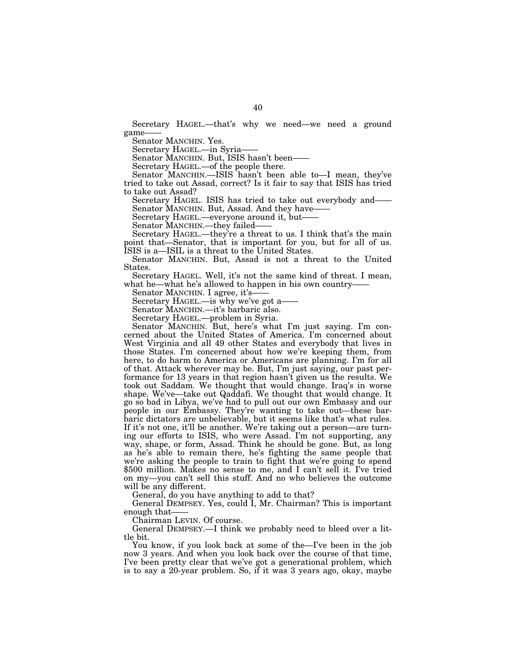Secretary HAGEL.—that's why we need—we need a ground game-

Senator MANCHIN. Yes.

Secretary HAGEL.—in Syria-

Senator MANCHIN. But, ISIS hasn't been-

Secretary HAGEL.—of the people there.

Senator MANCHIN.—ISIS hasn't been able to—I mean, they've tried to take out Assad, correct? Is it fair to say that ISIS has tried to take out Assad?

Secretary HAGEL. ISIS has tried to take out everybody and—— Senator MANCHIN. But, Assad. And they have-

Secretary HAGEL.—everyone around it, but——

Senator MANCHIN.—they failed-

Secretary HAGEL.—they're a threat to us. I think that's the main point that—Senator, that is important for you, but for all of us. ISIS is a—ISIL is a threat to the United States.

Senator MANCHIN. But, Assad is not a threat to the United States.

Secretary HAGEL. Well, it's not the same kind of threat. I mean, what he—what he's allowed to happen in his own country—

Senator MANCHIN. I agree, it's-

Secretary HAGEL.—is why we've got a-

Senator MANCHIN.—it's barbaric also.

Secretary HAGEL.—problem in Syria.

Senator MANCHIN. But, here's what I'm just saying. I'm concerned about the United States of America. I'm concerned about West Virginia and all 49 other States and everybody that lives in those States. I'm concerned about how we're keeping them, from here, to do harm to America or Americans are planning. I'm for all of that. Attack wherever may be. But, I'm just saying, our past performance for 13 years in that region hasn't given us the results. We took out Saddam. We thought that would change. Iraq's in worse shape. We've—take out Qaddafi. We thought that would change. It go so bad in Libya, we've had to pull out our own Embassy and our people in our Embassy. They're wanting to take out—these barbaric dictators are unbelievable, but it seems like that's what rules. If it's not one, it'll be another. We're taking out a person—are turning our efforts to ISIS, who were Assad. I'm not supporting, any way, shape, or form, Assad. Think he should be gone. But, as long as he's able to remain there, he's fighting the same people that we're asking the people to train to fight that we're going to spend \$500 million. Makes no sense to me, and I can't sell it. I've tried on my—you can't sell this stuff. And no who believes the outcome will be any different.

General, do you have anything to add to that?

General DEMPSEY. Yes, could I, Mr. Chairman? This is important enough that——

Chairman LEVIN. Of course.

General DEMPSEY.—I think we probably need to bleed over a little bit.

You know, if you look back at some of the—I've been in the job now 3 years. And when you look back over the course of that time, I've been pretty clear that we've got a generational problem, which is to say a 20-year problem. So, if it was 3 years ago, okay, maybe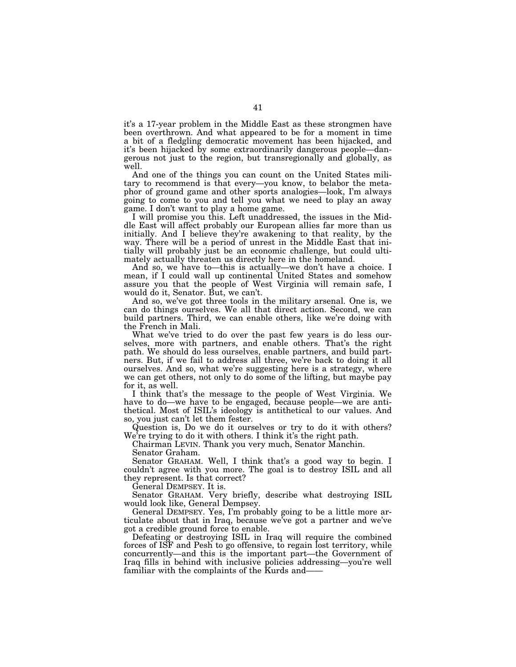it's a 17-year problem in the Middle East as these strongmen have been overthrown. And what appeared to be for a moment in time a bit of a fledgling democratic movement has been hijacked, and it's been hijacked by some extraordinarily dangerous people—dangerous not just to the region, but transregionally and globally, as well.

And one of the things you can count on the United States military to recommend is that every—you know, to belabor the metaphor of ground game and other sports analogies—look, I'm always going to come to you and tell you what we need to play an away game. I don't want to play a home game.

I will promise you this. Left unaddressed, the issues in the Middle East will affect probably our European allies far more than us initially. And I believe they're awakening to that reality, by the way. There will be a period of unrest in the Middle East that initially will probably just be an economic challenge, but could ultimately actually threaten us directly here in the homeland.

And so, we have to—this is actually—we don't have a choice. I mean, if I could wall up continental United States and somehow assure you that the people of West Virginia will remain safe, I would do it, Senator. But, we can't.

And so, we've got three tools in the military arsenal. One is, we can do things ourselves. We all that direct action. Second, we can build partners. Third, we can enable others, like we're doing with the French in Mali.

What we've tried to do over the past few years is do less ourselves, more with partners, and enable others. That's the right path. We should do less ourselves, enable partners, and build partners. But, if we fail to address all three, we're back to doing it all ourselves. And so, what we're suggesting here is a strategy, where we can get others, not only to do some of the lifting, but maybe pay for it, as well.

I think that's the message to the people of West Virginia. We have to do—we have to be engaged, because people—we are antithetical. Most of ISIL's ideology is antithetical to our values. And so, you just can't let them fester.

Question is, Do we do it ourselves or try to do it with others? We're trying to do it with others. I think it's the right path.

Chairman LEVIN. Thank you very much, Senator Manchin.

Senator Graham.

Senator GRAHAM. Well, I think that's a good way to begin. I couldn't agree with you more. The goal is to destroy ISIL and all they represent. Is that correct?

General DEMPSEY. It is.

Senator GRAHAM. Very briefly, describe what destroying ISIL would look like, General Dempsey.

General DEMPSEY. Yes, I'm probably going to be a little more articulate about that in Iraq, because we've got a partner and we've got a credible ground force to enable.

Defeating or destroying ISIL in Iraq will require the combined forces of ISF and Pesh to go offensive, to regain lost territory, while concurrently—and this is the important part—the Government of Iraq fills in behind with inclusive policies addressing—you're well familiar with the complaints of the Kurds and——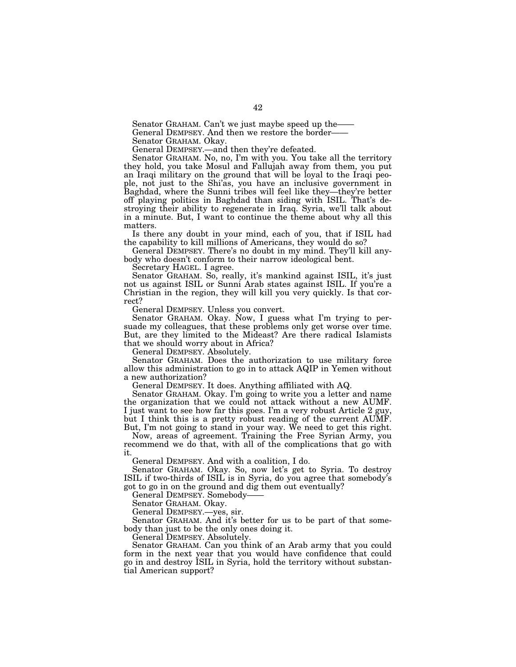Senator GRAHAM. Can't we just maybe speed up the—

General DEMPSEY. And then we restore the border-

Senator GRAHAM. Okay.

General DEMPSEY.—and then they're defeated.

Senator GRAHAM. No, no, I'm with you. You take all the territory they hold, you take Mosul and Fallujah away from them, you put an Iraqi military on the ground that will be loyal to the Iraqi people, not just to the Shi'as, you have an inclusive government in Baghdad, where the Sunni tribes will feel like they—they're better off playing politics in Baghdad than siding with ISIL. That's destroying their ability to regenerate in Iraq. Syria, we'll talk about in a minute. But, I want to continue the theme about why all this matters.

Is there any doubt in your mind, each of you, that if ISIL had the capability to kill millions of Americans, they would do so?

General DEMPSEY. There's no doubt in my mind. They'll kill anybody who doesn't conform to their narrow ideological bent.

Secretary HAGEL. I agree.

Senator GRAHAM. So, really, it's mankind against ISIL, it's just not us against ISIL or Sunni Arab states against ISIL. If you're a Christian in the region, they will kill you very quickly. Is that correct?

General DEMPSEY. Unless you convert.

Senator GRAHAM. Okay. Now, I guess what I'm trying to persuade my colleagues, that these problems only get worse over time. But, are they limited to the Mideast? Are there radical Islamists that we should worry about in Africa?

General DEMPSEY. Absolutely.

Senator GRAHAM. Does the authorization to use military force allow this administration to go in to attack AQIP in Yemen without a new authorization?

General DEMPSEY. It does. Anything affiliated with AQ.

Senator GRAHAM. Okay. I'm going to write you a letter and name the organization that we could not attack without a new AUMF. I just want to see how far this goes. I'm a very robust Article 2 guy, but I think this is a pretty robust reading of the current AUMF. But, I'm not going to stand in your way. We need to get this right.

Now, areas of agreement. Training the Free Syrian Army, you recommend we do that, with all of the complications that go with it.

General DEMPSEY. And with a coalition, I do.

Senator GRAHAM. Okay. So, now let's get to Syria. To destroy ISIL if two-thirds of ISIL is in Syria, do you agree that somebody's got to go in on the ground and dig them out eventually?

General DEMPSEY. Somebody-

Senator GRAHAM. Okay.

General DEMPSEY.—yes, sir.

Senator GRAHAM. And it's better for us to be part of that somebody than just to be the only ones doing it.

General DEMPSEY. Absolutely.

Senator GRAHAM. Can you think of an Arab army that you could form in the next year that you would have confidence that could go in and destroy ISIL in Syria, hold the territory without substantial American support?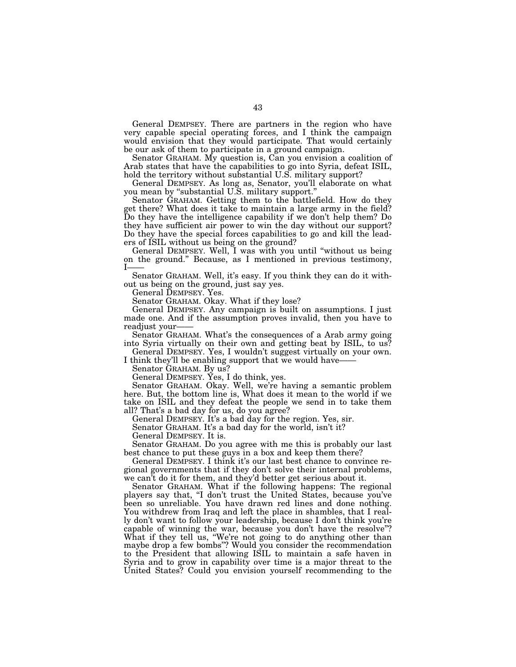General DEMPSEY. There are partners in the region who have very capable special operating forces, and I think the campaign would envision that they would participate. That would certainly be our ask of them to participate in a ground campaign.

Senator GRAHAM. My question is, Can you envision a coalition of Arab states that have the capabilities to go into Syria, defeat ISIL, hold the territory without substantial U.S. military support?

General DEMPSEY. As long as, Senator, you'll elaborate on what you mean by ''substantial U.S. military support.''

Senator GRAHAM. Getting them to the battlefield. How do they get there? What does it take to maintain a large army in the field? Do they have the intelligence capability if we don't help them? Do they have sufficient air power to win the day without our support? Do they have the special forces capabilities to go and kill the leaders of ISIL without us being on the ground?

General DEMPSEY. Well, I was with you until ''without us being on the ground.'' Because, as I mentioned in previous testimony, I——

Senator GRAHAM. Well, it's easy. If you think they can do it without us being on the ground, just say yes.

General DEMPSEY. Yes.

Senator GRAHAM. Okay. What if they lose?

General DEMPSEY. Any campaign is built on assumptions. I just made one. And if the assumption proves invalid, then you have to readjust vour-

Senator GRAHAM. What's the consequences of a Arab army going into Syria virtually on their own and getting beat by ISIL, to us? General DEMPSEY. Yes, I wouldn't suggest virtually on your own.

I think they'll be enabling support that we would have-

Senator GRAHAM. By us?

General DEMPSEY. Yes, I do think, yes.

Senator GRAHAM. Okay. Well, we're having a semantic problem here. But, the bottom line is, What does it mean to the world if we take on ISIL and they defeat the people we send in to take them all? That's a bad day for us, do you agree?

General DEMPSEY. It's a bad day for the region. Yes, sir.

Senator GRAHAM. It's a bad day for the world, isn't it?

General DEMPSEY. It is.

Senator GRAHAM. Do you agree with me this is probably our last best chance to put these guys in a box and keep them there?

General DEMPSEY. I think it's our last best chance to convince regional governments that if they don't solve their internal problems, we can't do it for them, and they'd better get serious about it.

Senator GRAHAM. What if the following happens: The regional players say that, ''I don't trust the United States, because you've been so unreliable. You have drawn red lines and done nothing. You withdrew from Iraq and left the place in shambles, that I really don't want to follow your leadership, because I don't think you're capable of winning the war, because you don't have the resolve''? What if they tell us, "We're not going to do anything other than maybe drop a few bombs''? Would you consider the recommendation to the President that allowing ISIL to maintain a safe haven in Syria and to grow in capability over time is a major threat to the United States? Could you envision yourself recommending to the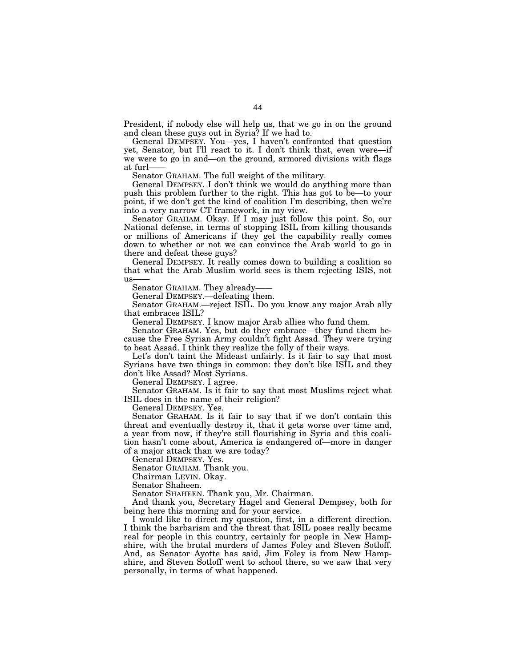President, if nobody else will help us, that we go in on the ground and clean these guys out in Syria? If we had to.

General DEMPSEY. You—yes, I haven't confronted that question yet, Senator, but I'll react to it. I don't think that, even were—if we were to go in and—on the ground, armored divisions with flags at furl-

Senator GRAHAM. The full weight of the military.

General DEMPSEY. I don't think we would do anything more than push this problem further to the right. This has got to be—to your point, if we don't get the kind of coalition I'm describing, then we're into a very narrow CT framework, in my view.

Senator GRAHAM. Okay. If I may just follow this point. So, our National defense, in terms of stopping ISIL from killing thousands or millions of Americans if they get the capability really comes down to whether or not we can convince the Arab world to go in there and defeat these guys?

General DEMPSEY. It really comes down to building a coalition so that what the Arab Muslim world sees is them rejecting ISIS, not us-

Senator GRAHAM. They already——

General DEMPSEY.—defeating them.

Senator GRAHAM.—reject ISIL. Do you know any major Arab ally that embraces ISIL?

General DEMPSEY. I know major Arab allies who fund them.

Senator GRAHAM. Yes, but do they embrace—they fund them because the Free Syrian Army couldn't fight Assad. They were trying to beat Assad. I think they realize the folly of their ways.

Let's don't taint the Mideast unfairly. Is it fair to say that most Syrians have two things in common: they don't like ISIL and they don't like Assad? Most Syrians.

General DEMPSEY. I agree.

Senator GRAHAM. Is it fair to say that most Muslims reject what ISIL does in the name of their religion?

General DEMPSEY. Yes.

Senator GRAHAM. Is it fair to say that if we don't contain this threat and eventually destroy it, that it gets worse over time and, a year from now, if they're still flourishing in Syria and this coalition hasn't come about, America is endangered of—more in danger of a major attack than we are today?

General DEMPSEY. Yes.

Senator GRAHAM. Thank you.

Chairman LEVIN. Okay.

Senator Shaheen.

Senator SHAHEEN. Thank you, Mr. Chairman.

And thank you, Secretary Hagel and General Dempsey, both for being here this morning and for your service.

I would like to direct my question, first, in a different direction. I think the barbarism and the threat that ISIL poses really became real for people in this country, certainly for people in New Hampshire, with the brutal murders of James Foley and Steven Sotloff. And, as Senator Ayotte has said, Jim Foley is from New Hampshire, and Steven Sotloff went to school there, so we saw that very personally, in terms of what happened.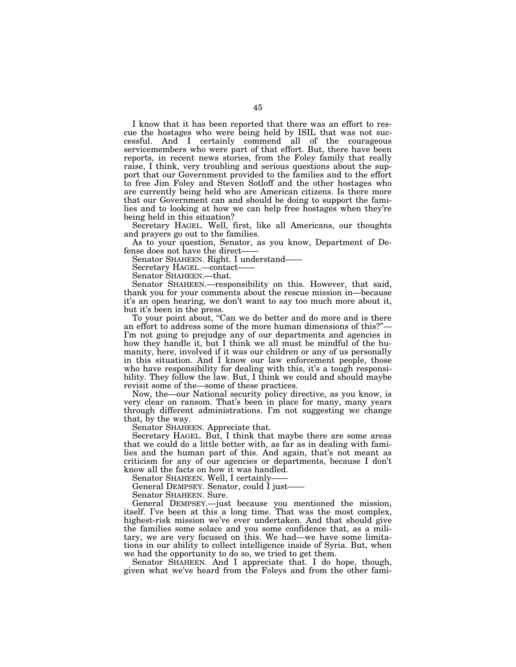I know that it has been reported that there was an effort to rescue the hostages who were being held by ISIL that was not successful. And I certainly commend all of the courageous servicemembers who were part of that effort. But, there have been reports, in recent news stories, from the Foley family that really raise, I think, very troubling and serious questions about the support that our Government provided to the families and to the effort to free Jim Foley and Steven Sotloff and the other hostages who are currently being held who are American citizens. Is there more that our Government can and should be doing to support the families and to looking at how we can help free hostages when they're being held in this situation?

Secretary HAGEL. Well, first, like all Americans, our thoughts and prayers go out to the families.

As to your question, Senator, as you know, Department of Defense does not have the direct-

Senator SHAHEEN. Right. I understand——

Secretary HAGEL.—contact——

Senator SHAHEEN.—that.

Senator SHAHEEN.—responsibility on this. However, that said, thank you for your comments about the rescue mission in—because it's an open hearing, we don't want to say too much more about it, but it's been in the press.

To your point about, "Can we do better and do more and is there an effort to address some of the more human dimensions of this?''— I'm not going to prejudge any of our departments and agencies in how they handle it, but I think we all must be mindful of the humanity, here, involved if it was our children or any of us personally in this situation. And I know our law enforcement people, those who have responsibility for dealing with this, it's a tough responsibility. They follow the law. But, I think we could and should maybe revisit some of the—some of these practices.

Now, the—our National security policy directive, as you know, is very clear on ransom. That's been in place for many, many years through different administrations. I'm not suggesting we change that, by the way.

Senator SHAHEEN. Appreciate that.

Secretary HAGEL. But, I think that maybe there are some areas that we could do a little better with, as far as in dealing with families and the human part of this. And again, that's not meant as criticism for any of our agencies or departments, because I don't know all the facts on how it was handled.

Senator SHAHEEN. Well, I certainly-

General DEMPSEY. Senator, could I just——

Senator SHAHEEN. Sure.

General DEMPSEY.—just because you mentioned the mission, itself. I've been at this a long time. That was the most complex, highest-risk mission we've ever undertaken. And that should give the families some solace and you some confidence that, as a military, we are very focused on this. We had—we have some limitations in our ability to collect intelligence inside of Syria. But, when we had the opportunity to do so, we tried to get them.

Senator SHAHEEN. And I appreciate that. I do hope, though, given what we've heard from the Foleys and from the other fami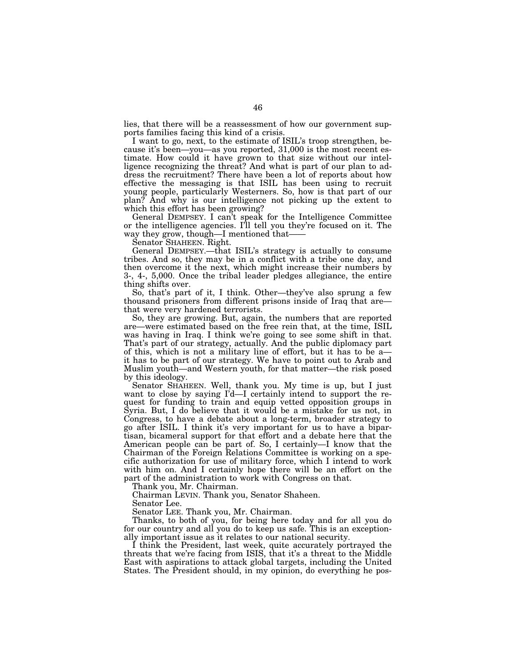lies, that there will be a reassessment of how our government supports families facing this kind of a crisis.

I want to go, next, to the estimate of ISIL's troop strengthen, because it's been—you—as you reported, 31,000 is the most recent estimate. How could it have grown to that size without our intelligence recognizing the threat? And what is part of our plan to address the recruitment? There have been a lot of reports about how effective the messaging is that ISIL has been using to recruit young people, particularly Westerners. So, how is that part of our plan? And why is our intelligence not picking up the extent to which this effort has been growing?

General DEMPSEY. I can't speak for the Intelligence Committee or the intelligence agencies. I'll tell you they're focused on it. The way they grow, though—I mentioned that-

Senator SHAHEEN. Right.

General DEMPSEY.—that ISIL's strategy is actually to consume tribes. And so, they may be in a conflict with a tribe one day, and then overcome it the next, which might increase their numbers by 3-, 4-, 5,000. Once the tribal leader pledges allegiance, the entire thing shifts over.

So, that's part of it, I think. Other—they've also sprung a few thousand prisoners from different prisons inside of Iraq that are that were very hardened terrorists.

So, they are growing. But, again, the numbers that are reported are—were estimated based on the free rein that, at the time, ISIL was having in Iraq. I think we're going to see some shift in that. That's part of our strategy, actually. And the public diplomacy part of this, which is not a military line of effort, but it has to be a it has to be part of our strategy. We have to point out to Arab and Muslim youth—and Western youth, for that matter—the risk posed by this ideology.

Senator SHAHEEN. Well, thank you. My time is up, but I just want to close by saying I'd—I certainly intend to support the request for funding to train and equip vetted opposition groups in Syria. But, I do believe that it would be a mistake for us not, in Congress, to have a debate about a long-term, broader strategy to go after ISIL. I think it's very important for us to have a bipartisan, bicameral support for that effort and a debate here that the American people can be part of. So, I certainly—I know that the Chairman of the Foreign Relations Committee is working on a specific authorization for use of military force, which I intend to work with him on. And I certainly hope there will be an effort on the part of the administration to work with Congress on that.

Thank you, Mr. Chairman.

Chairman LEVIN. Thank you, Senator Shaheen.

Senator Lee.

Senator LEE. Thank you, Mr. Chairman.

Thanks, to both of you, for being here today and for all you do for our country and all you do to keep us safe. This is an exceptionally important issue as it relates to our national security.

I think the President, last week, quite accurately portrayed the threats that we're facing from ISIS, that it's a threat to the Middle East with aspirations to attack global targets, including the United States. The President should, in my opinion, do everything he pos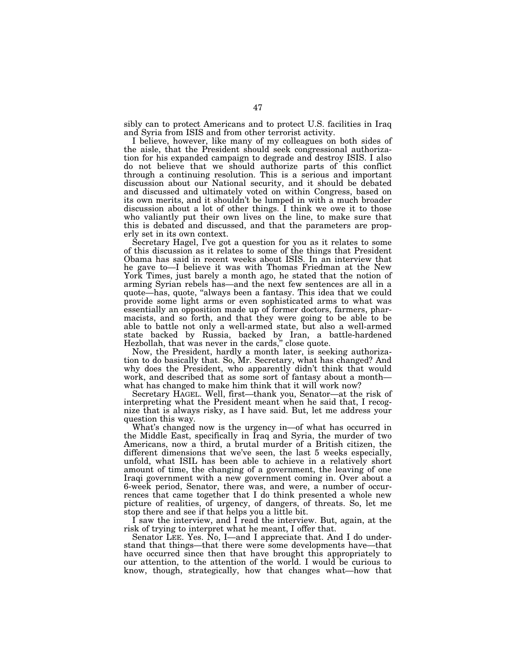sibly can to protect Americans and to protect U.S. facilities in Iraq and Syria from ISIS and from other terrorist activity.

I believe, however, like many of my colleagues on both sides of the aisle, that the President should seek congressional authorization for his expanded campaign to degrade and destroy ISIS. I also do not believe that we should authorize parts of this conflict through a continuing resolution. This is a serious and important discussion about our National security, and it should be debated and discussed and ultimately voted on within Congress, based on its own merits, and it shouldn't be lumped in with a much broader discussion about a lot of other things. I think we owe it to those who valiantly put their own lives on the line, to make sure that this is debated and discussed, and that the parameters are properly set in its own context.

Secretary Hagel, I've got a question for you as it relates to some of this discussion as it relates to some of the things that President Obama has said in recent weeks about ISIS. In an interview that he gave to—I believe it was with Thomas Friedman at the New York Times, just barely a month ago, he stated that the notion of arming Syrian rebels has—and the next few sentences are all in a quote—has, quote, ''always been a fantasy. This idea that we could provide some light arms or even sophisticated arms to what was essentially an opposition made up of former doctors, farmers, pharmacists, and so forth, and that they were going to be able to be able to battle not only a well-armed state, but also a well-armed state backed by Russia, backed by Iran, a battle-hardened Hezbollah, that was never in the cards,'' close quote.

Now, the President, hardly a month later, is seeking authorization to do basically that. So, Mr. Secretary, what has changed? And why does the President, who apparently didn't think that would work, and described that as some sort of fantasy about a month what has changed to make him think that it will work now?

Secretary HAGEL. Well, first—thank you, Senator—at the risk of interpreting what the President meant when he said that, I recognize that is always risky, as I have said. But, let me address your question this way.

What's changed now is the urgency in—of what has occurred in the Middle East, specifically in Iraq and Syria, the murder of two Americans, now a third, a brutal murder of a British citizen, the different dimensions that we've seen, the last 5 weeks especially, unfold, what ISIL has been able to achieve in a relatively short amount of time, the changing of a government, the leaving of one Iraqi government with a new government coming in. Over about a 6-week period, Senator, there was, and were, a number of occurrences that came together that I do think presented a whole new picture of realities, of urgency, of dangers, of threats. So, let me stop there and see if that helps you a little bit.

I saw the interview, and I read the interview. But, again, at the risk of trying to interpret what he meant, I offer that.

Senator LEE. Yes. No, I—and I appreciate that. And I do understand that things—that there were some developments have—that have occurred since then that have brought this appropriately to our attention, to the attention of the world. I would be curious to know, though, strategically, how that changes what—how that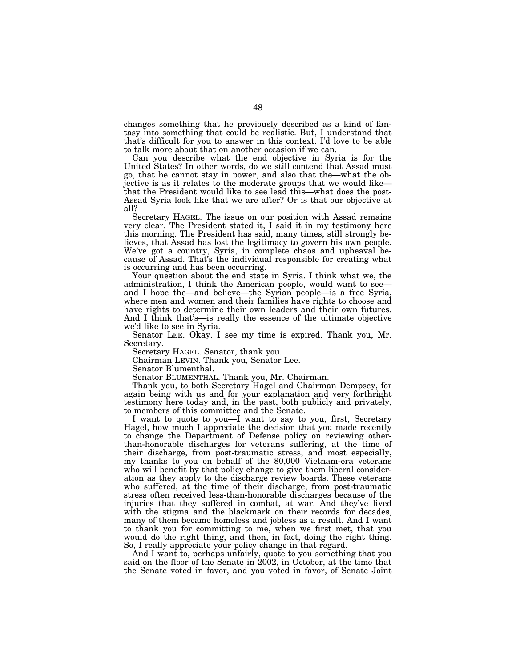changes something that he previously described as a kind of fantasy into something that could be realistic. But, I understand that that's difficult for you to answer in this context. I'd love to be able to talk more about that on another occasion if we can.

Can you describe what the end objective in Syria is for the United States? In other words, do we still contend that Assad must go, that he cannot stay in power, and also that the—what the objective is as it relates to the moderate groups that we would like that the President would like to see lead this—what does the post-Assad Syria look like that we are after? Or is that our objective at all?

Secretary HAGEL. The issue on our position with Assad remains very clear. The President stated it, I said it in my testimony here this morning. The President has said, many times, still strongly believes, that Assad has lost the legitimacy to govern his own people. We've got a country, Syria, in complete chaos and upheaval because of Assad. That's the individual responsible for creating what is occurring and has been occurring.

Your question about the end state in Syria. I think what we, the administration, I think the American people, would want to see and I hope the—and believe—the Syrian people—is a free Syria, where men and women and their families have rights to choose and have rights to determine their own leaders and their own futures. And I think that's—is really the essence of the ultimate objective we'd like to see in Syria.

Senator LEE. Okay. I see my time is expired. Thank you, Mr. Secretary.

Secretary HAGEL. Senator, thank you.

Chairman LEVIN. Thank you, Senator Lee.

Senator Blumenthal.

Senator BLUMENTHAL. Thank you, Mr. Chairman.

Thank you, to both Secretary Hagel and Chairman Dempsey, for again being with us and for your explanation and very forthright testimony here today and, in the past, both publicly and privately, to members of this committee and the Senate.

I want to quote to you—I want to say to you, first, Secretary Hagel, how much I appreciate the decision that you made recently to change the Department of Defense policy on reviewing otherthan-honorable discharges for veterans suffering, at the time of their discharge, from post-traumatic stress, and most especially, my thanks to you on behalf of the 80,000 Vietnam-era veterans who will benefit by that policy change to give them liberal consideration as they apply to the discharge review boards. These veterans who suffered, at the time of their discharge, from post-traumatic stress often received less-than-honorable discharges because of the injuries that they suffered in combat, at war. And they've lived with the stigma and the blackmark on their records for decades, many of them became homeless and jobless as a result. And I want to thank you for committing to me, when we first met, that you would do the right thing, and then, in fact, doing the right thing. So, I really appreciate your policy change in that regard.

And I want to, perhaps unfairly, quote to you something that you said on the floor of the Senate in 2002, in October, at the time that the Senate voted in favor, and you voted in favor, of Senate Joint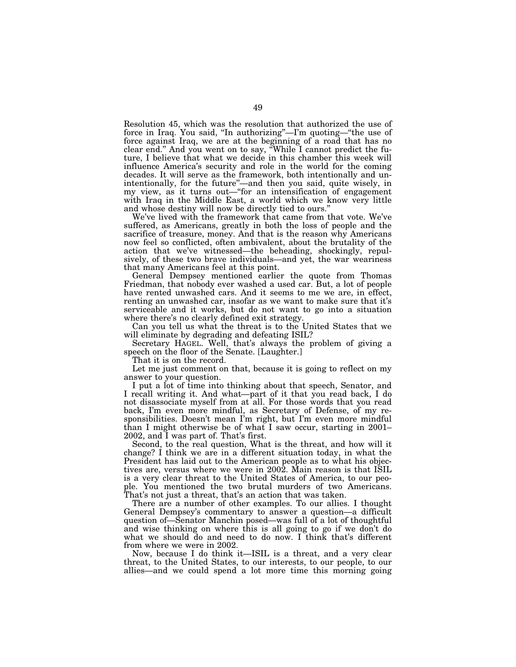Resolution 45, which was the resolution that authorized the use of force in Iraq. You said, ''In authorizing''—I'm quoting—''the use of force against Iraq, we are at the beginning of a road that has no clear end.'' And you went on to say, ''While I cannot predict the future, I believe that what we decide in this chamber this week will influence America's security and role in the world for the coming decades. It will serve as the framework, both intentionally and unintentionally, for the future''—and then you said, quite wisely, in my view, as it turns out—''for an intensification of engagement with Iraq in the Middle East, a world which we know very little and whose destiny will now be directly tied to ours.''

We've lived with the framework that came from that vote. We've suffered, as Americans, greatly in both the loss of people and the sacrifice of treasure, money. And that is the reason why Americans now feel so conflicted, often ambivalent, about the brutality of the action that we've witnessed—the beheading, shockingly, repulsively, of these two brave individuals—and yet, the war weariness that many Americans feel at this point.

General Dempsey mentioned earlier the quote from Thomas Friedman, that nobody ever washed a used car. But, a lot of people have rented unwashed cars. And it seems to me we are, in effect, renting an unwashed car, insofar as we want to make sure that it's serviceable and it works, but do not want to go into a situation where there's no clearly defined exit strategy.

Can you tell us what the threat is to the United States that we will eliminate by degrading and defeating ISIL?

Secretary HAGEL. Well, that's always the problem of giving a speech on the floor of the Senate. [Laughter.]

That it is on the record.

Let me just comment on that, because it is going to reflect on my answer to your question.

I put a lot of time into thinking about that speech, Senator, and I recall writing it. And what—part of it that you read back, I do not disassociate myself from at all. For those words that you read back, I'm even more mindful, as Secretary of Defense, of my responsibilities. Doesn't mean I'm right, but I'm even more mindful than I might otherwise be of what I saw occur, starting in 2001– 2002, and I was part of. That's first.

Second, to the real question, What is the threat, and how will it change? I think we are in a different situation today, in what the President has laid out to the American people as to what his objectives are, versus where we were in 2002. Main reason is that ISIL is a very clear threat to the United States of America, to our people. You mentioned the two brutal murders of two Americans. That's not just a threat, that's an action that was taken.

There are a number of other examples. To our allies. I thought General Dempsey's commentary to answer a question—a difficult question of—Senator Manchin posed—was full of a lot of thoughtful and wise thinking on where this is all going to go if we don't do what we should do and need to do now. I think that's different from where we were in 2002.

Now, because I do think it—ISIL is a threat, and a very clear threat, to the United States, to our interests, to our people, to our allies—and we could spend a lot more time this morning going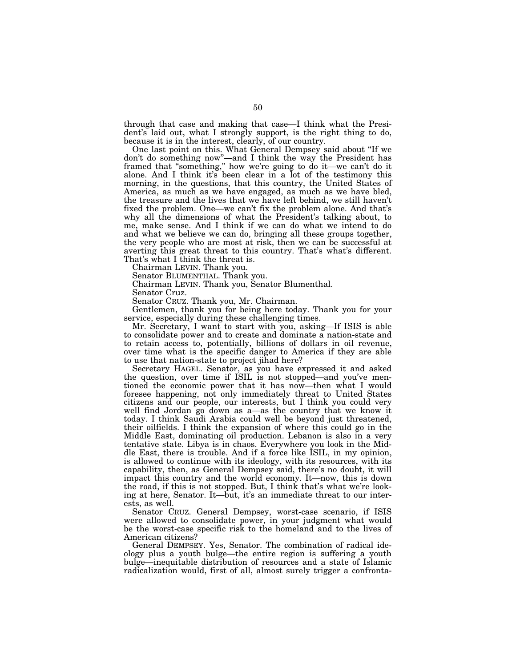through that case and making that case—I think what the President's laid out, what I strongly support, is the right thing to do, because it is in the interest, clearly, of our country.

One last point on this. What General Dempsey said about ''If we don't do something now''—and I think the way the President has framed that ''something,'' how we're going to do it—we can't do it alone. And I think it's been clear in a lot of the testimony this morning, in the questions, that this country, the United States of America, as much as we have engaged, as much as we have bled, the treasure and the lives that we have left behind, we still haven't fixed the problem. One—we can't fix the problem alone. And that's why all the dimensions of what the President's talking about, to me, make sense. And I think if we can do what we intend to do and what we believe we can do, bringing all these groups together, the very people who are most at risk, then we can be successful at averting this great threat to this country. That's what's different. That's what I think the threat is.

Chairman LEVIN. Thank you.

Senator BLUMENTHAL. Thank you.

Chairman LEVIN. Thank you, Senator Blumenthal.

Senator Cruz.

Senator CRUZ. Thank you, Mr. Chairman.

Gentlemen, thank you for being here today. Thank you for your service, especially during these challenging times.

Mr. Secretary, I want to start with you, asking—If ISIS is able to consolidate power and to create and dominate a nation-state and to retain access to, potentially, billions of dollars in oil revenue, over time what is the specific danger to America if they are able to use that nation-state to project jihad here?

Secretary HAGEL. Senator, as you have expressed it and asked the question, over time if ISIL is not stopped—and you've mentioned the economic power that it has now—then what I would foresee happening, not only immediately threat to United States citizens and our people, our interests, but I think you could very well find Jordan go down as a—as the country that we know it today. I think Saudi Arabia could well be beyond just threatened, their oilfields. I think the expansion of where this could go in the Middle East, dominating oil production. Lebanon is also in a very tentative state. Libya is in chaos. Everywhere you look in the Middle East, there is trouble. And if a force like ISIL, in my opinion, is allowed to continue with its ideology, with its resources, with its capability, then, as General Dempsey said, there's no doubt, it will impact this country and the world economy. It—now, this is down the road, if this is not stopped. But, I think that's what we're looking at here, Senator. It—but, it's an immediate threat to our interests, as well.

Senator CRUZ. General Dempsey, worst-case scenario, if ISIS were allowed to consolidate power, in your judgment what would be the worst-case specific risk to the homeland and to the lives of American citizens?

General DEMPSEY. Yes, Senator. The combination of radical ideology plus a youth bulge—the entire region is suffering a youth bulge—inequitable distribution of resources and a state of Islamic radicalization would, first of all, almost surely trigger a confronta-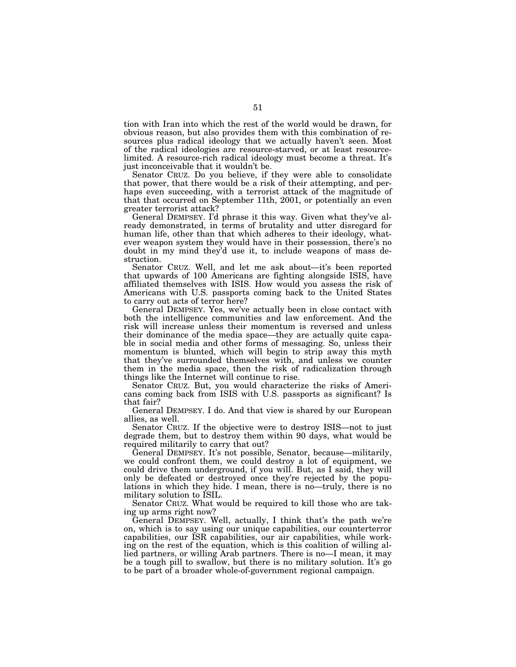tion with Iran into which the rest of the world would be drawn, for obvious reason, but also provides them with this combination of resources plus radical ideology that we actually haven't seen. Most of the radical ideologies are resource-starved, or at least resourcelimited. A resource-rich radical ideology must become a threat. It's just inconceivable that it wouldn't be.

Senator CRUZ. Do you believe, if they were able to consolidate that power, that there would be a risk of their attempting, and perhaps even succeeding, with a terrorist attack of the magnitude of that that occurred on September 11th, 2001, or potentially an even greater terrorist attack?

General DEMPSEY. I'd phrase it this way. Given what they've already demonstrated, in terms of brutality and utter disregard for human life, other than that which adheres to their ideology, whatever weapon system they would have in their possession, there's no doubt in my mind they'd use it, to include weapons of mass destruction.

Senator CRUZ. Well, and let me ask about—it's been reported that upwards of 100 Americans are fighting alongside ISIS, have affiliated themselves with ISIS. How would you assess the risk of Americans with U.S. passports coming back to the United States to carry out acts of terror here?

General DEMPSEY. Yes, we've actually been in close contact with both the intelligence communities and law enforcement. And the risk will increase unless their momentum is reversed and unless their dominance of the media space—they are actually quite capable in social media and other forms of messaging. So, unless their momentum is blunted, which will begin to strip away this myth that they've surrounded themselves with, and unless we counter them in the media space, then the risk of radicalization through things like the Internet will continue to rise.

Senator CRUZ. But, you would characterize the risks of Americans coming back from ISIS with U.S. passports as significant? Is that fair?

General DEMPSEY. I do. And that view is shared by our European allies, as well.

Senator CRUZ. If the objective were to destroy ISIS—not to just degrade them, but to destroy them within 90 days, what would be required militarily to carry that out?

General DEMPSEY. It's not possible, Senator, because—militarily, we could confront them, we could destroy a lot of equipment, we could drive them underground, if you will. But, as I said, they will only be defeated or destroyed once they're rejected by the populations in which they hide. I mean, there is no—truly, there is no military solution to ISIL.

Senator CRUZ. What would be required to kill those who are taking up arms right now?

General DEMPSEY. Well, actually, I think that's the path we're on, which is to say using our unique capabilities, our counterterror capabilities, our ISR capabilities, our air capabilities, while working on the rest of the equation, which is this coalition of willing allied partners, or willing Arab partners. There is no—I mean, it may be a tough pill to swallow, but there is no military solution. It's go to be part of a broader whole-of-government regional campaign.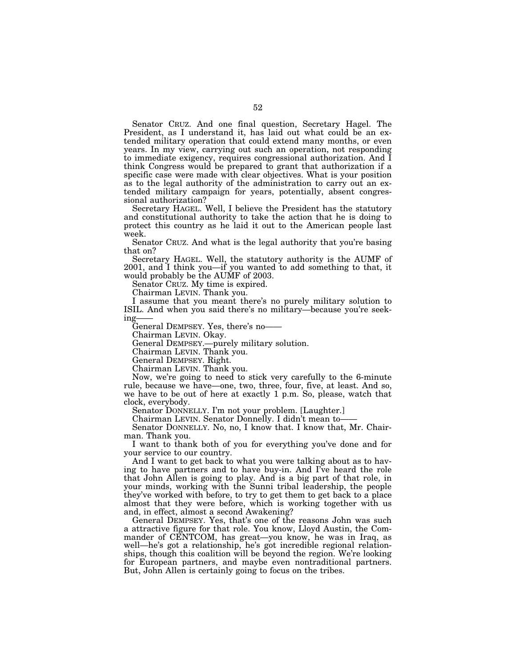Senator CRUZ. And one final question, Secretary Hagel. The President, as I understand it, has laid out what could be an extended military operation that could extend many months, or even years. In my view, carrying out such an operation, not responding to immediate exigency, requires congressional authorization. And I think Congress would be prepared to grant that authorization if a specific case were made with clear objectives. What is your position as to the legal authority of the administration to carry out an extended military campaign for years, potentially, absent congressional authorization?

Secretary HAGEL. Well, I believe the President has the statutory and constitutional authority to take the action that he is doing to protect this country as he laid it out to the American people last week.

Senator CRUZ. And what is the legal authority that you're basing that on?

Secretary HAGEL. Well, the statutory authority is the AUMF of 2001, and I think you—if you wanted to add something to that, it would probably be the AUMF of 2003.

Senator CRUZ. My time is expired.

Chairman LEVIN. Thank you.

I assume that you meant there's no purely military solution to ISIL. And when you said there's no military—because you're seeking-

General DEMPSEY. Yes, there's no——

Chairman LEVIN. Okay.

General DEMPSEY.—purely military solution.

Chairman LEVIN. Thank you.

General DEMPSEY. Right.

Chairman LEVIN. Thank you.

Now, we're going to need to stick very carefully to the 6-minute rule, because we have—one, two, three, four, five, at least. And so, we have to be out of here at exactly 1 p.m. So, please, watch that clock, everybody.

Senator DONNELLY. I'm not your problem. [Laughter.]

Chairman LEVIN. Senator Donnelly. I didn't mean to——

Senator DONNELLY. No, no, I know that. I know that, Mr. Chairman. Thank you.

I want to thank both of you for everything you've done and for your service to our country.

And I want to get back to what you were talking about as to having to have partners and to have buy-in. And I've heard the role that John Allen is going to play. And is a big part of that role, in your minds, working with the Sunni tribal leadership, the people they've worked with before, to try to get them to get back to a place almost that they were before, which is working together with us and, in effect, almost a second Awakening?

General DEMPSEY. Yes, that's one of the reasons John was such a attractive figure for that role. You know, Lloyd Austin, the Commander of CENTCOM, has great—you know, he was in Iraq, as well—he's got a relationship, he's got incredible regional relationships, though this coalition will be beyond the region. We're looking for European partners, and maybe even nontraditional partners. But, John Allen is certainly going to focus on the tribes.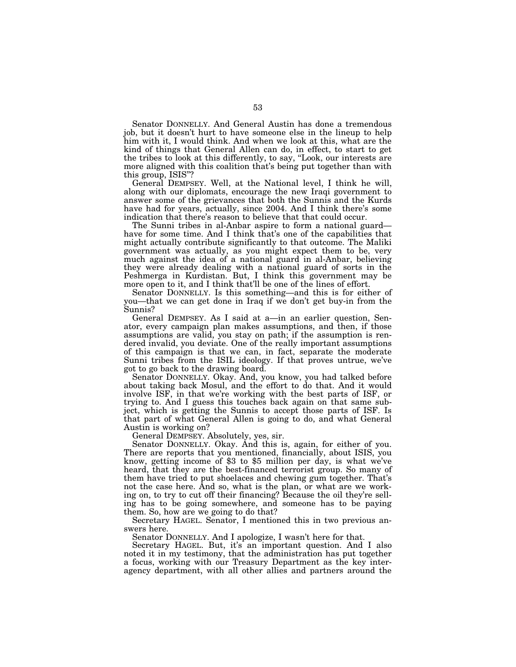Senator DONNELLY. And General Austin has done a tremendous job, but it doesn't hurt to have someone else in the lineup to help him with it, I would think. And when we look at this, what are the kind of things that General Allen can do, in effect, to start to get the tribes to look at this differently, to say, ''Look, our interests are more aligned with this coalition that's being put together than with this group, ISIS''?

General DEMPSEY. Well, at the National level, I think he will, along with our diplomats, encourage the new Iraqi government to answer some of the grievances that both the Sunnis and the Kurds have had for years, actually, since 2004. And I think there's some indication that there's reason to believe that that could occur.

The Sunni tribes in al-Anbar aspire to form a national guard have for some time. And I think that's one of the capabilities that might actually contribute significantly to that outcome. The Maliki government was actually, as you might expect them to be, very much against the idea of a national guard in al-Anbar, believing they were already dealing with a national guard of sorts in the Peshmerga in Kurdistan. But, I think this government may be more open to it, and I think that'll be one of the lines of effort.

Senator DONNELLY. Is this something—and this is for either of you—that we can get done in Iraq if we don't get buy-in from the Sunnis?

General DEMPSEY. As I said at a—in an earlier question, Senator, every campaign plan makes assumptions, and then, if those assumptions are valid, you stay on path; if the assumption is rendered invalid, you deviate. One of the really important assumptions of this campaign is that we can, in fact, separate the moderate Sunni tribes from the ISIL ideology. If that proves untrue, we've got to go back to the drawing board.

Senator DONNELLY. Okay. And, you know, you had talked before about taking back Mosul, and the effort to do that. And it would involve ISF, in that we're working with the best parts of ISF, or trying to. And I guess this touches back again on that same subject, which is getting the Sunnis to accept those parts of ISF. Is that part of what General Allen is going to do, and what General Austin is working on?

General DEMPSEY. Absolutely, yes, sir.

Senator DONNELLY. Okay. And this is, again, for either of you. There are reports that you mentioned, financially, about ISIS, you know, getting income of \$3 to \$5 million per day, is what we've heard, that they are the best-financed terrorist group. So many of them have tried to put shoelaces and chewing gum together. That's not the case here. And so, what is the plan, or what are we working on, to try to cut off their financing? Because the oil they're selling has to be going somewhere, and someone has to be paying them. So, how are we going to do that?

Secretary HAGEL. Senator, I mentioned this in two previous answers here.

Senator DONNELLY. And I apologize, I wasn't here for that.

Secretary HAGEL. But, it's an important question. And I also noted it in my testimony, that the administration has put together a focus, working with our Treasury Department as the key interagency department, with all other allies and partners around the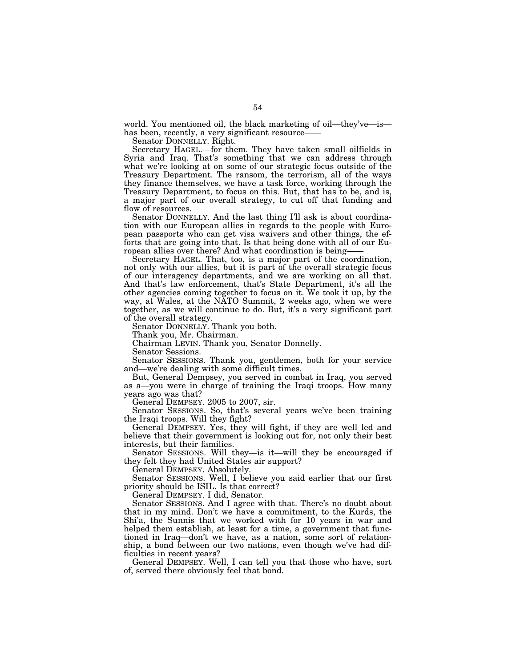world. You mentioned oil, the black marketing of oil—they've—is has been, recently, a very significant resource-

Senator DONNELLY. Right.

Secretary HAGEL.—for them. They have taken small oilfields in Syria and Iraq. That's something that we can address through what we're looking at on some of our strategic focus outside of the Treasury Department. The ransom, the terrorism, all of the ways they finance themselves, we have a task force, working through the Treasury Department, to focus on this. But, that has to be, and is, a major part of our overall strategy, to cut off that funding and flow of resources.

Senator DONNELLY. And the last thing I'll ask is about coordination with our European allies in regards to the people with European passports who can get visa waivers and other things, the efforts that are going into that. Is that being done with all of our European allies over there? And what coordination is being-

Secretary HAGEL. That, too, is a major part of the coordination, not only with our allies, but it is part of the overall strategic focus of our interagency departments, and we are working on all that. And that's law enforcement, that's State Department, it's all the other agencies coming together to focus on it. We took it up, by the way, at Wales, at the NATO Summit, 2 weeks ago, when we were together, as we will continue to do. But, it's a very significant part of the overall strategy.

Senator DONNELLY. Thank you both.

Thank you, Mr. Chairman.

Chairman LEVIN. Thank you, Senator Donnelly.

Senator Sessions.

Senator SESSIONS. Thank you, gentlemen, both for your service and—we're dealing with some difficult times.

But, General Dempsey, you served in combat in Iraq, you served as a—you were in charge of training the Iraqi troops. How many years ago was that?

General DEMPSEY. 2005 to 2007, sir.

Senator SESSIONS. So, that's several years we've been training the Iraqi troops. Will they fight?

General DEMPSEY. Yes, they will fight, if they are well led and believe that their government is looking out for, not only their best interests, but their families.

Senator SESSIONS. Will they—is it—will they be encouraged if they felt they had United States air support?

General DEMPSEY. Absolutely.

Senator SESSIONS. Well, I believe you said earlier that our first priority should be ISIL. Is that correct?

General DEMPSEY. I did, Senator.

Senator SESSIONS. And I agree with that. There's no doubt about that in my mind. Don't we have a commitment, to the Kurds, the Shi'a, the Sunnis that we worked with for 10 years in war and helped them establish, at least for a time, a government that functioned in Iraq—don't we have, as a nation, some sort of relationship, a bond between our two nations, even though we've had difficulties in recent years?

General DEMPSEY. Well, I can tell you that those who have, sort of, served there obviously feel that bond.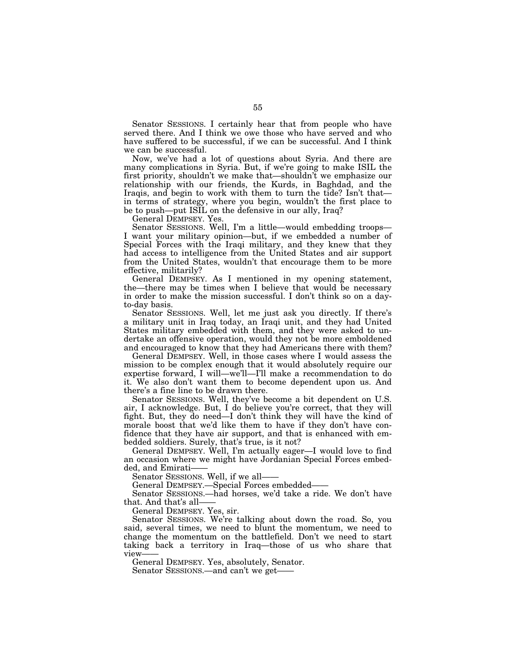Senator SESSIONS. I certainly hear that from people who have served there. And I think we owe those who have served and who have suffered to be successful, if we can be successful. And I think we can be successful.

Now, we've had a lot of questions about Syria. And there are many complications in Syria. But, if we're going to make ISIL the first priority, shouldn't we make that—shouldn't we emphasize our relationship with our friends, the Kurds, in Baghdad, and the Iraqis, and begin to work with them to turn the tide? Isn't that in terms of strategy, where you begin, wouldn't the first place to be to push—put ISIL on the defensive in our ally, Iraq?

General DEMPSEY. Yes.

Senator SESSIONS. Well, I'm a little—would embedding troops— I want your military opinion—but, if we embedded a number of Special Forces with the Iraqi military, and they knew that they had access to intelligence from the United States and air support from the United States, wouldn't that encourage them to be more effective, militarily?

General DEMPSEY. As I mentioned in my opening statement, the—there may be times when I believe that would be necessary in order to make the mission successful. I don't think so on a dayto-day basis.

Senator SESSIONS. Well, let me just ask you directly. If there's a military unit in Iraq today, an Iraqi unit, and they had United States military embedded with them, and they were asked to undertake an offensive operation, would they not be more emboldened and encouraged to know that they had Americans there with them?

General DEMPSEY. Well, in those cases where I would assess the mission to be complex enough that it would absolutely require our expertise forward, I will—we'll—I'll make a recommendation to do it. We also don't want them to become dependent upon us. And there's a fine line to be drawn there.

Senator SESSIONS. Well, they've become a bit dependent on U.S. air, I acknowledge. But, I do believe you're correct, that they will fight. But, they do need—I don't think they will have the kind of morale boost that we'd like them to have if they don't have confidence that they have air support, and that is enhanced with embedded soldiers. Surely, that's true, is it not?

General DEMPSEY. Well, I'm actually eager—I would love to find an occasion where we might have Jordanian Special Forces embedded, and Emirati-

Senator SESSIONS. Well, if we all——

General DEMPSEY.—Special Forces embedded——

Senator SESSIONS.—had horses, we'd take a ride. We don't have that. And that's all——

General DEMPSEY. Yes, sir.

Senator SESSIONS. We're talking about down the road. So, you said, several times, we need to blunt the momentum, we need to change the momentum on the battlefield. Don't we need to start taking back a territory in Iraq—those of us who share that view-

General DEMPSEY. Yes, absolutely, Senator. Senator SESSIONS.—and can't we get-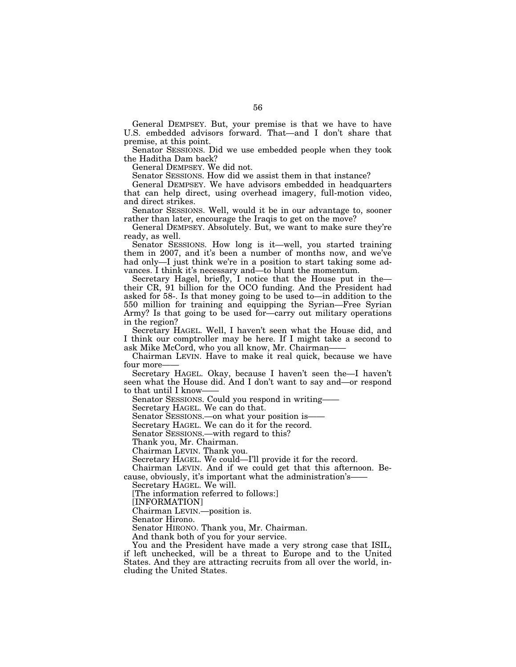General DEMPSEY. But, your premise is that we have to have U.S. embedded advisors forward. That—and I don't share that premise, at this point.

Senator SESSIONS. Did we use embedded people when they took the Haditha Dam back?

General DEMPSEY. We did not.

Senator SESSIONS. How did we assist them in that instance?

General DEMPSEY. We have advisors embedded in headquarters that can help direct, using overhead imagery, full-motion video, and direct strikes.

Senator SESSIONS. Well, would it be in our advantage to, sooner rather than later, encourage the Iraqis to get on the move?

General DEMPSEY. Absolutely. But, we want to make sure they're ready, as well.

Senator SESSIONS. How long is it—well, you started training them in 2007, and it's been a number of months now, and we've had only—I just think we're in a position to start taking some advances. I think it's necessary and—to blunt the momentum.

Secretary Hagel, briefly, I notice that the House put in the their CR, 91 billion for the OCO funding. And the President had asked for 58-. Is that money going to be used to—in addition to the 550 million for training and equipping the Syrian—Free Syrian Army? Is that going to be used for—carry out military operations in the region?

Secretary HAGEL. Well, I haven't seen what the House did, and I think our comptroller may be here. If I might take a second to ask Mike McCord, who you all know, Mr. Chairman——

Chairman LEVIN. Have to make it real quick, because we have four more-

Secretary HAGEL. Okay, because I haven't seen the—I haven't seen what the House did. And I don't want to say and—or respond to that until I know-

Senator SESSIONS. Could you respond in writing——

Secretary HAGEL. We can do that.

Senator SESSIONS.—on what your position is-

Secretary HAGEL. We can do it for the record.

Senator SESSIONS.—with regard to this?

Thank you, Mr. Chairman.

Chairman LEVIN. Thank you.

Secretary HAGEL. We could—I'll provide it for the record.

Chairman LEVIN. And if we could get that this afternoon. Because, obviously, it's important what the administration's-

Secretary HAGEL. We will.

[The information referred to follows:]

[INFORMATION]

Chairman LEVIN.—position is.

Senator Hirono.

Senator HIRONO. Thank you, Mr. Chairman.

And thank both of you for your service.

You and the President have made a very strong case that ISIL, if left unchecked, will be a threat to Europe and to the United States. And they are attracting recruits from all over the world, including the United States.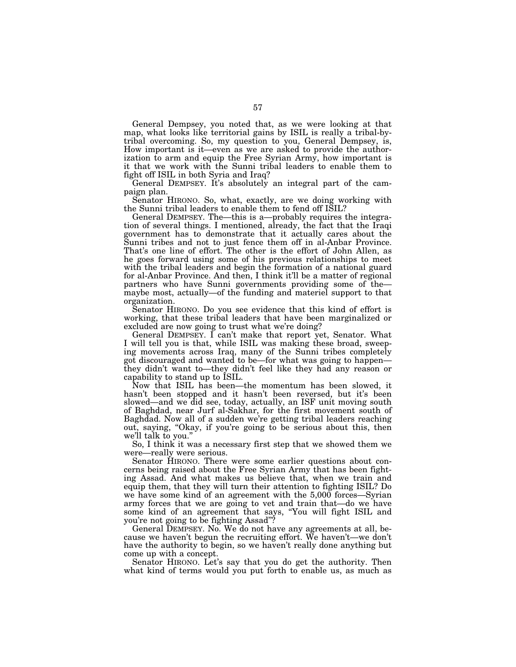General Dempsey, you noted that, as we were looking at that map, what looks like territorial gains by ISIL is really a tribal-bytribal overcoming. So, my question to you, General Dempsey, is, How important is it—even as we are asked to provide the authorization to arm and equip the Free Syrian Army, how important is it that we work with the Sunni tribal leaders to enable them to fight off ISIL in both Syria and Iraq?

General DEMPSEY. It's absolutely an integral part of the campaign plan.

Senator HIRONO. So, what, exactly, are we doing working with the Sunni tribal leaders to enable them to fend off ISIL?

General DEMPSEY. The—this is a—probably requires the integration of several things. I mentioned, already, the fact that the Iraqi government has to demonstrate that it actually cares about the Sunni tribes and not to just fence them off in al-Anbar Province. That's one line of effort. The other is the effort of John Allen, as he goes forward using some of his previous relationships to meet with the tribal leaders and begin the formation of a national guard for al-Anbar Province. And then, I think it'll be a matter of regional partners who have Sunni governments providing some of the maybe most, actually—of the funding and materiel support to that organization.

Senator HIRONO. Do you see evidence that this kind of effort is working, that these tribal leaders that have been marginalized or excluded are now going to trust what we're doing?

General DEMPSEY. I can't make that report yet, Senator. What I will tell you is that, while ISIL was making these broad, sweeping movements across Iraq, many of the Sunni tribes completely got discouraged and wanted to be—for what was going to happen they didn't want to—they didn't feel like they had any reason or capability to stand up to ISIL.

Now that ISIL has been—the momentum has been slowed, it hasn't been stopped and it hasn't been reversed, but it's been slowed—and we did see, today, actually, an ISF unit moving south of Baghdad, near Jurf al-Sakhar, for the first movement south of Baghdad. Now all of a sudden we're getting tribal leaders reaching out, saying, "Okay, if you're going to be serious about this, then we'll talk to you.''

So, I think it was a necessary first step that we showed them we were—really were serious.

Senator HIRONO. There were some earlier questions about concerns being raised about the Free Syrian Army that has been fighting Assad. And what makes us believe that, when we train and equip them, that they will turn their attention to fighting ISIL? Do we have some kind of an agreement with the 5,000 forces—Syrian army forces that we are going to vet and train that—do we have some kind of an agreement that says, ''You will fight ISIL and you're not going to be fighting Assad''?

General DEMPSEY. No. We do not have any agreements at all, because we haven't begun the recruiting effort. We haven't—we don't have the authority to begin, so we haven't really done anything but come up with a concept.

Senator HIRONO. Let's say that you do get the authority. Then what kind of terms would you put forth to enable us, as much as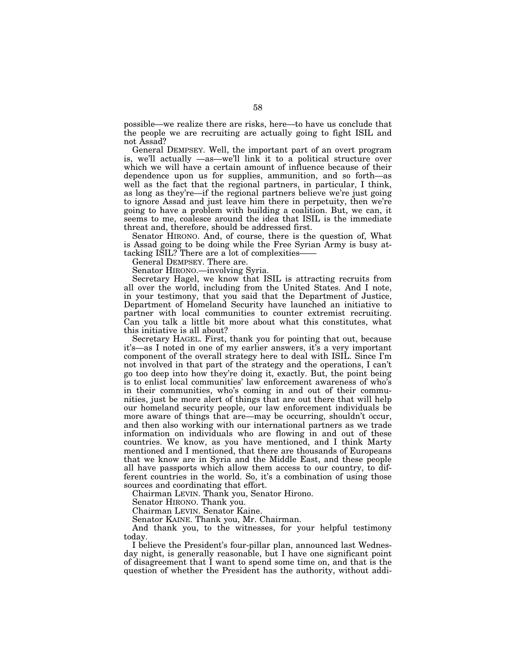possible—we realize there are risks, here—to have us conclude that the people we are recruiting are actually going to fight ISIL and not Assad?

General DEMPSEY. Well, the important part of an overt program is, we'll actually —as—we'll link it to a political structure over which we will have a certain amount of influence because of their dependence upon us for supplies, ammunition, and so forth—as well as the fact that the regional partners, in particular, I think, as long as they're—if the regional partners believe we're just going to ignore Assad and just leave him there in perpetuity, then we're going to have a problem with building a coalition. But, we can, it seems to me, coalesce around the idea that ISIL is the immediate threat and, therefore, should be addressed first.

Senator HIRONO. And, of course, there is the question of, What is Assad going to be doing while the Free Syrian Army is busy attacking ISIL? There are a lot of complexities-

General DEMPSEY. There are.

Senator HIRONO.—involving Syria.

Secretary Hagel, we know that ISIL is attracting recruits from all over the world, including from the United States. And I note, in your testimony, that you said that the Department of Justice, Department of Homeland Security have launched an initiative to partner with local communities to counter extremist recruiting. Can you talk a little bit more about what this constitutes, what this initiative is all about?

Secretary HAGEL. First, thank you for pointing that out, because it's—as I noted in one of my earlier answers, it's a very important component of the overall strategy here to deal with ISIL. Since I'm not involved in that part of the strategy and the operations, I can't go too deep into how they're doing it, exactly. But, the point being is to enlist local communities' law enforcement awareness of who's in their communities, who's coming in and out of their communities, just be more alert of things that are out there that will help our homeland security people, our law enforcement individuals be more aware of things that are—may be occurring, shouldn't occur, and then also working with our international partners as we trade information on individuals who are flowing in and out of these countries. We know, as you have mentioned, and I think Marty mentioned and I mentioned, that there are thousands of Europeans that we know are in Syria and the Middle East, and these people all have passports which allow them access to our country, to different countries in the world. So, it's a combination of using those sources and coordinating that effort.

Chairman LEVIN. Thank you, Senator Hirono.

Senator HIRONO. Thank you.

Chairman LEVIN. Senator Kaine.

Senator KAINE. Thank you, Mr. Chairman.

And thank you, to the witnesses, for your helpful testimony today.

I believe the President's four-pillar plan, announced last Wednesday night, is generally reasonable, but I have one significant point of disagreement that I want to spend some time on, and that is the question of whether the President has the authority, without addi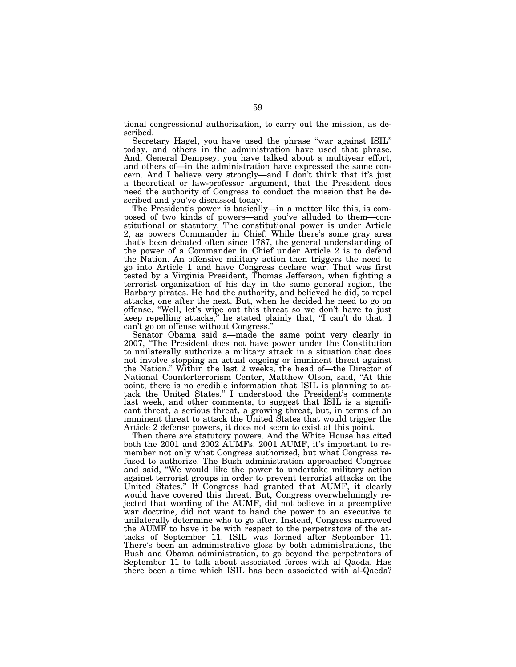tional congressional authorization, to carry out the mission, as described.

Secretary Hagel, you have used the phrase ''war against ISIL'' today, and others in the administration have used that phrase. And, General Dempsey, you have talked about a multiyear effort, and others of—in the administration have expressed the same concern. And I believe very strongly—and I don't think that it's just a theoretical or law-professor argument, that the President does need the authority of Congress to conduct the mission that he described and you've discussed today.

The President's power is basically—in a matter like this, is composed of two kinds of powers—and you've alluded to them—constitutional or statutory. The constitutional power is under Article 2, as powers Commander in Chief. While there's some gray area that's been debated often since 1787, the general understanding of the power of a Commander in Chief under Article 2 is to defend the Nation. An offensive military action then triggers the need to go into Article 1 and have Congress declare war. That was first tested by a Virginia President, Thomas Jefferson, when fighting a terrorist organization of his day in the same general region, the Barbary pirates. He had the authority, and believed he did, to repel attacks, one after the next. But, when he decided he need to go on offense, ''Well, let's wipe out this threat so we don't have to just keep repelling attacks,'' he stated plainly that, ''I can't do that. I can't go on offense without Congress.''

Senator Obama said a—made the same point very clearly in 2007, ''The President does not have power under the Constitution to unilaterally authorize a military attack in a situation that does not involve stopping an actual ongoing or imminent threat against the Nation.'' Within the last 2 weeks, the head of—the Director of National Counterterrorism Center, Matthew Olson, said, ''At this point, there is no credible information that ISIL is planning to attack the United States.'' I understood the President's comments last week, and other comments, to suggest that ISIL is a significant threat, a serious threat, a growing threat, but, in terms of an imminent threat to attack the United States that would trigger the Article 2 defense powers, it does not seem to exist at this point.

Then there are statutory powers. And the White House has cited both the 2001 and 2002 AUMFs. 2001 AUMF, it's important to remember not only what Congress authorized, but what Congress refused to authorize. The Bush administration approached Congress and said, ''We would like the power to undertake military action against terrorist groups in order to prevent terrorist attacks on the United States." If Congress had granted that AUMF, it clearly would have covered this threat. But, Congress overwhelmingly rejected that wording of the AUMF, did not believe in a preemptive war doctrine, did not want to hand the power to an executive to unilaterally determine who to go after. Instead, Congress narrowed the AUMF to have it be with respect to the perpetrators of the attacks of September 11. ISIL was formed after September 11. There's been an administrative gloss by both administrations, the Bush and Obama administration, to go beyond the perpetrators of September 11 to talk about associated forces with al Qaeda. Has there been a time which ISIL has been associated with al-Qaeda?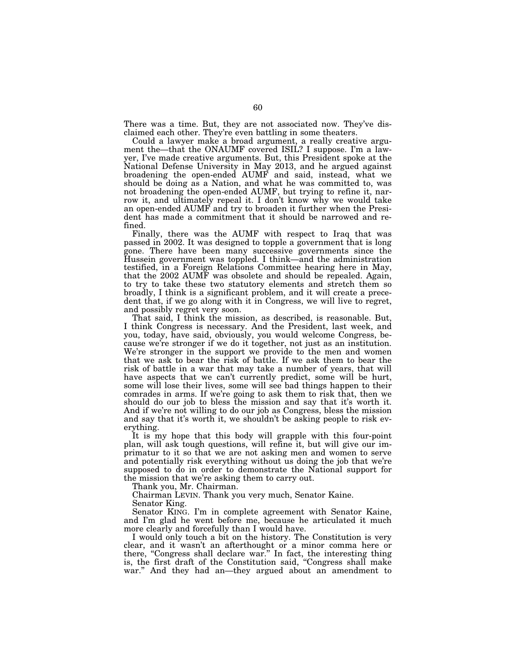There was a time. But, they are not associated now. They've disclaimed each other. They're even battling in some theaters.

Could a lawyer make a broad argument, a really creative argument the—that the ONAUMF covered ISIL? I suppose. I'm a lawyer, I've made creative arguments. But, this President spoke at the National Defense University in May 2013, and he argued against broadening the open-ended AUMF and said, instead, what we should be doing as a Nation, and what he was committed to, was not broadening the open-ended AUMF, but trying to refine it, narrow it, and ultimately repeal it. I don't know why we would take an open-ended AUMF and try to broaden it further when the President has made a commitment that it should be narrowed and refined.

Finally, there was the AUMF with respect to Iraq that was passed in 2002. It was designed to topple a government that is long gone. There have been many successive governments since the Hussein government was toppled. I think—and the administration testified, in a Foreign Relations Committee hearing here in May, that the 2002 AUMF was obsolete and should be repealed. Again, to try to take these two statutory elements and stretch them so broadly, I think is a significant problem, and it will create a precedent that, if we go along with it in Congress, we will live to regret, and possibly regret very soon.

That said, I think the mission, as described, is reasonable. But, I think Congress is necessary. And the President, last week, and you, today, have said, obviously, you would welcome Congress, because we're stronger if we do it together, not just as an institution. We're stronger in the support we provide to the men and women that we ask to bear the risk of battle. If we ask them to bear the risk of battle in a war that may take a number of years, that will have aspects that we can't currently predict, some will be hurt, some will lose their lives, some will see bad things happen to their comrades in arms. If we're going to ask them to risk that, then we should do our job to bless the mission and say that it's worth it. And if we're not willing to do our job as Congress, bless the mission and say that it's worth it, we shouldn't be asking people to risk everything.

It is my hope that this body will grapple with this four-point plan, will ask tough questions, will refine it, but will give our imprimatur to it so that we are not asking men and women to serve and potentially risk everything without us doing the job that we're supposed to do in order to demonstrate the National support for the mission that we're asking them to carry out.

Thank you, Mr. Chairman.

Chairman LEVIN. Thank you very much, Senator Kaine.

Senator King.

Senator KING. I'm in complete agreement with Senator Kaine, and I'm glad he went before me, because he articulated it much more clearly and forcefully than I would have.

I would only touch a bit on the history. The Constitution is very clear, and it wasn't an afterthought or a minor comma here or there, "Congress shall declare war." In fact, the interesting thing is, the first draft of the Constitution said, ''Congress shall make war.'' And they had an—they argued about an amendment to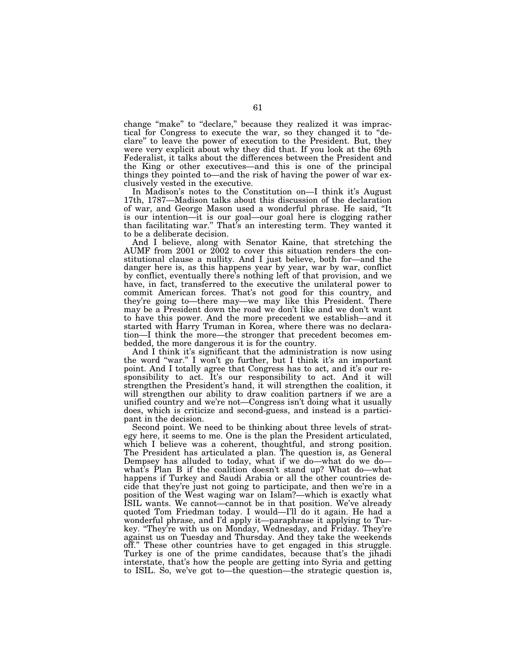change "make" to "declare," because they realized it was impractical for Congress to execute the war, so they changed it to ''declare'' to leave the power of execution to the President. But, they were very explicit about why they did that. If you look at the 69th Federalist, it talks about the differences between the President and the King or other executives—and this is one of the principal things they pointed to—and the risk of having the power of war exclusively vested in the executive.

In Madison's notes to the Constitution on—I think it's August 17th, 1787—Madison talks about this discussion of the declaration of war, and George Mason used a wonderful phrase. He said, ''It is our intention—it is our goal—our goal here is clogging rather than facilitating war.'' That's an interesting term. They wanted it to be a deliberate decision.

And I believe, along with Senator Kaine, that stretching the AUMF from 2001 or 2002 to cover this situation renders the constitutional clause a nullity. And I just believe, both for—and the danger here is, as this happens year by year, war by war, conflict by conflict, eventually there's nothing left of that provision, and we have, in fact, transferred to the executive the unilateral power to commit American forces. That's not good for this country, and they're going to—there may—we may like this President. There may be a President down the road we don't like and we don't want to have this power. And the more precedent we establish—and it started with Harry Truman in Korea, where there was no declaration—I think the more—the stronger that precedent becomes embedded, the more dangerous it is for the country.

And I think it's significant that the administration is now using the word ''war.'' I won't go further, but I think it's an important point. And I totally agree that Congress has to act, and it's our responsibility to act. It's our responsibility to act. And it will strengthen the President's hand, it will strengthen the coalition, it will strengthen our ability to draw coalition partners if we are a unified country and we're not—Congress isn't doing what it usually does, which is criticize and second-guess, and instead is a participant in the decision.

Second point. We need to be thinking about three levels of strategy here, it seems to me. One is the plan the President articulated, which I believe was a coherent, thoughtful, and strong position. The President has articulated a plan. The question is, as General Dempsey has alluded to today, what if we do—what do we do what's Plan B if the coalition doesn't stand up? What do—what happens if Turkey and Saudi Arabia or all the other countries decide that they're just not going to participate, and then we're in a position of the West waging war on Islam?—which is exactly what ISIL wants. We cannot—cannot be in that position. We've already quoted Tom Friedman today. I would—I'll do it again. He had a wonderful phrase, and I'd apply it—paraphrase it applying to Turkey. ''They're with us on Monday, Wednesday, and Friday. They're against us on Tuesday and Thursday. And they take the weekends off.'' These other countries have to get engaged in this struggle. Turkey is one of the prime candidates, because that's the jihadi interstate, that's how the people are getting into Syria and getting to ISIL. So, we've got to—the question—the strategic question is,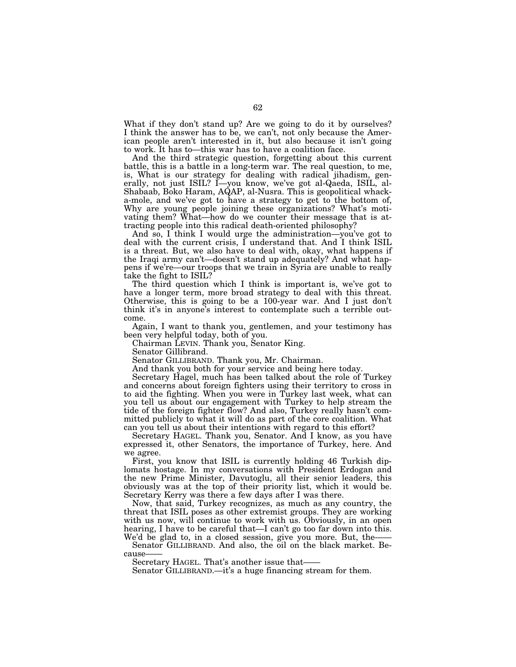What if they don't stand up? Are we going to do it by ourselves? I think the answer has to be, we can't, not only because the American people aren't interested in it, but also because it isn't going to work. It has to—this war has to have a coalition face.

And the third strategic question, forgetting about this current battle, this is a battle in a long-term war. The real question, to me, is, What is our strategy for dealing with radical jihadism, generally, not just ISIL? I-you know, we've got al-Qaeda, ISIL, al-Shabaab, Boko Haram, AQAP, al-Nusra. This is geopolitical whacka-mole, and we've got to have a strategy to get to the bottom of, Why are young people joining these organizations? What's motivating them? What—how do we counter their message that is attracting people into this radical death-oriented philosophy?

And so, I think I would urge the administration—you've got to deal with the current crisis, I understand that. And I think ISIL is a threat. But, we also have to deal with, okay, what happens if the Iraqi army can't—doesn't stand up adequately? And what happens if we're—our troops that we train in Syria are unable to really take the fight to ISIL?

The third question which I think is important is, we've got to have a longer term, more broad strategy to deal with this threat. Otherwise, this is going to be a 100-year war. And I just don't think it's in anyone's interest to contemplate such a terrible outcome.

Again, I want to thank you, gentlemen, and your testimony has been very helpful today, both of you.

Chairman LEVIN. Thank you, Senator King.

Senator Gillibrand.

Senator GILLIBRAND. Thank you, Mr. Chairman.

And thank you both for your service and being here today.

Secretary Hagel, much has been talked about the role of Turkey and concerns about foreign fighters using their territory to cross in to aid the fighting. When you were in Turkey last week, what can you tell us about our engagement with Turkey to help stream the tide of the foreign fighter flow? And also, Turkey really hasn't committed publicly to what it will do as part of the core coalition. What can you tell us about their intentions with regard to this effort?

Secretary HAGEL. Thank you, Senator. And I know, as you have expressed it, other Senators, the importance of Turkey, here. And we agree.

First, you know that ISIL is currently holding 46 Turkish diplomats hostage. In my conversations with President Erdogan and the new Prime Minister, Davutoglu, all their senior leaders, this obviously was at the top of their priority list, which it would be. Secretary Kerry was there a few days after I was there.

Now, that said, Turkey recognizes, as much as any country, the threat that ISIL poses as other extremist groups. They are working with us now, will continue to work with us. Obviously, in an open hearing, I have to be careful that—I can't go too far down into this. We'd be glad to, in a closed session, give you more. But, the

Senator GILLIBRAND. And also, the oil on the black market. Because

Secretary HAGEL. That's another issue that——

Senator GILLIBRAND.—it's a huge financing stream for them.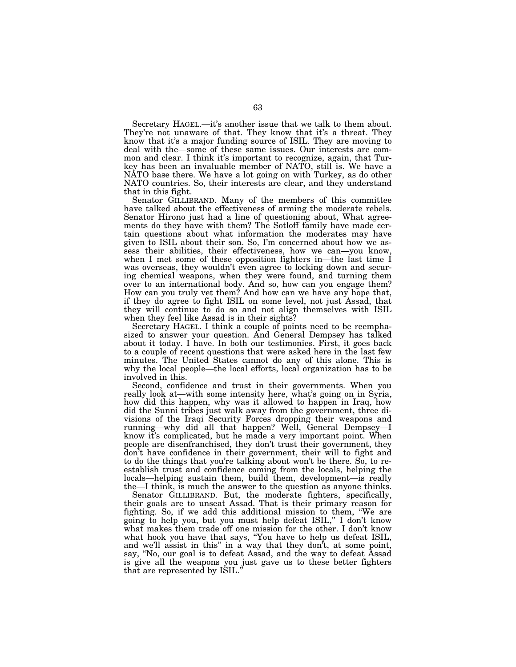Secretary HAGEL.—it's another issue that we talk to them about. They're not unaware of that. They know that it's a threat. They know that it's a major funding source of ISIL. They are moving to deal with the—some of these same issues. Our interests are common and clear. I think it's important to recognize, again, that Turkey has been an invaluable member of NATO, still is. We have a NATO base there. We have a lot going on with Turkey, as do other NATO countries. So, their interests are clear, and they understand that in this fight.

Senator GILLIBRAND. Many of the members of this committee have talked about the effectiveness of arming the moderate rebels. Senator Hirono just had a line of questioning about, What agreements do they have with them? The Sotloff family have made certain questions about what information the moderates may have given to ISIL about their son. So, I'm concerned about how we assess their abilities, their effectiveness, how we can—you know, when I met some of these opposition fighters in—the last time I was overseas, they wouldn't even agree to locking down and securing chemical weapons, when they were found, and turning them over to an international body. And so, how can you engage them? How can you truly vet them? And how can we have any hope that, if they do agree to fight ISIL on some level, not just Assad, that they will continue to do so and not align themselves with ISIL when they feel like Assad is in their sights?

Secretary HAGEL. I think a couple of points need to be reemphasized to answer your question. And General Dempsey has talked about it today. I have. In both our testimonies. First, it goes back to a couple of recent questions that were asked here in the last few minutes. The United States cannot do any of this alone. This is why the local people—the local efforts, local organization has to be involved in this.

Second, confidence and trust in their governments. When you really look at—with some intensity here, what's going on in Syria, how did this happen, why was it allowed to happen in Iraq, how did the Sunni tribes just walk away from the government, three divisions of the Iraqi Security Forces dropping their weapons and running—why did all that happen? Well, General Dempsey—I know it's complicated, but he made a very important point. When people are disenfranchised, they don't trust their government, they don't have confidence in their government, their will to fight and to do the things that you're talking about won't be there. So, to reestablish trust and confidence coming from the locals, helping the locals—helping sustain them, build them, development—is really the—I think, is much the answer to the question as anyone thinks.

Senator GILLIBRAND. But, the moderate fighters, specifically, their goals are to unseat Assad. That is their primary reason for fighting. So, if we add this additional mission to them, ''We are going to help you, but you must help defeat ISIL,'' I don't know what makes them trade off one mission for the other. I don't know what hook you have that says, ''You have to help us defeat ISIL, and we'll assist in this'' in a way that they don't, at some point, say, ''No, our goal is to defeat Assad, and the way to defeat Assad is give all the weapons you just gave us to these better fighters that are represented by ISIL.''